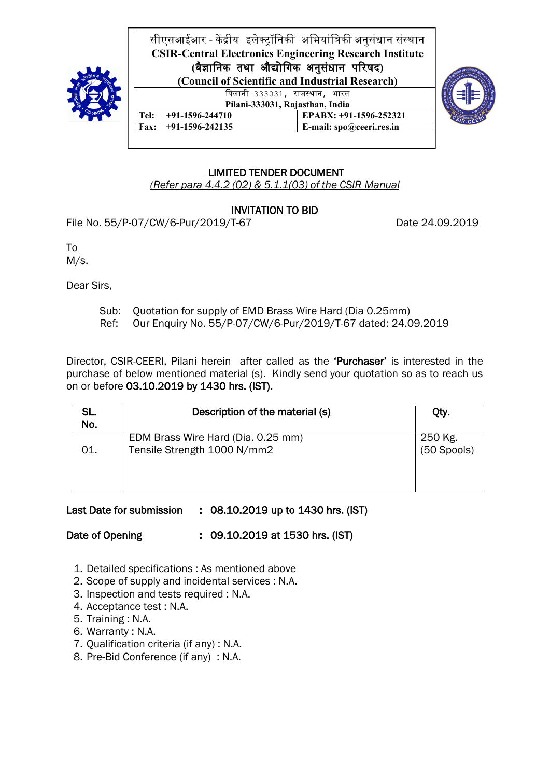

सीएसआईआर - केंद्रीय इलेक्ट्रॉनिकी अभियांत्रिकी अनुसंधान संस्थान **CSIR-Central Electronics Engineering Research Institute (**वै᭄ािनक तथा औ᳒ोिगक अनुसंधान पᳯरषद**) (Council of Scientific and Industrial Research)** पिलानी-333031, राजस्थान, भारत **Pilani-333031, Rajasthan, India**<br>**+91-1596-244710 EPABX:** +91 **Tel:** +91-1596-244710 **EPABX:** +91-1596-252321<br> **Fax:** +91-1596-242135 **E-mail:** spo@ceeri.res.in



**Fax: +91-1596-242135 E-mail: spo@ceeri.res.in**

#### LIMITED TENDER DOCUMENT

*(Refer para 4.4.2 (02) & 5.1.1(03) of the CSIR Manual*

### INVITATION TO BID

File No. 55/P-07/CW/6-Pur/2019/T-67 Date 24.09.2019

To

M/s.

Dear Sirs,

- Sub: Quotation for supply of EMD Brass Wire Hard (Dia 0.25mm)
- Ref: Our Enquiry No. 55/P-07/CW/6-Pur/2019/T-67 dated: 24.09.2019

Director, CSIR-CEERI, Pilani herein after called as the 'Purchaser' is interested in the purchase of below mentioned material (s). Kindly send your quotation so as to reach us on or before 03.10.2019 by 1430 hrs. (IST).

| SL.<br>No. | Description of the material (s)                                   | Qty.                                        |
|------------|-------------------------------------------------------------------|---------------------------------------------|
| 01.        | EDM Brass Wire Hard (Dia. 0.25 mm)<br>Tensile Strength 1000 N/mm2 | $250 \overline{\text{kg}}$ .<br>(50 Spools) |

### Last Date for submission : 08.10.2019 up to 1430 hrs. (IST)

Date of Opening : 09.10.2019 at 1530 hrs. (IST)

- 1. Detailed specifications : As mentioned above
- 2. Scope of supply and incidental services : N.A.
- 3. Inspection and tests required : N.A.
- 4. Acceptance test : N.A.
- 5. Training : N.A.
- 6. Warranty : N.A.
- 7. Qualification criteria (if any) : N.A.
- 8. Pre-Bid Conference (if any) : N.A.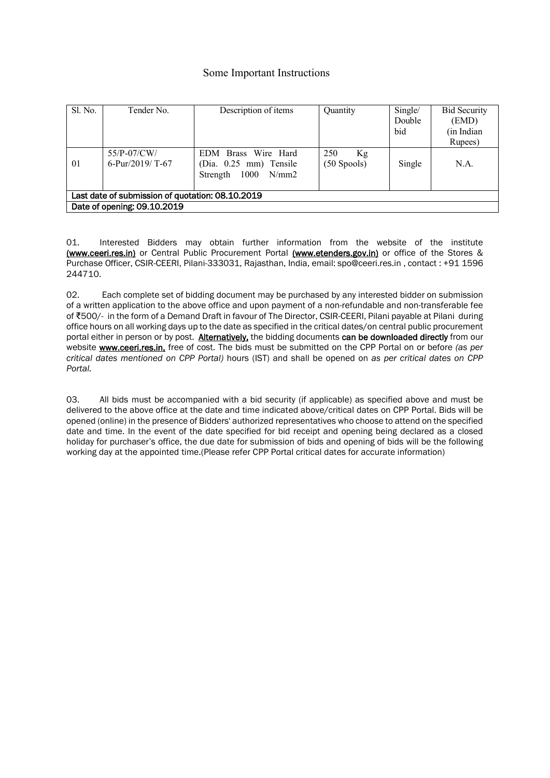#### Some Important Instructions

| Sl. No. | Tender No.                                       | Description of items                                                 | Quantity                   | Single/<br>Double<br>bid | <b>Bid Security</b><br>(EMD)<br>(in Indian<br>Rupees) |
|---------|--------------------------------------------------|----------------------------------------------------------------------|----------------------------|--------------------------|-------------------------------------------------------|
| 01      | $55/P-07/CW/$<br>6-Pur/2019/ T-67                | EDM Brass Wire Hard<br>(Dia. 0.25 mm) Tensile<br>Strength 1000 N/mm2 | 250<br>Kg<br>$(50$ Spools) | Single                   | N.A.                                                  |
|         | Last date of submission of quotation: 08.10.2019 |                                                                      |                            |                          |                                                       |
|         | Date of opening: 09.10.2019                      |                                                                      |                            |                          |                                                       |

01. Interested Bidders may obtain further information from the website of the institute (www.ceeri.res.in) or Central Public Procurement Portal (www.etenders.gov.in) or office of the Stores & Purchase Officer, CSIR-CEERI, Pilani-333031, Rajasthan, India, email: spo@ceeri.res.in , contact : +91 1596 244710.

02. Each complete set of bidding document may be purchased by any interested bidder on submission of a written application to the above office and upon payment of a non-refundable and non-transferable fee of ₹500/- in the form of a Demand Draft in favour of The Director, CSIR-CEERI, Pilani payable at Pilani during office hours on all working days up to the date as specified in the critical dates/on central public procurement portal either in person or by post. Alternatively, the bidding documents can be downloaded directly from our website www.ceeri.res.in, free of cost. The bids must be submitted on the CPP Portal on or before *(as per critical dates mentioned on CPP Portal)* hours (IST) and shall be opened on *as per critical dates on CPP Portal.*

03. All bids must be accompanied with a bid security (if applicable) as specified above and must be delivered to the above office at the date and time indicated above/critical dates on CPP Portal. Bids will be opened (online) in the presence of Bidders' authorized representatives who choose to attend on the specified date and time. In the event of the date specified for bid receipt and opening being declared as a closed holiday for purchaser's office, the due date for submission of bids and opening of bids will be the following working day at the appointed time.(Please refer CPP Portal critical dates for accurate information)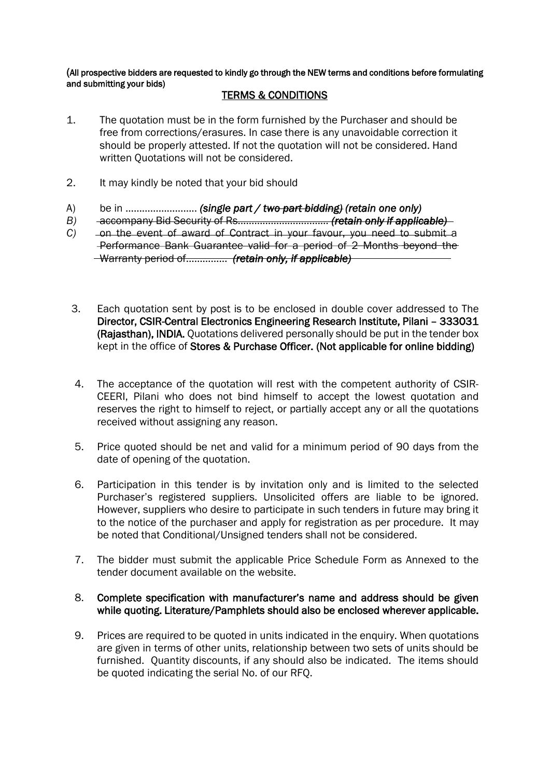(All prospective bidders are requested to kindly go through the NEW terms and conditions before formulating and submitting your bids)

#### TERMS & CONDITIONS

- 1. The quotation must be in the form furnished by the Purchaser and should be free from corrections/erasures. In case there is any unavoidable correction it should be properly attested. If not the quotation will not be considered. Hand written Quotations will not be considered.
- 2. It may kindly be noted that your bid should
- A) be in …………………….. *(single part / two part bidding) (retain one only)*
- *B)* accompany Bid Security of Rs…………………………… *(retain only if applicable)*
- *C*) on the event of award of Contract in your favour, you need to submit a Performance Bank Guarantee valid for a period of 2 Months beyond the Warranty period of…………… *(retain only, if applicable)*
- 3. Each quotation sent by post is to be enclosed in double cover addressed to The Director, CSIR-Central Electronics Engineering Research Institute, Pilani – 333031 (Rajasthan), INDIA. Quotations delivered personally should be put in the tender box kept in the office of Stores & Purchase Officer. (Not applicable for online bidding)
- 4. The acceptance of the quotation will rest with the competent authority of CSIR-CEERI, Pilani who does not bind himself to accept the lowest quotation and reserves the right to himself to reject, or partially accept any or all the quotations received without assigning any reason.
- 5. Price quoted should be net and valid for a minimum period of 90 days from the date of opening of the quotation.
- 6. Participation in this tender is by invitation only and is limited to the selected Purchaser's registered suppliers. Unsolicited offers are liable to be ignored. However, suppliers who desire to participate in such tenders in future may bring it to the notice of the purchaser and apply for registration as per procedure. It may be noted that Conditional/Unsigned tenders shall not be considered.
- 7. The bidder must submit the applicable Price Schedule Form as Annexed to the tender document available on the website.

#### 8. Complete specification with manufacturer's name and address should be given while quoting. Literature/Pamphlets should also be enclosed wherever applicable.

9. Prices are required to be quoted in units indicated in the enquiry. When quotations are given in terms of other units, relationship between two sets of units should be furnished. Quantity discounts, if any should also be indicated. The items should be quoted indicating the serial No. of our RFQ.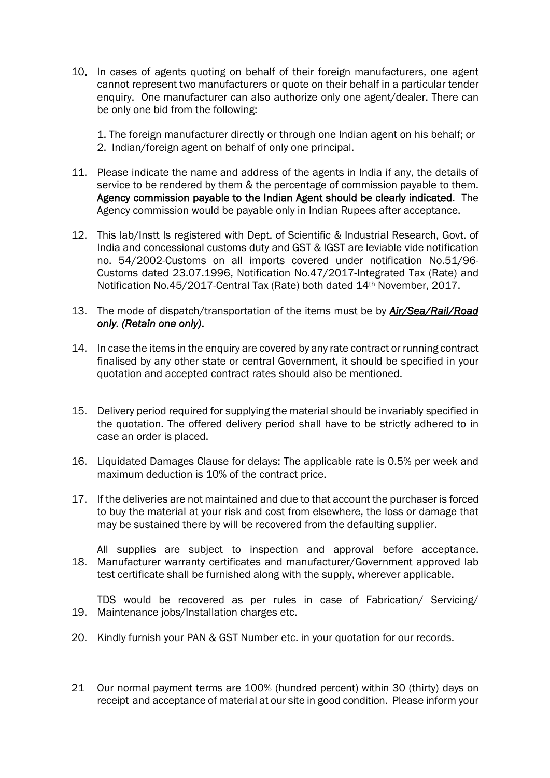- 10. In cases of agents quoting on behalf of their foreign manufacturers, one agent cannot represent two manufacturers or quote on their behalf in a particular tender enquiry. One manufacturer can also authorize only one agent/dealer. There can be only one bid from the following:
	- 1. The foreign manufacturer directly or through one Indian agent on his behalf; or 2. Indian/foreign agent on behalf of only one principal.
- 11. Please indicate the name and address of the agents in India if any, the details of service to be rendered by them & the percentage of commission payable to them. Agency commission payable to the Indian Agent should be clearly indicated. The Agency commission would be payable only in Indian Rupees after acceptance.
- 12. This lab/Instt Is registered with Dept. of Scientific & Industrial Research, Govt. of India and concessional customs duty and GST & IGST are leviable vide notification no. 54/2002-Customs on all imports covered under notification No.51/96- Customs dated 23.07.1996, Notification No.47/2017-Integrated Tax (Rate) and Notification No.45/2017-Central Tax (Rate) both dated 14<sup>th</sup> November, 2017.
- 13. The mode of dispatch/transportation of the items must be by *Air/Sea/Rail/Road only. (Retain one only)*.
- 14. In case the items in the enquiry are covered by any rate contract or running contract finalised by any other state or central Government, it should be specified in your quotation and accepted contract rates should also be mentioned.
- 15. Delivery period required for supplying the material should be invariably specified in the quotation. The offered delivery period shall have to be strictly adhered to in case an order is placed.
- 16. Liquidated Damages Clause for delays: The applicable rate is 0.5% per week and maximum deduction is 10% of the contract price.
- 17. If the deliveries are not maintained and due to that account the purchaser is forced to buy the material at your risk and cost from elsewhere, the loss or damage that may be sustained there by will be recovered from the defaulting supplier.

18. Manufacturer warranty certificates and manufacturer/Government approved lab All supplies are subject to inspection and approval before acceptance. test certificate shall be furnished along with the supply, wherever applicable.

19. Maintenance jobs/Installation charges etc. TDS would be recovered as per rules in case of Fabrication/ Servicing/

- 20. Kindly furnish your PAN & GST Number etc. in your quotation for our records.
- 21 Our normal payment terms are 100% (hundred percent) within 30 (thirty) days on receipt and acceptance of material at our site in good condition. Please inform your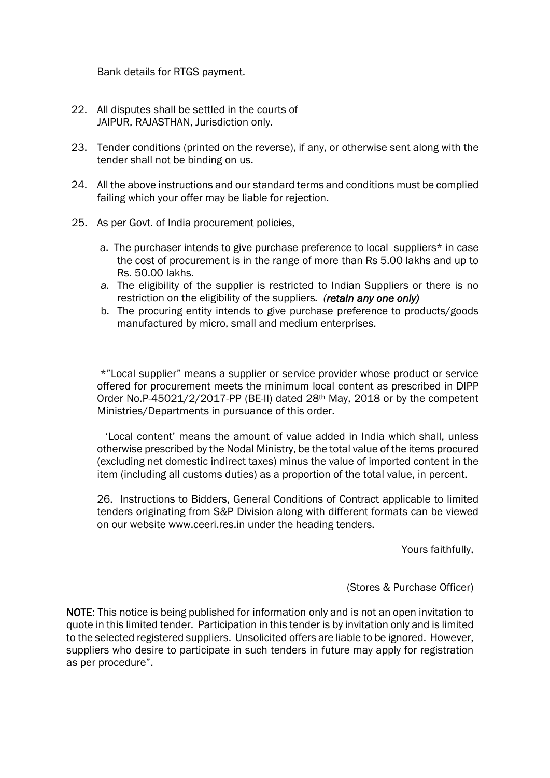Bank details for RTGS payment.

- 22. All disputes shall be settled in the courts of JAIPUR, RAJASTHAN, Jurisdiction only.
- 23. Tender conditions (printed on the reverse), if any, or otherwise sent along with the tender shall not be binding on us.
- 24. All the above instructions and our standard terms and conditions must be complied failing which your offer may be liable for rejection.
- 25. As per Govt. of India procurement policies,
	- a. The purchaser intends to give purchase preference to local suppliers\* in case the cost of procurement is in the range of more than Rs 5.00 lakhs and up to Rs. 50.00 lakhs.
	- *a.* The eligibility of the supplier is restricted to Indian Suppliers or there is no restriction on the eligibility of the suppliers*. (retain any one only)*
	- b. The procuring entity intends to give purchase preference to products/goods manufactured by micro, small and medium enterprises.

\*"Local supplier" means a supplier or service provider whose product or service offered for procurement meets the minimum local content as prescribed in DIPP Order No.P-45021/2/2017-PP (BE-II) dated 28th May, 2018 or by the competent Ministries/Departments in pursuance of this order.

'Local content' means the amount of value added in India which shall, unless otherwise prescribed by the Nodal Ministry, be the total value of the items procured (excluding net domestic indirect taxes) minus the value of imported content in the item (including all customs duties) as a proportion of the total value, in percent.

26. Instructions to Bidders, General Conditions of Contract applicable to limited tenders originating from S&P Division along with different formats can be viewed on our website www.ceeri.res.in under the heading tenders.

Yours faithfully,

(Stores & Purchase Officer)

NOTE: This notice is being published for information only and is not an open invitation to quote in this limited tender. Participation in this tender is by invitation only and is limited to the selected registered suppliers. Unsolicited offers are liable to be ignored. However, suppliers who desire to participate in such tenders in future may apply for registration as per procedure".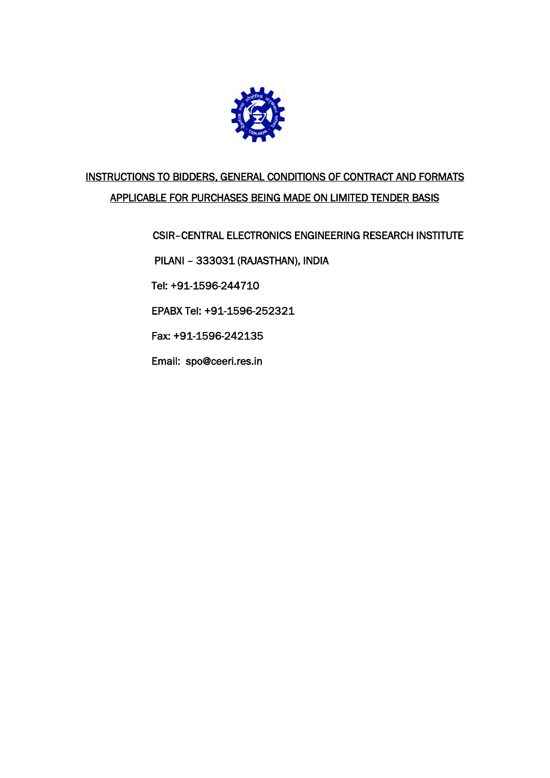

## INSTRUCTIONS TO BIDDERS, GENERAL CONDITIONS OF CONTRACT AND FORMATS APPLICABLE FOR PURCHASES BEING MADE ON LIMITED TENDER BASIS

CSIR–CENTRAL ELECTRONICS ENGINEERING RESEARCH INSTITUTE

PILANI – 333031 (RAJASTHAN), INDIA

Tel: +91-1596-244710

EPABX [Tel: +91-](tel:+91)1596-252321

Fax: +91-1596-242135

Email: [spo@ceeri.res.in](mailto:spo@ceeri.res.in)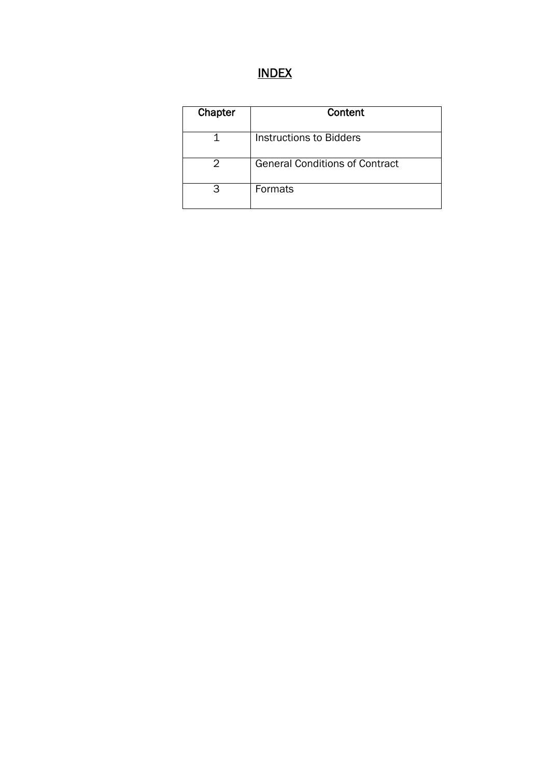# INDEX

| Chapter | Content                               |
|---------|---------------------------------------|
|         | Instructions to Bidders               |
|         | <b>General Conditions of Contract</b> |
| ิ่ว     | Formats                               |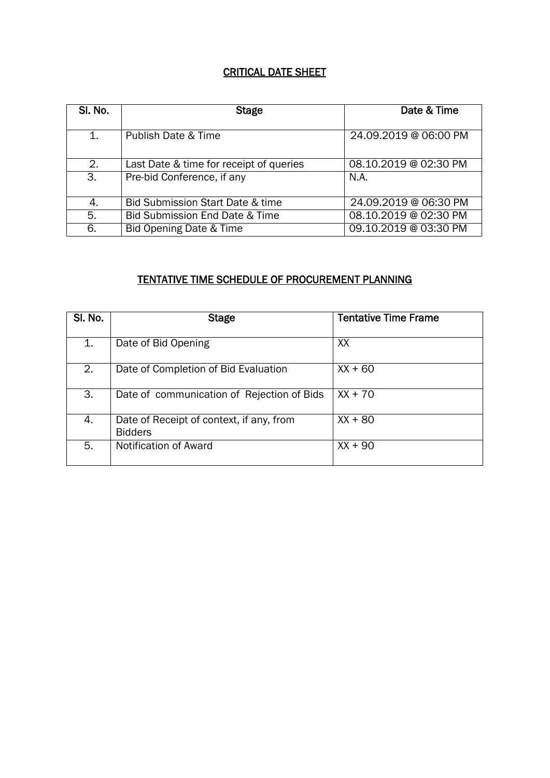## CRITICAL DATE SHEET

| SI. No. | <b>Stage</b>                            | Date & Time           |
|---------|-----------------------------------------|-----------------------|
| 1.      | <b>Publish Date &amp; Time</b>          | 24.09.2019 @ 06:00 PM |
| 2.      | Last Date & time for receipt of queries | 08.10.2019 @ 02:30 PM |
| 3.      | Pre-bid Conference, if any              | N.A.                  |
| 4.      | Bid Submission Start Date & time        | 24.09.2019 @ 06:30 PM |
| 5.      | Bid Submission End Date & Time          | 08.10.2019 @ 02:30 PM |
| 6.      | Bid Opening Date & Time                 | 09.10.2019 @ 03:30 PM |

## TENTATIVE TIME SCHEDULE OF PROCUREMENT PLANNING

| SI. No. | <b>Stage</b>                                               | <b>Tentative Time Frame</b> |
|---------|------------------------------------------------------------|-----------------------------|
| 1.      | Date of Bid Opening                                        | XX                          |
| 2.      | Date of Completion of Bid Evaluation                       | $XX + 60$                   |
| 3.      | Date of communication of Rejection of Bids                 | $XX + 70$                   |
| 4.      | Date of Receipt of context, if any, from<br><b>Bidders</b> | $XX + 80$                   |
| 5.      | Notification of Award                                      | $XX + 90$                   |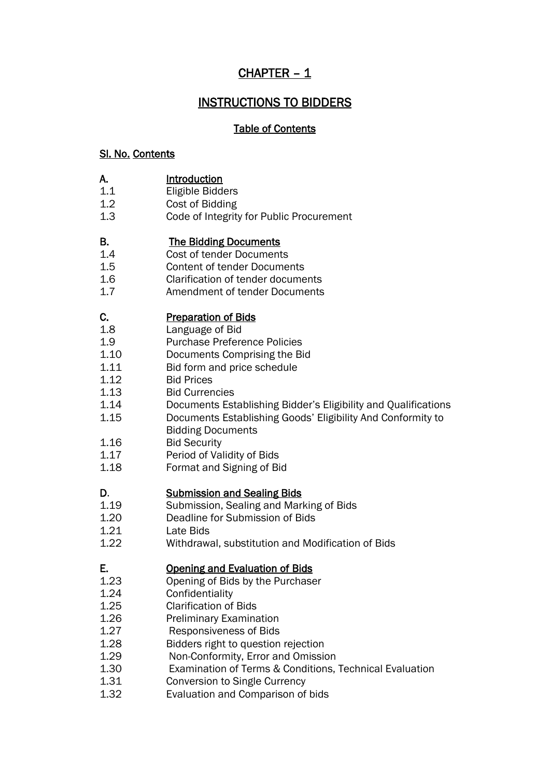## CHAPTER – 1

## INSTRUCTIONS TO BIDDERS

### Table of Contents

#### Sl. No. Contents

- **A.** Introduction<br>1.1 Eligible Bidd
- **Eligible Bidders**
- 1.2 Cost of Bidding
- 1.3 Code of Integrity for Public Procurement

### B. The Bidding Documents

- 1.4 Cost of tender Documents
- 1.5 Content of tender Documents
- 1.6 Clarification of tender documents
- 1.7 Amendment of tender Documents

### C. Preparation of Bids

- 1.8 Language of Bid
- 1.9 Purchase Preference Policies
- 1.10 Documents Comprising the Bid
- 1.11 Bid form and price schedule
- 1.12 Bid Prices
- 1.13 Bid Currencies
- 1.14 Documents Establishing Bidder's Eligibility and Qualifications
- 1.15 Documents Establishing Goods' Eligibility And Conformity to
- Bidding Documents
- 1.16 Bid Security
- 1.17 Period of Validity of Bids
- 1.18 Format and Signing of Bid

#### D. **Submission and Sealing Bids**

- 1.19 Submission, Sealing and Marking of Bids
- 1.20 Deadline for Submission of Bids
- 1.21 Late Bids
- 1.22 Withdrawal, substitution and Modification of Bids

### E. Opening and Evaluation of Bids

- 1.23 Opening of Bids by the Purchaser
- 1.24 Confidentiality
- 1.25 Clarification of Bids
- 1.26 Preliminary Examination
- 1.27 Responsiveness of Bids
- 1.28 Bidders right to question rejection
- 1.29 Non-Conformity, Error and Omission
- 1.30 Examination of Terms & Conditions, Technical Evaluation
- 1.31 Conversion to Single Currency
- 1.32 Evaluation and Comparison of bids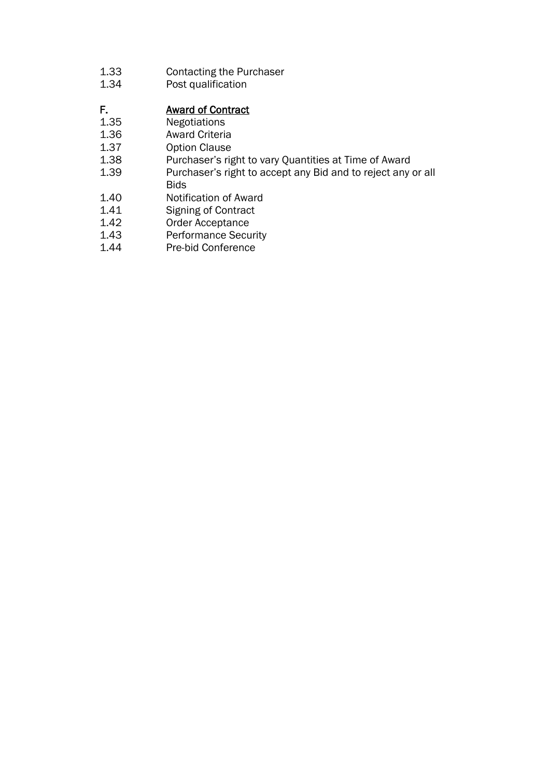- 1.33 Contacting the Purchaser<br>1.34 Post qualification
- Post qualification

## F. Award of Contract

- 1.35 Negotiations
- 1.36 Award Criteria<br>1.37 Option Clause
- 1.37 Option Clause<br>1.38 Purchaser's rig
- 1.38 Purchaser's right to vary Quantities at Time of Award<br>1.39 Purchaser's right to accept any Bid and to reject any
- Purchaser's right to accept any Bid and to reject any or all
- Bids
- 1.40 Notification of Award
- 1.41 Signing of Contract<br>1.42 Order Acceptance
- Order Acceptance
- 1.43 Performance Security
- 1.44 Pre-bid Conference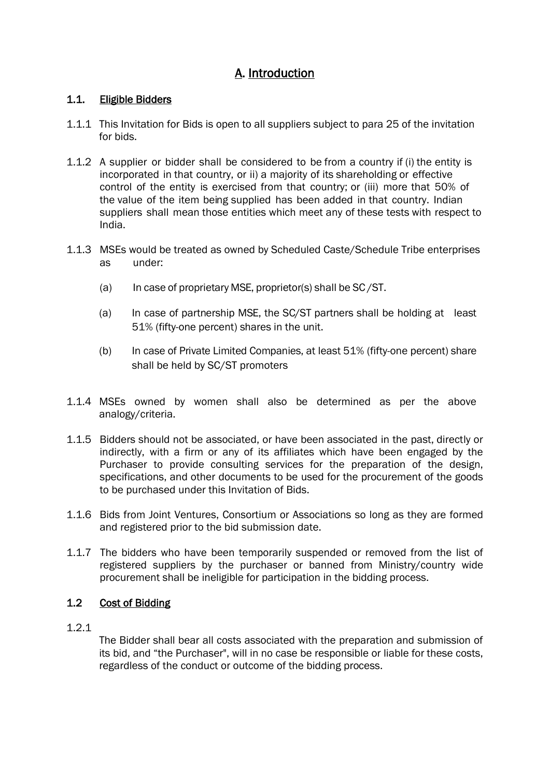## A. Introduction

### 1.1. Eligible Bidders

- 1.1.1 This Invitation for Bids is open to all suppliers subject to para 25 of the invitation for bids.
- 1.1.2 A supplier or bidder shall be considered to be from a country if (i) the entity is incorporated in that country, or ii) a majority of its shareholding or effective control of the entity is exercised from that country; or (iii) more that 50% of the value of the item being supplied has been added in that country. Indian suppliers shall mean those entities which meet any of these tests with respect to India.
- 1.1.3 MSEs would be treated as owned by Scheduled Caste/Schedule Tribe enterprises as under:
	- (a) In case of proprietary MSE, proprietor(s) shall be  $SC/ST$ .
	- (a) In case of partnership MSE, the SC/ST partners shall be holding at least 51% (fifty-one percent) shares in the unit.
	- (b) In case of Private Limited Companies, at least 51% (fifty-one percent) share shall be held by SC/ST promoters
- 1.1.4 MSEs owned by women shall also be determined as per the above analogy/criteria.
- 1.1.5 Bidders should not be associated, or have been associated in the past, directly or indirectly, with a firm or any of its affiliates which have been engaged by the Purchaser to provide consulting services for the preparation of the design, specifications, and other documents to be used for the procurement of the goods to be purchased under this Invitation of Bids.
- 1.1.6 Bids from Joint Ventures, Consortium or Associations so long as they are formed and registered prior to the bid submission date.
- 1.1.7 The bidders who have been temporarily suspended or removed from the list of registered suppliers by the purchaser or banned from Ministry/country wide procurement shall be ineligible for participation in the bidding process.

### 1.2 Cost of Bidding

1.2.1

The Bidder shall bear all costs associated with the preparation and submission of its bid, and "the Purchaser", will in no case be responsible or liable for these costs, regardless of the conduct or outcome of the bidding process.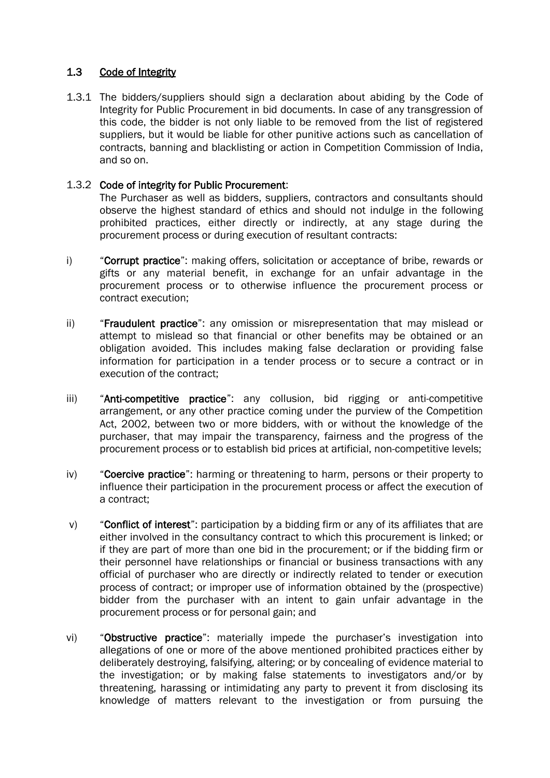### 1.3 Code of Integrity

1.3.1 The bidders/suppliers should sign a declaration about abiding by the Code of Integrity for Public Procurement in bid documents. In case of any transgression of this code, the bidder is not only liable to be removed from the list of registered suppliers, but it would be liable for other punitive actions such as cancellation of contracts, banning and blacklisting or action in Competition Commission of India, and so on.

#### 1.3.2 Code of integrity for Public Procurement:

The Purchaser as well as bidders, suppliers, contractors and consultants should observe the highest standard of ethics and should not indulge in the following prohibited practices, either directly or indirectly, at any stage during the procurement process or during execution of resultant contracts:

- i) "Corrupt practice": making offers, solicitation or acceptance of bribe, rewards or gifts or any material benefit, in exchange for an unfair advantage in the procurement process or to otherwise influence the procurement process or contract execution;
- ii) "Fraudulent practice": any omission or misrepresentation that may mislead or attempt to mislead so that financial or other benefits may be obtained or an obligation avoided. This includes making false declaration or providing false information for participation in a tender process or to secure a contract or in execution of the contract;
- iii) "Anti-competitive practice": any collusion, bid rigging or anti-competitive arrangement, or any other practice coming under the purview of the Competition Act, 2002, between two or more bidders, with or without the knowledge of the purchaser, that may impair the transparency, fairness and the progress of the procurement process or to establish bid prices at artificial, non-competitive levels;
- iv) "Coercive practice": harming or threatening to harm, persons or their property to influence their participation in the procurement process or affect the execution of a contract;
- v) "Conflict of interest": participation by a bidding firm or any of its affiliates that are either involved in the consultancy contract to which this procurement is linked; or if they are part of more than one bid in the procurement; or if the bidding firm or their personnel have relationships or financial or business transactions with any official of purchaser who are directly or indirectly related to tender or execution process of contract; or improper use of information obtained by the (prospective) bidder from the purchaser with an intent to gain unfair advantage in the procurement process or for personal gain; and
- vi) "Obstructive practice": materially impede the purchaser's investigation into allegations of one or more of the above mentioned prohibited practices either by deliberately destroying, falsifying, altering; or by concealing of evidence material to the investigation; or by making false statements to investigators and/or by threatening, harassing or intimidating any party to prevent it from disclosing its knowledge of matters relevant to the investigation or from pursuing the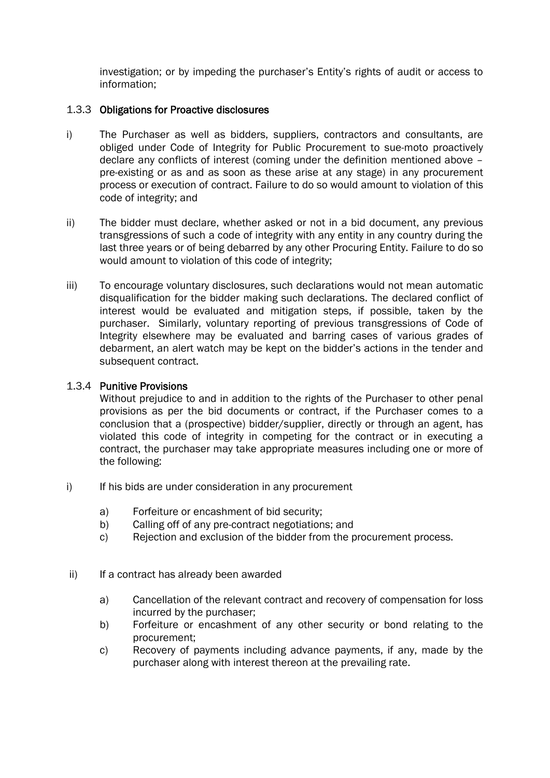investigation; or by impeding the purchaser's Entity's rights of audit or access to information;

#### 1.3.3 Obligations for Proactive disclosures

- i) The Purchaser as well as bidders, suppliers, contractors and consultants, are obliged under Code of Integrity for Public Procurement to sue-moto proactively declare any conflicts of interest (coming under the definition mentioned above – pre-existing or as and as soon as these arise at any stage) in any procurement process or execution of contract. Failure to do so would amount to violation of this code of integrity; and
- ii) The bidder must declare, whether asked or not in a bid document, any previous transgressions of such a code of integrity with any entity in any country during the last three years or of being debarred by any other Procuring Entity. Failure to do so would amount to violation of this code of integrity;
- iii) To encourage voluntary disclosures, such declarations would not mean automatic disqualification for the bidder making such declarations. The declared conflict of interest would be evaluated and mitigation steps, if possible, taken by the purchaser. Similarly, voluntary reporting of previous transgressions of Code of Integrity elsewhere may be evaluated and barring cases of various grades of debarment, an alert watch may be kept on the bidder's actions in the tender and subsequent contract.

#### 1.3.4 Punitive Provisions

Without prejudice to and in addition to the rights of the Purchaser to other penal provisions as per the bid documents or contract, if the Purchaser comes to a conclusion that a (prospective) bidder/supplier, directly or through an agent, has violated this code of integrity in competing for the contract or in executing a contract, the purchaser may take appropriate measures including one or more of the following:

- i) If his bids are under consideration in any procurement
	- a) Forfeiture or encashment of bid security;
	- b) Calling off of any pre-contract negotiations; and
	- c) Rejection and exclusion of the bidder from the procurement process.
- ii) If a contract has already been awarded
	- a) Cancellation of the relevant contract and recovery of compensation for loss incurred by the purchaser;
	- b) Forfeiture or encashment of any other security or bond relating to the procurement;
	- c) Recovery of payments including advance payments, if any, made by the purchaser along with interest thereon at the prevailing rate.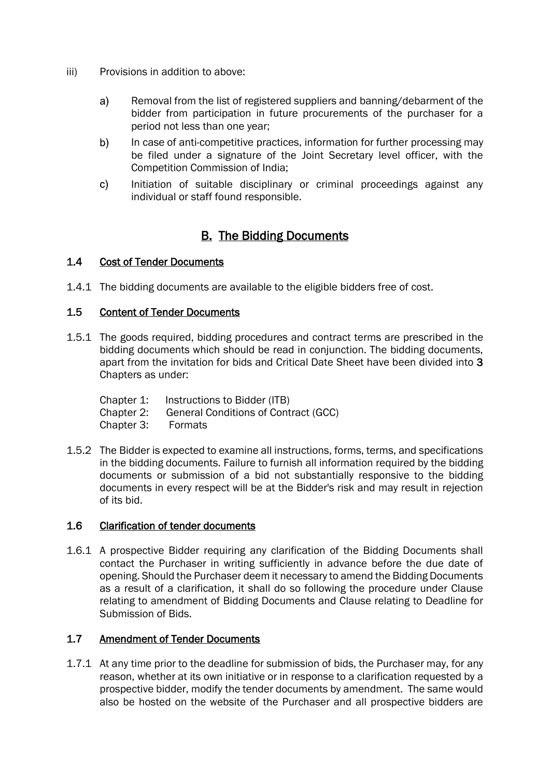- iii) Provisions in addition to above:
	- a) Removal from the list of registered suppliers and banning/debarment of the bidder from participation in future procurements of the purchaser for a period not less than one year;
	- $b)$ In case of anti-competitive practices, information for further processing may be filed under a signature of the Joint Secretary level officer, with the Competition Commission of India;
	- Initiation of suitable disciplinary or criminal proceedings against any  $\mathsf{c}$ individual or staff found responsible.

## B. The Bidding Documents

#### 1.4 Cost of Tender Documents

1.4.1 The bidding documents are available to the eligible bidders free of cost.

#### 1.5 Content of Tender Documents

- 1.5.1 The goods required, bidding procedures and contract terms are prescribed in the bidding documents which should be read in conjunction. The bidding documents, apart from the invitation for bids and Critical Date Sheet have been divided into 3 Chapters as under:
	- Chapter 1: Instructions to Bidder (ITB) Chapter 2: General Conditions of Contract (GCC) Chapter 3: Formats
- 1.5.2 The Bidder is expected to examine all instructions, forms, terms, and specifications in the bidding documents. Failure to furnish all information required by the bidding documents or submission of a bid not substantially responsive to the bidding documents in every respect will be at the Bidder's risk and may result in rejection of its bid.

#### 1.6 Clarification of tender documents

1.6.1 A prospective Bidder requiring any clarification of the Bidding Documents shall contact the Purchaser in writing sufficiently in advance before the due date of opening. Should the Purchaser deem it necessary to amend the Bidding Documents as a result of a clarification, it shall do so following the procedure under Clause relating to amendment of Bidding Documents and Clause relating to Deadline for Submission of Bids.

#### 1.7 Amendment of Tender Documents

1.7.1 At any time prior to the deadline for submission of bids, the Purchaser may, for any reason, whether at its own initiative or in response to a clarification requested by a prospective bidder, modify the tender documents by amendment. The same would also be hosted on the website of the Purchaser and all prospective bidders are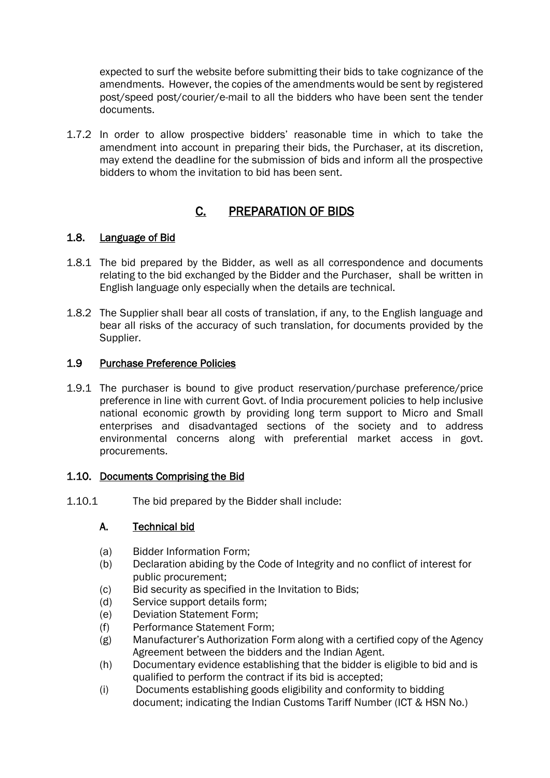expected to surf the website before submitting their bids to take cognizance of the amendments. However, the copies of the amendments would be sent by registered post/speed post/courier/e-mail to all the bidders who have been sent the tender documents.

1.7.2 In order to allow prospective bidders' reasonable time in which to take the amendment into account in preparing their bids, the Purchaser, at its discretion, may extend the deadline for the submission of bids and inform all the prospective bidders to whom the invitation to bid has been sent.

## C. PREPARATION OF BIDS

### 1.8. Language of Bid

- 1.8.1 The bid prepared by the Bidder, as well as all correspondence and documents relating to the bid exchanged by the Bidder and the Purchaser, shall be written in English language only especially when the details are technical.
- 1.8.2 The Supplier shall bear all costs of translation, if any, to the English language and bear all risks of the accuracy of such translation, for documents provided by the Supplier.

### 1.9 Purchase Preference Policies

1.9.1 The purchaser is bound to give product reservation/purchase preference/price preference in line with current Govt. of India procurement policies to help inclusive national economic growth by providing long term support to Micro and Small enterprises and disadvantaged sections of the society and to address environmental concerns along with preferential market access in govt. procurements.

#### 1.10. Documents Comprising the Bid

1.10.1 The bid prepared by the Bidder shall include:

### A. Technical bid

- (a) Bidder Information Form;
- (b) Declaration abiding by the Code of Integrity and no conflict of interest for public procurement;
- (c) Bid security as specified in the Invitation to Bids;
- (d) Service support details form;
- (e) Deviation Statement Form;
- (f) Performance Statement Form;
- (g) Manufacturer's Authorization Form along with a certified copy of the Agency Agreement between the bidders and the Indian Agent.
- (h) Documentary evidence establishing that the bidder is eligible to bid and is qualified to perform the contract if its bid is accepted;
- (i) Documents establishing goods eligibility and conformity to bidding document; indicating the Indian Customs Tariff Number (ICT & HSN No.)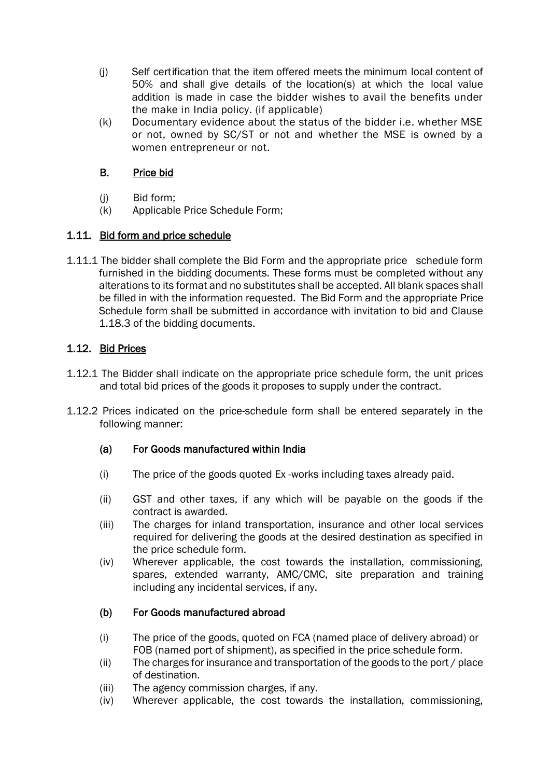- (j) Self certification that the item offered meets the minimum local content of 50% and shall give details of the location(s) at which the local value addition is made in case the bidder wishes to avail the benefits under the make in India policy. (if applicable)
- (k) Documentary evidence about the status of the bidder i.e. whether MSE or not, owned by SC/ST or not and whether the MSE is owned by a women entrepreneur or not.

### B. Price bid

- (j) Bid form;
- (k) Applicable Price Schedule Form;

## 1.11. Bid form and price schedule

1.11.1 The bidder shall complete the Bid Form and the appropriate price schedule form furnished in the bidding documents. These forms must be completed without any alterations to its format and no substitutes shall be accepted. All blank spaces shall be filled in with the information requested. The Bid Form and the appropriate Price Schedule form shall be submitted in accordance with invitation to bid and Clause 1.18.3 of the bidding documents.

## 1.12. Bid Prices

- 1.12.1 The Bidder shall indicate on the appropriate price schedule form, the unit prices and total bid prices of the goods it proposes to supply under the contract.
- 1.12.2 Prices indicated on the price-schedule form shall be entered separately in the following manner:

### (a) For Goods manufactured within India

- (i) The price of the goods quoted Ex -works including taxes already paid.
- (ii) GST and other taxes, if any which will be payable on the goods if the contract is awarded.
- (iii) The charges for inland transportation, insurance and other local services required for delivering the goods at the desired destination as specified in the price schedule form.
- (iv) Wherever applicable, the cost towards the installation, commissioning, spares, extended warranty, AMC/CMC, site preparation and training including any incidental services, if any.

## (b) For Goods manufactured abroad

- (i) The price of the goods, quoted on FCA (named place of delivery abroad) or FOB (named port of shipment), as specified in the price schedule form.
- (ii) The charges for insurance and transportation of the goods to the port / place of destination.
- (iii) The agency commission charges, if any.
- (iv) Wherever applicable, the cost towards the installation, commissioning,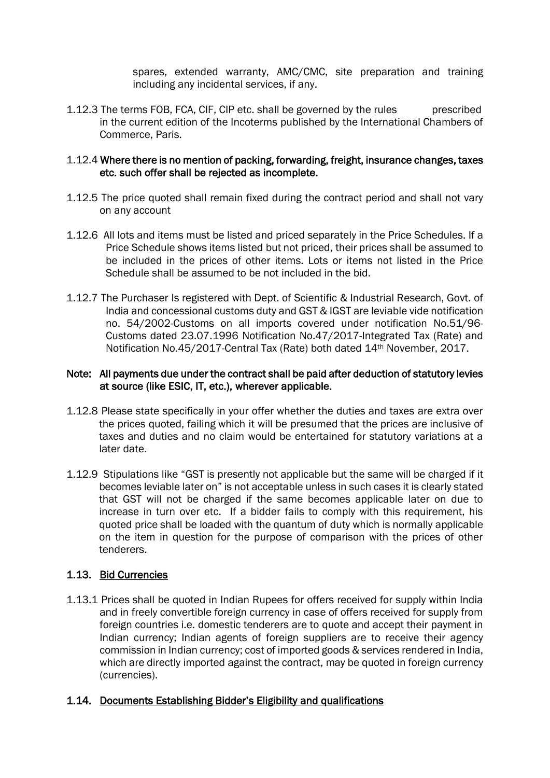spares, extended warranty, AMC/CMC, site preparation and training including any incidental services, if any.

1.12.3 The terms FOB, FCA, CIF, CIP etc. shall be governed by the rules prescribed in the current edition of the Incoterms published by the International Chambers of Commerce, Paris.

#### 1.12.4 Where there is no mention of packing, forwarding, freight, insurance changes, taxes etc. such offer shall be rejected as incomplete.

- 1.12.5 The price quoted shall remain fixed during the contract period and shall not vary on any account
- 1.12.6 All lots and items must be listed and priced separately in the Price Schedules. If a Price Schedule shows items listed but not priced, their prices shall be assumed to be included in the prices of other items. Lots or items not listed in the Price Schedule shall be assumed to be not included in the bid.
- 1.12.7 The Purchaser Is registered with Dept. of Scientific & Industrial Research, Govt. of India and concessional customs duty and GST & IGST are leviable vide notification no. 54/2002-Customs on all imports covered under notification No.51/96- Customs dated 23.07.1996 Notification No.47/2017-Integrated Tax (Rate) and Notification No.45/2017-Central Tax (Rate) both dated 14th November, 2017.

#### Note: All payments due under the contract shall be paid after deduction of statutory levies at source (like ESIC, IT, etc.), wherever applicable.

- 1.12.8 Please state specifically in your offer whether the duties and taxes are extra over the prices quoted, failing which it will be presumed that the prices are inclusive of taxes and duties and no claim would be entertained for statutory variations at a later date.
- 1.12.9 Stipulations like "GST is presently not applicable but the same will be charged if it becomes leviable later on" is not acceptable unless in such cases it is clearly stated that GST will not be charged if the same becomes applicable later on due to increase in turn over etc. If a bidder fails to comply with this requirement, his quoted price shall be loaded with the quantum of duty which is normally applicable on the item in question for the purpose of comparison with the prices of other tenderers.

#### 1.13. Bid Currencies

1.13.1 Prices shall be quoted in Indian Rupees for offers received for supply within India and in freely convertible foreign currency in case of offers received for supply from foreign countries i.e. domestic tenderers are to quote and accept their payment in Indian currency; Indian agents of foreign suppliers are to receive their agency commission in Indian currency; cost of imported goods & services rendered in India, which are directly imported against the contract, may be quoted in foreign currency (currencies).

#### 1.14. Documents Establishing Bidder's Eligibility and qualifications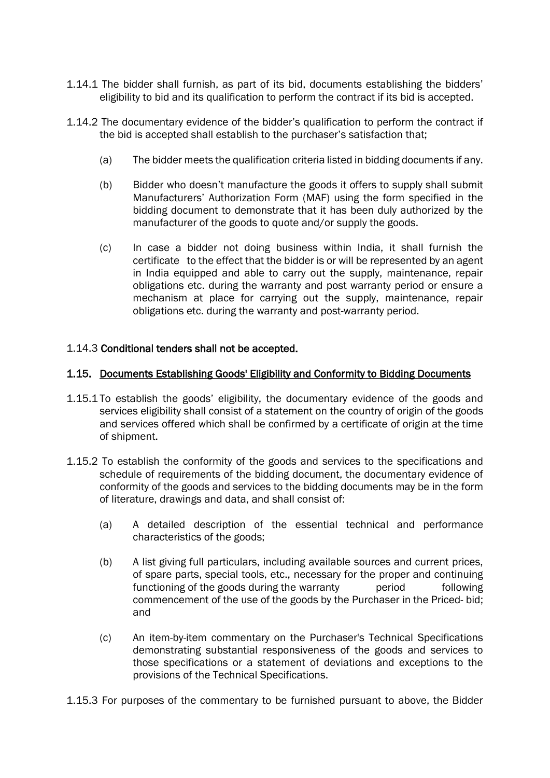- 1.14.1 The bidder shall furnish, as part of its bid, documents establishing the bidders' eligibility to bid and its qualification to perform the contract if its bid is accepted.
- 1.14.2 The documentary evidence of the bidder's qualification to perform the contract if the bid is accepted shall establish to the purchaser's satisfaction that;
	- (a) The bidder meets the qualification criteria listed in bidding documents if any.
	- (b) Bidder who doesn't manufacture the goods it offers to supply shall submit Manufacturers' Authorization Form (MAF) using the form specified in the bidding document to demonstrate that it has been duly authorized by the manufacturer of the goods to quote and/or supply the goods.
	- (c) In case a bidder not doing business within India, it shall furnish the certificate to the effect that the bidder is or will be represented by an agent in India equipped and able to carry out the supply, maintenance, repair obligations etc. during the warranty and post warranty period or ensure a mechanism at place for carrying out the supply, maintenance, repair obligations etc. during the warranty and post-warranty period.

#### 1.14.3 Conditional tenders shall not be accepted.

#### 1.15. Documents Establishing Goods' Eligibility and Conformity to Bidding Documents

- 1.15.1 To establish the goods' eligibility, the documentary evidence of the goods and services eligibility shall consist of a statement on the country of origin of the goods and services offered which shall be confirmed by a certificate of origin at the time of shipment.
- 1.15.2 To establish the conformity of the goods and services to the specifications and schedule of requirements of the bidding document, the documentary evidence of conformity of the goods and services to the bidding documents may be in the form of literature, drawings and data, and shall consist of:
	- (a) A detailed description of the essential technical and performance characteristics of the goods;
	- (b) A list giving full particulars, including available sources and current prices, of spare parts, special tools, etc., necessary for the proper and continuing functioning of the goods during the warranty beriod behind following commencement of the use of the goods by the Purchaser in the Priced- bid; and
	- (c) An item-by-item commentary on the Purchaser's Technical Specifications demonstrating substantial responsiveness of the goods and services to those specifications or a statement of deviations and exceptions to the provisions of the Technical Specifications.
- 1.15.3 For purposes of the commentary to be furnished pursuant to above, the Bidder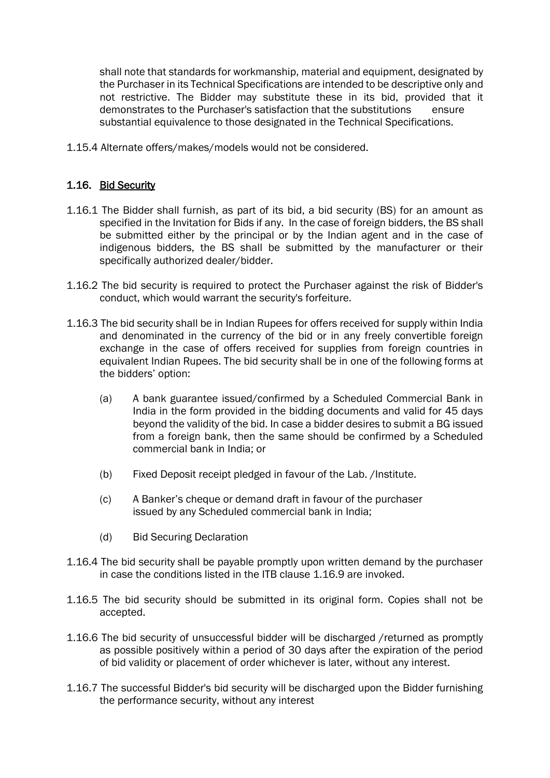shall note that standards for workmanship, material and equipment, designated by the Purchaser in its Technical Specifications are intended to be descriptive only and not restrictive. The Bidder may substitute these in its bid, provided that it demonstrates to the Purchaser's satisfaction that the substitutions ensure substantial equivalence to those designated in the Technical Specifications.

1.15.4 Alternate offers/makes/models would not be considered.

#### 1.16. Bid Security

- 1.16.1 The Bidder shall furnish, as part of its bid, a bid security (BS) for an amount as specified in the Invitation for Bids if any. In the case of foreign bidders, the BS shall be submitted either by the principal or by the Indian agent and in the case of indigenous bidders, the BS shall be submitted by the manufacturer or their specifically authorized dealer/bidder.
- 1.16.2 The bid security is required to protect the Purchaser against the risk of Bidder's conduct, which would warrant the security's forfeiture.
- 1.16.3 The bid security shall be in Indian Rupees for offers received for supply within India and denominated in the currency of the bid or in any freely convertible foreign exchange in the case of offers received for supplies from foreign countries in equivalent Indian Rupees. The bid security shall be in one of the following forms at the bidders' option:
	- (a) A bank guarantee issued/confirmed by a Scheduled Commercial Bank in India in the form provided in the bidding documents and valid for 45 days beyond the validity of the bid. In case a bidder desires to submit a BG issued from a foreign bank, then the same should be confirmed by a Scheduled commercial bank in India; or
	- (b) Fixed Deposit receipt pledged in favour of the Lab. /Institute.
	- (c) A Banker's cheque or demand draft in favour of the purchaser issued by any Scheduled commercial bank in India;
	- (d) Bid Securing Declaration
- 1.16.4 The bid security shall be payable promptly upon written demand by the purchaser in case the conditions listed in the ITB clause 1.16.9 are invoked.
- 1.16.5 The bid security should be submitted in its original form. Copies shall not be accepted.
- 1.16.6 The bid security of unsuccessful bidder will be discharged /returned as promptly as possible positively within a period of 30 days after the expiration of the period of bid validity or placement of order whichever is later, without any interest.
- 1.16.7 The successful Bidder's bid security will be discharged upon the Bidder furnishing the performance security, without any interest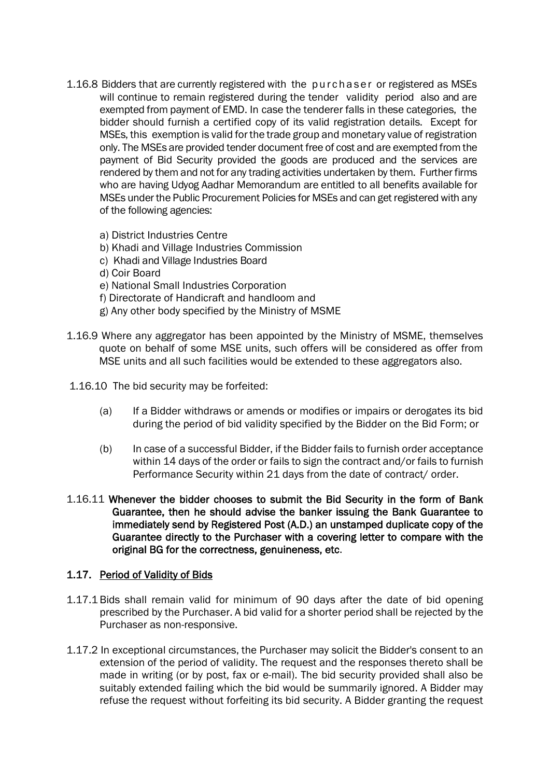- 1.16.8 Bidders that are currently registered with the purchaser or registered as MSEs will continue to remain registered during the tender validity period also and are exempted from payment of EMD. In case the tenderer falls in these categories, the bidder should furnish a certified copy of its valid registration details. Except for MSEs, this exemption is valid for the trade group and monetary value of registration only. The MSEs are provided tender document free of cost and are exempted from the payment of Bid Security provided the goods are produced and the services are rendered by them and not for any trading activities undertaken by them. Further firms who are having Udyog Aadhar Memorandum are entitled to all benefits available for MSEs under the Public Procurement Policies for MSEs and can get registered with any of the following agencies:
	- a) District Industries Centre
	- b) Khadi and Village Industries Commission
	- c) Khadi and Village Industries Board
	- d) Coir Board
	- e) National Small Industries Corporation
	- f) Directorate of Handicraft and handloom and
	- g) Any other body specified by the Ministry of MSME
- 1.16.9 Where any aggregator has been appointed by the Ministry of MSME, themselves quote on behalf of some MSE units, such offers will be considered as offer from MSE units and all such facilities would be extended to these aggregators also.
- 1.16.10 The bid security may be forfeited:
	- (a) If a Bidder withdraws or amends or modifies or impairs or derogates its bid during the period of bid validity specified by the Bidder on the Bid Form; or
	- (b) In case of a successful Bidder, if the Bidder fails to furnish order acceptance within 14 days of the order or fails to sign the contract and/or fails to furnish Performance Security within 21 days from the date of contract/ order.
- 1.16.11 Whenever the bidder chooses to submit the Bid Security in the form of Bank Guarantee, then he should advise the banker issuing the Bank Guarantee to immediately send by Registered Post (A.D.) an unstamped duplicate copy of the Guarantee directly to the Purchaser with a covering letter to compare with the original BG for the correctness, genuineness, etc.

#### 1.17. Period of Validity of Bids

- 1.17.1 Bids shall remain valid for minimum of 90 days after the date of bid opening prescribed by the Purchaser. A bid valid for a shorter period shall be rejected by the Purchaser as non-responsive.
- 1.17.2 In exceptional circumstances, the Purchaser may solicit the Bidder's consent to an extension of the period of validity. The request and the responses thereto shall be made in writing (or by post, fax or e-mail). The bid security provided shall also be suitably extended failing which the bid would be summarily ignored. A Bidder may refuse the request without forfeiting its bid security. A Bidder granting the request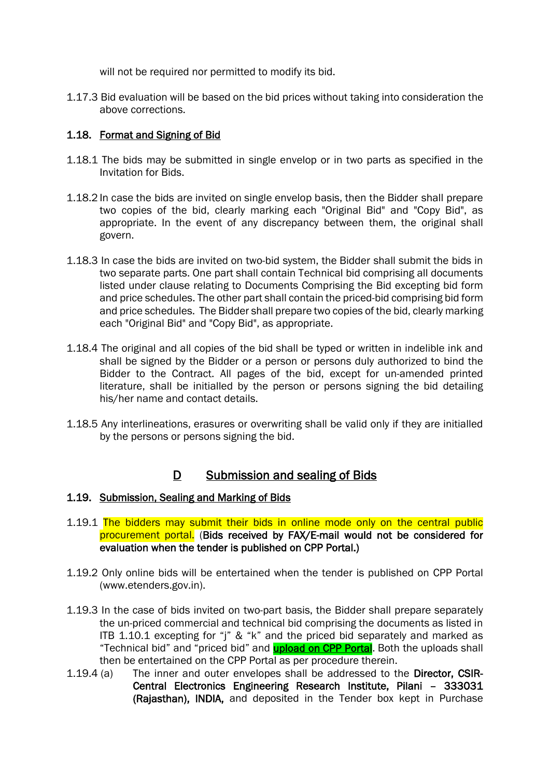will not be required nor permitted to modify its bid.

1.17.3 Bid evaluation will be based on the bid prices without taking into consideration the above corrections.

#### 1.18. Format and Signing of Bid

- 1.18.1 The bids may be submitted in single envelop or in two parts as specified in the Invitation for Bids.
- 1.18.2 In case the bids are invited on single envelop basis, then the Bidder shall prepare two copies of the bid, clearly marking each "Original Bid" and "Copy Bid", as appropriate. In the event of any discrepancy between them, the original shall govern.
- 1.18.3 In case the bids are invited on two-bid system, the Bidder shall submit the bids in two separate parts. One part shall contain Technical bid comprising all documents listed under clause relating to Documents Comprising the Bid excepting bid form and price schedules. The other part shall contain the priced-bid comprising bid form and price schedules. The Bidder shall prepare two copies of the bid, clearly marking each "Original Bid" and "Copy Bid", as appropriate.
- 1.18.4 The original and all copies of the bid shall be typed or written in indelible ink and shall be signed by the Bidder or a person or persons duly authorized to bind the Bidder to the Contract. All pages of the bid, except for un-amended printed literature, shall be initialled by the person or persons signing the bid detailing his/her name and contact details.
- 1.18.5 Any interlineations, erasures or overwriting shall be valid only if they are initialled by the persons or persons signing the bid.

### D Submission and sealing of Bids

#### 1.19. Submission, Sealing and Marking of Bids

- 1.19.1 The bidders may submit their bids in online mode only on the central public procurement portal. (Bids received by FAX/E-mail would not be considered for evaluation when the tender is published on CPP Portal.)
- 1.19.2 Only online bids will be entertained when the tender is published on CPP Portal (www.etenders.gov.in).
- 1.19.3 In the case of bids invited on two-part basis, the Bidder shall prepare separately the un-priced commercial and technical bid comprising the documents as listed in ITB 1.10.1 excepting for "j" & "k" and the priced bid separately and marked as "Technical bid" and "priced bid" and **upload on CPP Portal**. Both the uploads shall then be entertained on the CPP Portal as per procedure therein.
- 1.19.4 (a) The inner and outer envelopes shall be addressed to the Director, CSIR-Central Electronics Engineering Research Institute, Pilani – 333031 (Rajasthan), INDIA, and deposited in the Tender box kept in Purchase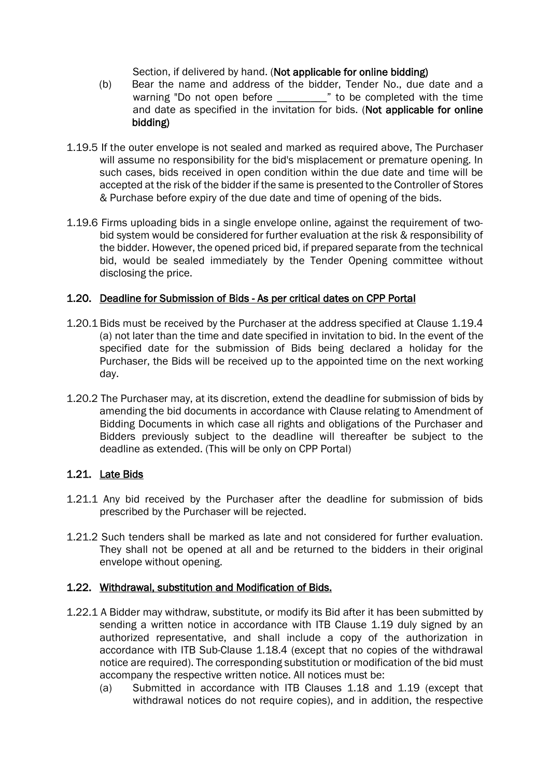Section, if delivered by hand. (Not applicable for online bidding)

- (b) Bear the name and address of the bidder, Tender No., due date and a warning "Do not open before \_\_\_\_\_\_\_\_\_" to be completed with the time and date as specified in the invitation for bids. (Not applicable for online bidding)
- 1.19.5 If the outer envelope is not sealed and marked as required above, The Purchaser will assume no responsibility for the bid's misplacement or premature opening. In such cases, bids received in open condition within the due date and time will be accepted at the risk of the bidder if the same is presented to the Controller of Stores & Purchase before expiry of the due date and time of opening of the bids.
- 1.19.6 Firms uploading bids in a single envelope online, against the requirement of twobid system would be considered for further evaluation at the risk & responsibility of the bidder. However, the opened priced bid, if prepared separate from the technical bid, would be sealed immediately by the Tender Opening committee without disclosing the price.

#### 1.20. Deadline for Submission of Bids - As per critical dates on CPP Portal

- 1.20.1 Bids must be received by the Purchaser at the address specified at Clause 1.19.4 (a) not later than the time and date specified in invitation to bid. In the event of the specified date for the submission of Bids being declared a holiday for the Purchaser, the Bids will be received up to the appointed time on the next working day.
- 1.20.2 The Purchaser may, at its discretion, extend the deadline for submission of bids by amending the bid documents in accordance with Clause relating to Amendment of Bidding Documents in which case all rights and obligations of the Purchaser and Bidders previously subject to the deadline will thereafter be subject to the deadline as extended. (This will be only on CPP Portal)

#### 1.21. Late Bids

- 1.21.1 Any bid received by the Purchaser after the deadline for submission of bids prescribed by the Purchaser will be rejected.
- 1.21.2 Such tenders shall be marked as late and not considered for further evaluation. They shall not be opened at all and be returned to the bidders in their original envelope without opening.

#### 1.22. Withdrawal, substitution and Modification of Bids.

- 1.22.1 A Bidder may withdraw, substitute, or modify its Bid after it has been submitted by sending a written notice in accordance with ITB Clause 1.19 duly signed by an authorized representative, and shall include a copy of the authorization in accordance with ITB Sub-Clause 1.18.4 (except that no copies of the withdrawal notice are required). The corresponding substitution or modification of the bid must accompany the respective written notice. All notices must be:
	- (a) Submitted in accordance with ITB Clauses 1.18 and 1.19 (except that withdrawal notices do not require copies), and in addition, the respective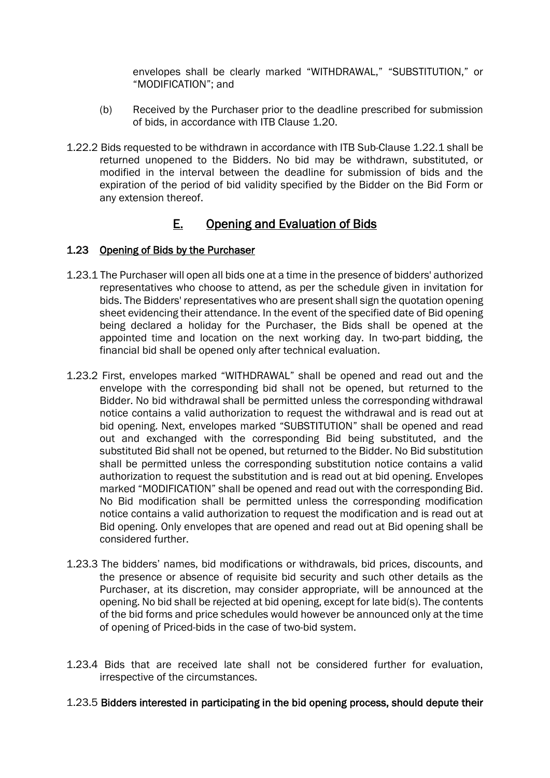envelopes shall be clearly marked "WITHDRAWAL," "SUBSTITUTION," or "MODIFICATION"; and

- (b) Received by the Purchaser prior to the deadline prescribed for submission of bids, in accordance with ITB Clause 1.20.
- 1.22.2 Bids requested to be withdrawn in accordance with ITB Sub-Clause 1.22.1 shall be returned unopened to the Bidders. No bid may be withdrawn, substituted, or modified in the interval between the deadline for submission of bids and the expiration of the period of bid validity specified by the Bidder on the Bid Form or any extension thereof.

## E. Opening and Evaluation of Bids

### 1.23 Opening of Bids by the Purchaser

- 1.23.1 The Purchaser will open all bids one at a time in the presence of bidders' authorized representatives who choose to attend, as per the schedule given in invitation for bids. The Bidders' representatives who are present shall sign the quotation opening sheet evidencing their attendance. In the event of the specified date of Bid opening being declared a holiday for the Purchaser, the Bids shall be opened at the appointed time and location on the next working day. In two-part bidding, the financial bid shall be opened only after technical evaluation.
- 1.23.2 First, envelopes marked "WITHDRAWAL" shall be opened and read out and the envelope with the corresponding bid shall not be opened, but returned to the Bidder. No bid withdrawal shall be permitted unless the corresponding withdrawal notice contains a valid authorization to request the withdrawal and is read out at bid opening. Next, envelopes marked "SUBSTITUTION" shall be opened and read out and exchanged with the corresponding Bid being substituted, and the substituted Bid shall not be opened, but returned to the Bidder. No Bid substitution shall be permitted unless the corresponding substitution notice contains a valid authorization to request the substitution and is read out at bid opening. Envelopes marked "MODIFICATION" shall be opened and read out with the corresponding Bid. No Bid modification shall be permitted unless the corresponding modification notice contains a valid authorization to request the modification and is read out at Bid opening. Only envelopes that are opened and read out at Bid opening shall be considered further.
- 1.23.3 The bidders' names, bid modifications or withdrawals, bid prices, discounts, and the presence or absence of requisite bid security and such other details as the Purchaser, at its discretion, may consider appropriate, will be announced at the opening. No bid shall be rejected at bid opening, except for late bid(s). The contents of the bid forms and price schedules would however be announced only at the time of opening of Priced-bids in the case of two-bid system.
- 1.23.4 Bids that are received late shall not be considered further for evaluation, irrespective of the circumstances.

#### 1.23.5 Bidders interested in participating in the bid opening process, should depute their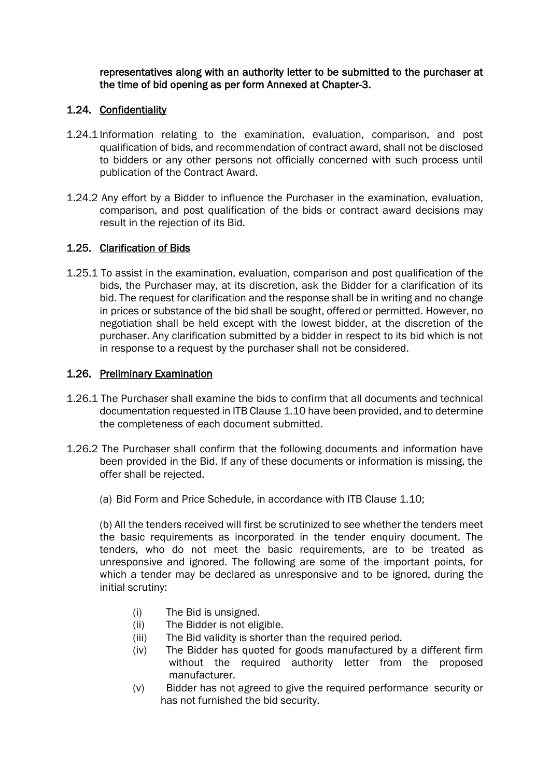representatives along with an authority letter to be submitted to the purchaser at the time of bid opening as per form Annexed at Chapter-3.

#### 1.24. Confidentiality

- 1.24.1 Information relating to the examination, evaluation, comparison, and post qualification of bids, and recommendation of contract award, shall not be disclosed to bidders or any other persons not officially concerned with such process until publication of the Contract Award.
- 1.24.2 Any effort by a Bidder to influence the Purchaser in the examination, evaluation, comparison, and post qualification of the bids or contract award decisions may result in the rejection of its Bid.

### 1.25. Clarification of Bids

1.25.1 To assist in the examination, evaluation, comparison and post qualification of the bids, the Purchaser may, at its discretion, ask the Bidder for a clarification of its bid. The request for clarification and the response shall be in writing and no change in prices or substance of the bid shall be sought, offered or permitted. However, no negotiation shall be held except with the lowest bidder, at the discretion of the purchaser. Any clarification submitted by a bidder in respect to its bid which is not in response to a request by the purchaser shall not be considered.

### 1.26. Preliminary Examination

- 1.26.1 The Purchaser shall examine the bids to confirm that all documents and technical documentation requested in ITB Clause 1.10 have been provided, and to determine the completeness of each document submitted.
- 1.26.2 The Purchaser shall confirm that the following documents and information have been provided in the Bid. If any of these documents or information is missing, the offer shall be rejected.
	- (a) Bid Form and Price Schedule, in accordance with ITB Clause 1.10;

(b) All the tenders received will first be scrutinized to see whether the tenders meet the basic requirements as incorporated in the tender enquiry document. The tenders, who do not meet the basic requirements, are to be treated as unresponsive and ignored. The following are some of the important points, for which a tender may be declared as unresponsive and to be ignored, during the initial scrutiny:

- (i) The Bid is unsigned.
- (ii) The Bidder is not eligible.
- (iii) The Bid validity is shorter than the required period.
- (iv) The Bidder has quoted for goods manufactured by a different firm without the required authority letter from the proposed manufacturer.
- (v) Bidder has not agreed to give the required performance security or has not furnished the bid security.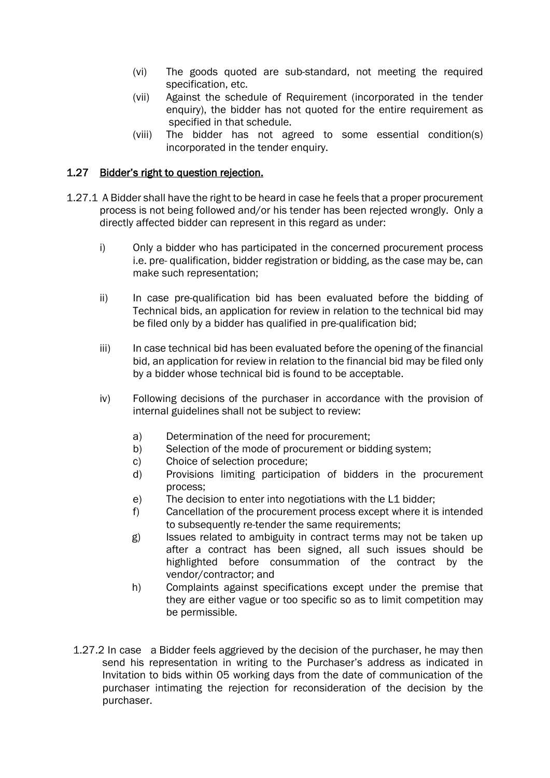- (vi) The goods quoted are sub-standard, not meeting the required specification, etc.
- (vii) Against the schedule of Requirement (incorporated in the tender enquiry), the bidder has not quoted for the entire requirement as specified in that schedule.
- (viii) The bidder has not agreed to some essential condition(s) incorporated in the tender enquiry.

#### 1.27 Bidder's right to question rejection.

- 1.27.1 A Bidder shall have the right to be heard in case he feels that a proper procurement process is not being followed and/or his tender has been rejected wrongly. Only a directly affected bidder can represent in this regard as under:
	- i) Only a bidder who has participated in the concerned procurement process i.e. pre- qualification, bidder registration or bidding, as the case may be, can make such representation;
	- ii) In case pre-qualification bid has been evaluated before the bidding of Technical bids, an application for review in relation to the technical bid may be filed only by a bidder has qualified in pre-qualification bid;
	- iii) In case technical bid has been evaluated before the opening of the financial bid, an application for review in relation to the financial bid may be filed only by a bidder whose technical bid is found to be acceptable.
	- iv) Following decisions of the purchaser in accordance with the provision of internal guidelines shall not be subject to review:
		- a) Determination of the need for procurement;
		- b) Selection of the mode of procurement or bidding system;
		- c) Choice of selection procedure;
		- d) Provisions limiting participation of bidders in the procurement process;
		- e) The decision to enter into negotiations with the L1 bidder;
		- f) Cancellation of the procurement process except where it is intended to subsequently re-tender the same requirements;
		- g) Issues related to ambiguity in contract terms may not be taken up after a contract has been signed, all such issues should be highlighted before consummation of the contract by the vendor/contractor; and
		- h) Complaints against specifications except under the premise that they are either vague or too specific so as to limit competition may be permissible.
	- 1.27.2 In case a Bidder feels aggrieved by the decision of the purchaser, he may then send his representation in writing to the Purchaser's address as indicated in Invitation to bids within 05 working days from the date of communication of the purchaser intimating the rejection for reconsideration of the decision by the purchaser.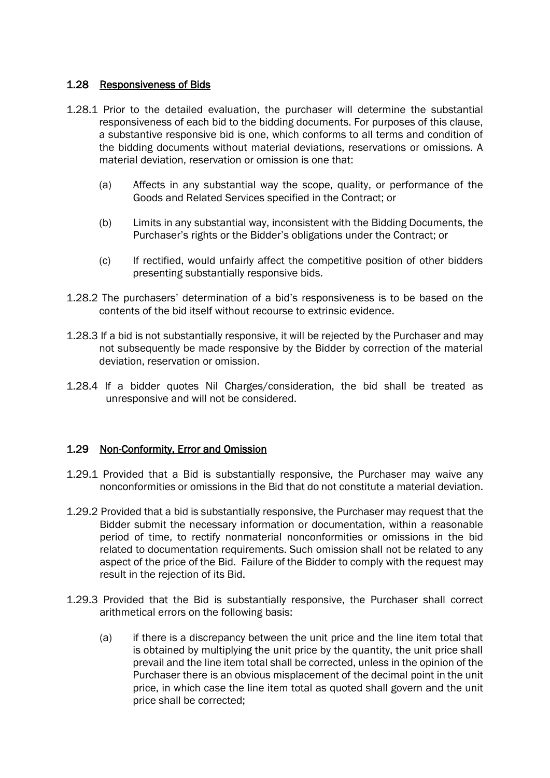#### 1.28 Responsiveness of Bids

- 1.28.1 Prior to the detailed evaluation, the purchaser will determine the substantial responsiveness of each bid to the bidding documents. For purposes of this clause, a substantive responsive bid is one, which conforms to all terms and condition of the bidding documents without material deviations, reservations or omissions. A material deviation, reservation or omission is one that:
	- (a) Affects in any substantial way the scope, quality, or performance of the Goods and Related Services specified in the Contract; or
	- (b) Limits in any substantial way, inconsistent with the Bidding Documents, the Purchaser's rights or the Bidder's obligations under the Contract; or
	- (c) If rectified, would unfairly affect the competitive position of other bidders presenting substantially responsive bids.
- 1.28.2 The purchasers' determination of a bid's responsiveness is to be based on the contents of the bid itself without recourse to extrinsic evidence.
- 1.28.3 If a bid is not substantially responsive, it will be rejected by the Purchaser and may not subsequently be made responsive by the Bidder by correction of the material deviation, reservation or omission.
- 1.28.4 If a bidder quotes Nil Charges/consideration, the bid shall be treated as unresponsive and will not be considered.

#### 1.29 Non-Conformity, Error and Omission

- 1.29.1 Provided that a Bid is substantially responsive, the Purchaser may waive any nonconformities or omissions in the Bid that do not constitute a material deviation.
- 1.29.2 Provided that a bid is substantially responsive, the Purchaser may request that the Bidder submit the necessary information or documentation, within a reasonable period of time, to rectify nonmaterial nonconformities or omissions in the bid related to documentation requirements. Such omission shall not be related to any aspect of the price of the Bid. Failure of the Bidder to comply with the request may result in the rejection of its Bid.
- 1.29.3 Provided that the Bid is substantially responsive, the Purchaser shall correct arithmetical errors on the following basis:
	- (a) if there is a discrepancy between the unit price and the line item total that is obtained by multiplying the unit price by the quantity, the unit price shall prevail and the line item total shall be corrected, unless in the opinion of the Purchaser there is an obvious misplacement of the decimal point in the unit price, in which case the line item total as quoted shall govern and the unit price shall be corrected;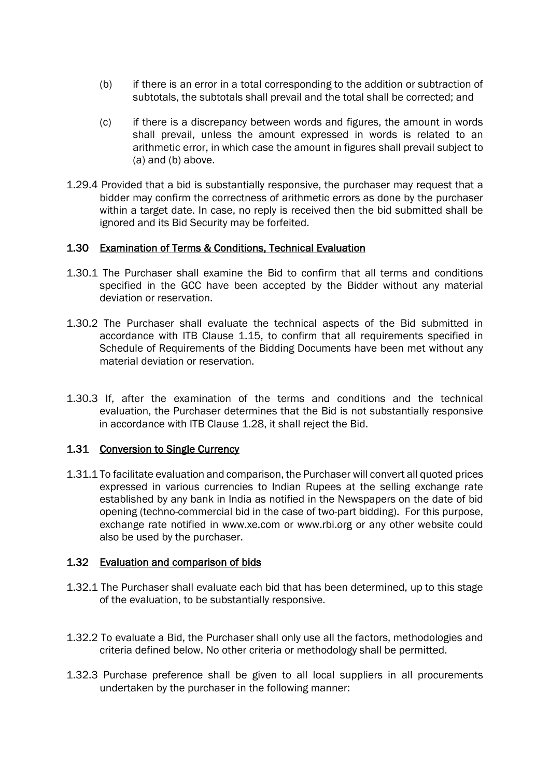- (b) if there is an error in a total corresponding to the addition or subtraction of subtotals, the subtotals shall prevail and the total shall be corrected; and
- (c) if there is a discrepancy between words and figures, the amount in words shall prevail, unless the amount expressed in words is related to an arithmetic error, in which case the amount in figures shall prevail subject to (a) and (b) above.
- 1.29.4 Provided that a bid is substantially responsive, the purchaser may request that a bidder may confirm the correctness of arithmetic errors as done by the purchaser within a target date. In case, no reply is received then the bid submitted shall be ignored and its Bid Security may be forfeited.

#### 1.30 Examination of Terms & Conditions, Technical Evaluation

- 1.30.1 The Purchaser shall examine the Bid to confirm that all terms and conditions specified in the GCC have been accepted by the Bidder without any material deviation or reservation.
- 1.30.2 The Purchaser shall evaluate the technical aspects of the Bid submitted in accordance with ITB Clause 1.15, to confirm that all requirements specified in Schedule of Requirements of the Bidding Documents have been met without any material deviation or reservation.
- 1.30.3 If, after the examination of the terms and conditions and the technical evaluation, the Purchaser determines that the Bid is not substantially responsive in accordance with ITB Clause 1.28, it shall reject the Bid.

#### 1.31 Conversion to Single Currency

1.31.1 To facilitate evaluation and comparison, the Purchaser will convert all quoted prices expressed in various currencies to Indian Rupees at the selling exchange rate established by any bank in India as notified in the Newspapers on the date of bid opening (techno-commercial bid in the case of two-part bidding). For this purpose, exchange rate notified in www.xe.com or www.rbi.org or any other website could also be used by the purchaser.

#### 1.32 Evaluation and comparison of bids

- 1.32.1 The Purchaser shall evaluate each bid that has been determined, up to this stage of the evaluation, to be substantially responsive.
- 1.32.2 To evaluate a Bid, the Purchaser shall only use all the factors, methodologies and criteria defined below. No other criteria or methodology shall be permitted.
- 1.32.3 Purchase preference shall be given to all local suppliers in all procurements undertaken by the purchaser in the following manner: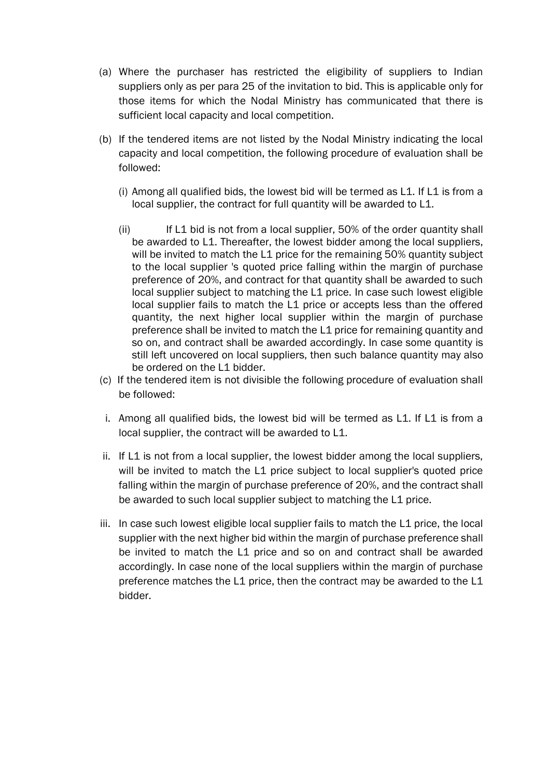- (a) Where the purchaser has restricted the eligibility of suppliers to Indian suppliers only as per para 25 of the invitation to bid. This is applicable only for those items for which the Nodal Ministry has communicated that there is sufficient local capacity and local competition.
- (b) If the tendered items are not listed by the Nodal Ministry indicating the local capacity and local competition, the following procedure of evaluation shall be followed:
	- (i) Among all qualified bids, the lowest bid will be termed as L1. If L1 is from a local supplier, the contract for full quantity will be awarded to L1.
	- (ii) If L1 bid is not from a local supplier, 50% of the order quantity shall be awarded to L1. Thereafter, the lowest bidder among the local suppliers, will be invited to match the L1 price for the remaining 50% quantity subject to the local supplier 's quoted price falling within the margin of purchase preference of 20%, and contract for that quantity shall be awarded to such local supplier subject to matching the L1 price. In case such lowest eligible local supplier fails to match the L1 price or accepts less than the offered quantity, the next higher local supplier within the margin of purchase preference shall be invited to match the L1 price for remaining quantity and so on, and contract shall be awarded accordingly. In case some quantity is still left uncovered on local suppliers, then such balance quantity may also be ordered on the L1 bidder.
- (c) If the tendered item is not divisible the following procedure of evaluation shall be followed:
- i. Among all qualified bids, the lowest bid will be termed as L1. If L1 is from a local supplier, the contract will be awarded to L1.
- ii. If L1 is not from a local supplier, the lowest bidder among the local suppliers, will be invited to match the L1 price subject to local supplier's quoted price falling within the margin of purchase preference of 20%, and the contract shall be awarded to such local supplier subject to matching the L1 price.
- iii. In case such lowest eligible local supplier fails to match the L1 price, the local supplier with the next higher bid within the margin of purchase preference shall be invited to match the L1 price and so on and contract shall be awarded accordingly. In case none of the local suppliers within the margin of purchase preference matches the L1 price, then the contract may be awarded to the L1 bidder.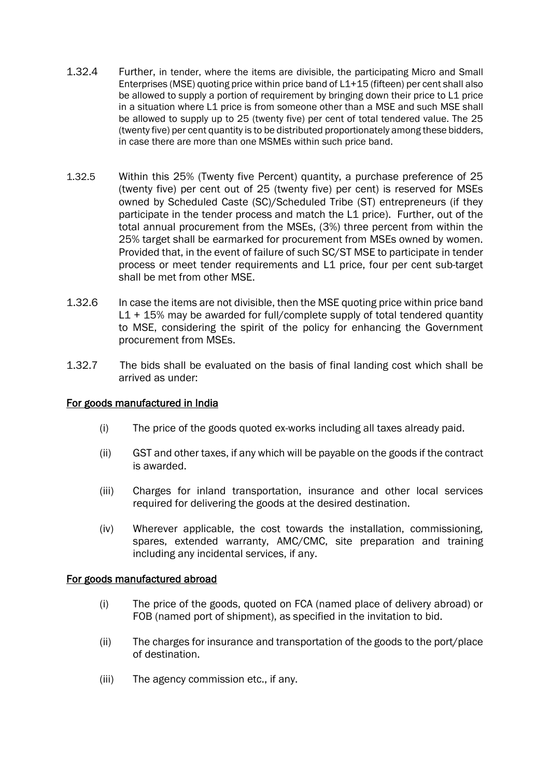- 1.32.4 Further, in tender, where the items are divisible, the participating Micro and Small Enterprises (MSE) quoting price within price band of L1+15 (fifteen) per cent shall also be allowed to supply a portion of requirement by bringing down their price to L1 price in a situation where L1 price is from someone other than a MSE and such MSE shall be allowed to supply up to 25 (twenty five) per cent of total tendered value. The 25 (twenty five) per cent quantity is to be distributed proportionately among these bidders, in case there are more than one MSMEs within such price band.
- 1.32.5 Within this 25% (Twenty five Percent) quantity, a purchase preference of 25 (twenty five) per cent out of 25 (twenty five) per cent) is reserved for MSEs owned by Scheduled Caste (SC)/Scheduled Tribe (ST) entrepreneurs (if they participate in the tender process and match the L1 price). Further, out of the total annual procurement from the MSEs, (3%) three percent from within the 25% target shall be earmarked for procurement from MSEs owned by women. Provided that, in the event of failure of such SC/ST MSE to participate in tender process or meet tender requirements and L1 price, four per cent sub-target shall be met from other MSE.
- 1.32.6 In case the items are not divisible, then the MSE quoting price within price band L1 + 15% may be awarded for full/complete supply of total tendered quantity to MSE, considering the spirit of the policy for enhancing the Government procurement from MSEs.
- 1.32.7 The bids shall be evaluated on the basis of final landing cost which shall be arrived as under:

#### For goods manufactured in India

- (i) The price of the goods quoted ex-works including all taxes already paid.
- (ii) GST and other taxes, if any which will be payable on the goods if the contract is awarded.
- (iii) Charges for inland transportation, insurance and other local services required for delivering the goods at the desired destination.
- (iv) Wherever applicable, the cost towards the installation, commissioning, spares, extended warranty, AMC/CMC, site preparation and training including any incidental services, if any.

#### For goods manufactured abroad

- (i) The price of the goods, quoted on FCA (named place of delivery abroad) or FOB (named port of shipment), as specified in the invitation to bid.
- (ii) The charges for insurance and transportation of the goods to the port/place of destination.
- (iii) The agency commission etc., if any.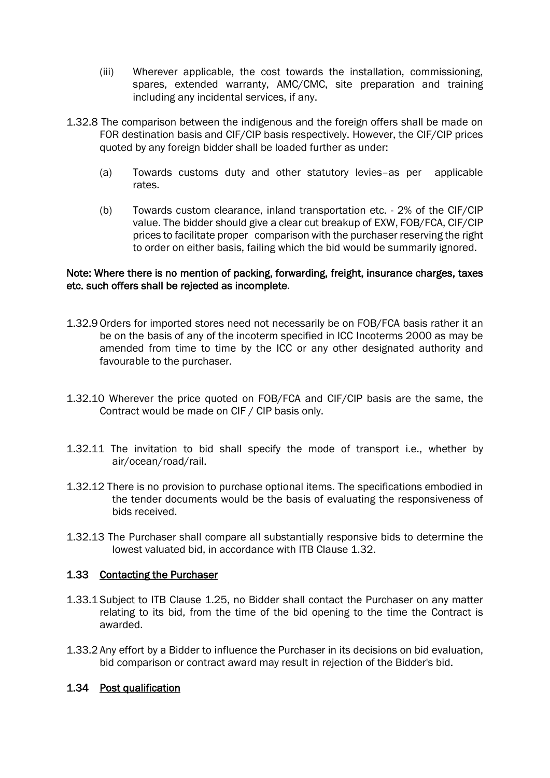- (iii) Wherever applicable, the cost towards the installation, commissioning, spares, extended warranty, AMC/CMC, site preparation and training including any incidental services, if any.
- 1.32.8 The comparison between the indigenous and the foreign offers shall be made on FOR destination basis and CIF/CIP basis respectively. However, the CIF/CIP prices quoted by any foreign bidder shall be loaded further as under:
	- (a) Towards customs duty and other statutory levies–as per applicable rates.
	- (b) Towards custom clearance, inland transportation etc. 2% of the CIF/CIP value. The bidder should give a clear cut breakup of EXW, FOB/FCA, CIF/CIP prices to facilitate proper comparison with the purchaser reserving the right to order on either basis, failing which the bid would be summarily ignored.

#### Note: Where there is no mention of packing, forwarding, freight, insurance charges, taxes etc. such offers shall be rejected as incomplete.

- 1.32.9 Orders for imported stores need not necessarily be on FOB/FCA basis rather it an be on the basis of any of the incoterm specified in ICC Incoterms 2000 as may be amended from time to time by the ICC or any other designated authority and favourable to the purchaser.
- 1.32.10 Wherever the price quoted on FOB/FCA and CIF/CIP basis are the same, the Contract would be made on CIF / CIP basis only.
- 1.32.11 The invitation to bid shall specify the mode of transport i.e., whether by air/ocean/road/rail.
- 1.32.12 There is no provision to purchase optional items. The specifications embodied in the tender documents would be the basis of evaluating the responsiveness of bids received.
- 1.32.13 The Purchaser shall compare all substantially responsive bids to determine the lowest valuated bid, in accordance with ITB Clause 1.32.

#### 1.33 Contacting the Purchaser

- 1.33.1 Subject to ITB Clause 1.25, no Bidder shall contact the Purchaser on any matter relating to its bid, from the time of the bid opening to the time the Contract is awarded.
- 1.33.2 Any effort by a Bidder to influence the Purchaser in its decisions on bid evaluation, bid comparison or contract award may result in rejection of the Bidder's bid.

#### 1.34 Post qualification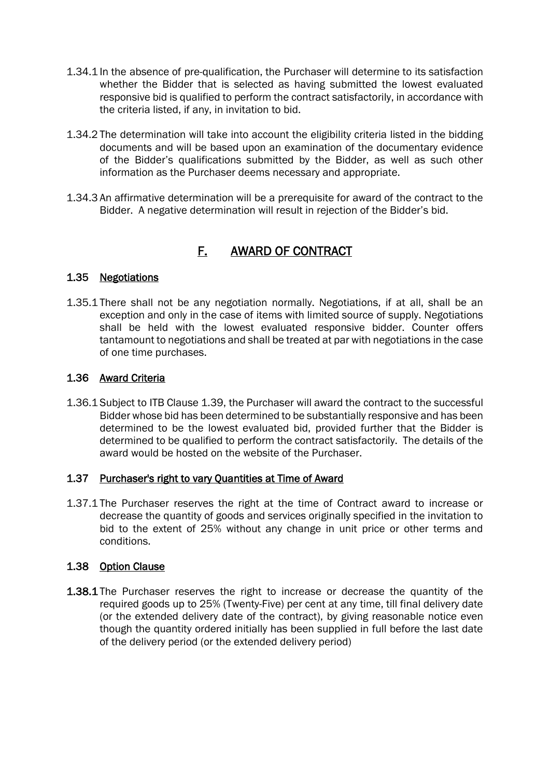- 1.34.1 In the absence of pre-qualification, the Purchaser will determine to its satisfaction whether the Bidder that is selected as having submitted the lowest evaluated responsive bid is qualified to perform the contract satisfactorily, in accordance with the criteria listed, if any, in invitation to bid.
- 1.34.2 The determination will take into account the eligibility criteria listed in the bidding documents and will be based upon an examination of the documentary evidence of the Bidder's qualifications submitted by the Bidder, as well as such other information as the Purchaser deems necessary and appropriate.
- 1.34.3 An affirmative determination will be a prerequisite for award of the contract to the Bidder. A negative determination will result in rejection of the Bidder's bid.

## F. AWARD OF CONTRACT

#### 1.35 Negotiations

1.35.1 There shall not be any negotiation normally. Negotiations, if at all, shall be an exception and only in the case of items with limited source of supply. Negotiations shall be held with the lowest evaluated responsive bidder. Counter offers tantamount to negotiations and shall be treated at par with negotiations in the case of one time purchases.

### 1.36 Award Criteria

1.36.1 Subject to ITB Clause 1.39, the Purchaser will award the contract to the successful Bidder whose bid has been determined to be substantially responsive and has been determined to be the lowest evaluated bid, provided further that the Bidder is determined to be qualified to perform the contract satisfactorily. The details of the award would be hosted on the website of the Purchaser.

#### 1.37 Purchaser's right to vary Quantities at Time of Award

1.37.1 The Purchaser reserves the right at the time of Contract award to increase or decrease the quantity of goods and services originally specified in the invitation to bid to the extent of 25% without any change in unit price or other terms and conditions.

#### 1.38 Option Clause

1.38.1 The Purchaser reserves the right to increase or decrease the quantity of the required goods up to 25% (Twenty-Five) per cent at any time, till final delivery date (or the extended delivery date of the contract), by giving reasonable notice even though the quantity ordered initially has been supplied in full before the last date of the delivery period (or the extended delivery period)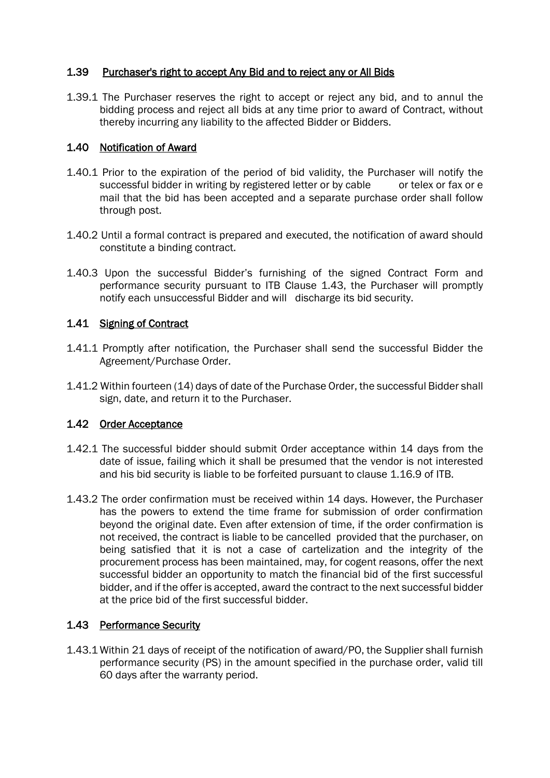#### 1.39 Purchaser's right to accept Any Bid and to reject any or All Bids

1.39.1 The Purchaser reserves the right to accept or reject any bid, and to annul the bidding process and reject all bids at any time prior to award of Contract, without thereby incurring any liability to the affected Bidder or Bidders.

#### 1.40 Notification of Award

- 1.40.1 Prior to the expiration of the period of bid validity, the Purchaser will notify the successful bidder in writing by registered letter or by cable or telex or fax or e mail that the bid has been accepted and a separate purchase order shall follow through post.
- 1.40.2 Until a formal contract is prepared and executed, the notification of award should constitute a binding contract.
- 1.40.3 Upon the successful Bidder's furnishing of the signed Contract Form and performance security pursuant to ITB Clause 1.43, the Purchaser will promptly notify each unsuccessful Bidder and will discharge its bid security.

### 1.41 Signing of Contract

- 1.41.1 Promptly after notification, the Purchaser shall send the successful Bidder the Agreement/Purchase Order.
- 1.41.2 Within fourteen (14) days of date of the Purchase Order, the successful Bidder shall sign, date, and return it to the Purchaser.

### 1.42 Order Acceptance

- 1.42.1 The successful bidder should submit Order acceptance within 14 days from the date of issue, failing which it shall be presumed that the vendor is not interested and his bid security is liable to be forfeited pursuant to clause 1.16.9 of ITB.
- 1.43.2 The order confirmation must be received within 14 days. However, the Purchaser has the powers to extend the time frame for submission of order confirmation beyond the original date. Even after extension of time, if the order confirmation is not received, the contract is liable to be cancelled provided that the purchaser, on being satisfied that it is not a case of cartelization and the integrity of the procurement process has been maintained, may, for cogent reasons, offer the next successful bidder an opportunity to match the financial bid of the first successful bidder, and if the offer is accepted, award the contract to the next successful bidder at the price bid of the first successful bidder.

#### 1.43 Performance Security

1.43.1 Within 21 days of receipt of the notification of award/PO, the Supplier shall furnish performance security (PS) in the amount specified in the purchase order, valid till 60 days after the warranty period.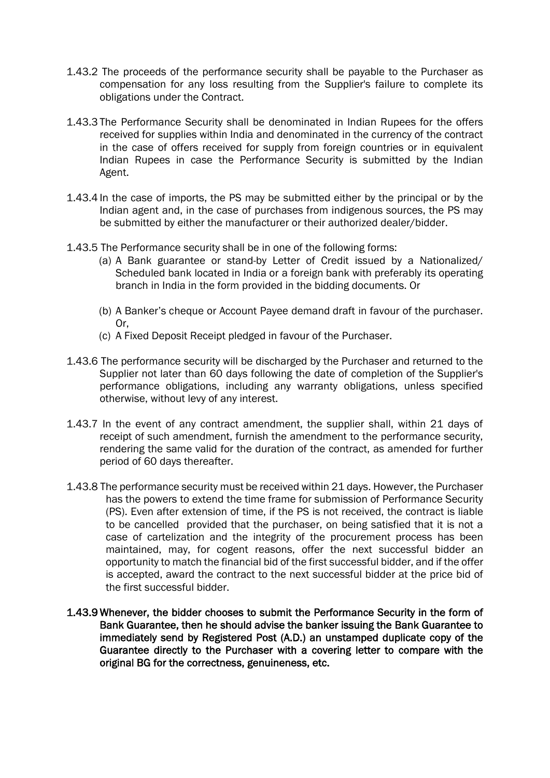- 1.43.2 The proceeds of the performance security shall be payable to the Purchaser as compensation for any loss resulting from the Supplier's failure to complete its obligations under the Contract.
- 1.43.3 The Performance Security shall be denominated in Indian Rupees for the offers received for supplies within India and denominated in the currency of the contract in the case of offers received for supply from foreign countries or in equivalent Indian Rupees in case the Performance Security is submitted by the Indian Agent.
- 1.43.4 In the case of imports, the PS may be submitted either by the principal or by the Indian agent and, in the case of purchases from indigenous sources, the PS may be submitted by either the manufacturer or their authorized dealer/bidder.
- 1.43.5 The Performance security shall be in one of the following forms:
	- (a) A Bank guarantee or stand-by Letter of Credit issued by a Nationalized/ Scheduled bank located in India or a foreign bank with preferably its operating branch in India in the form provided in the bidding documents. Or
	- (b) A Banker's cheque or Account Payee demand draft in favour of the purchaser. Or,
	- (c) A Fixed Deposit Receipt pledged in favour of the Purchaser.
- 1.43.6 The performance security will be discharged by the Purchaser and returned to the Supplier not later than 60 days following the date of completion of the Supplier's performance obligations, including any warranty obligations, unless specified otherwise, without levy of any interest.
- 1.43.7 In the event of any contract amendment, the supplier shall, within 21 days of receipt of such amendment, furnish the amendment to the performance security, rendering the same valid for the duration of the contract, as amended for further period of 60 days thereafter.
- 1.43.8 The performance security must be received within 21 days. However, the Purchaser has the powers to extend the time frame for submission of Performance Security (PS). Even after extension of time, if the PS is not received, the contract is liable to be cancelled provided that the purchaser, on being satisfied that it is not a case of cartelization and the integrity of the procurement process has been maintained, may, for cogent reasons, offer the next successful bidder an opportunity to match the financial bid of the first successful bidder, and if the offer is accepted, award the contract to the next successful bidder at the price bid of the first successful bidder.
- 1.43.9 Whenever, the bidder chooses to submit the Performance Security in the form of Bank Guarantee, then he should advise the banker issuing the Bank Guarantee to immediately send by Registered Post (A.D.) an unstamped duplicate copy of the Guarantee directly to the Purchaser with a covering letter to compare with the original BG for the correctness, genuineness, etc.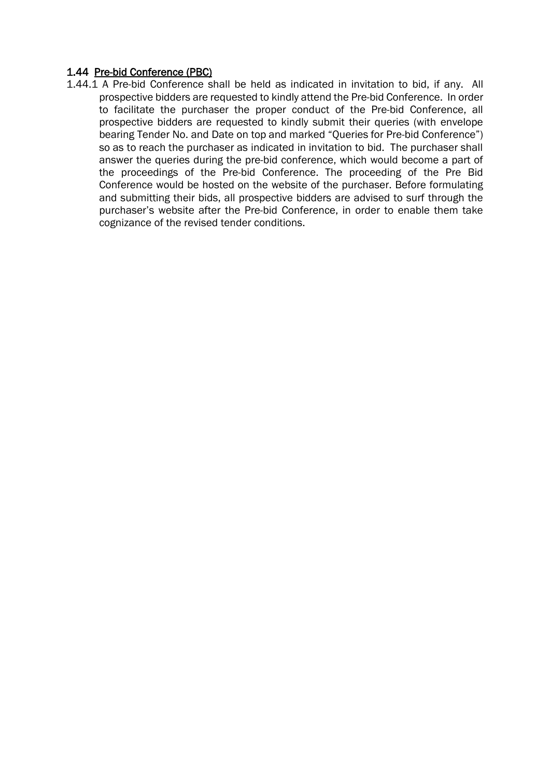#### 1.44 Pre-bid Conference (PBC)

1.44.1 A Pre-bid Conference shall be held as indicated in invitation to bid, if any. All prospective bidders are requested to kindly attend the Pre-bid Conference. In order to facilitate the purchaser the proper conduct of the Pre-bid Conference, all prospective bidders are requested to kindly submit their queries (with envelope bearing Tender No. and Date on top and marked "Queries for Pre-bid Conference") so as to reach the purchaser as indicated in invitation to bid. The purchaser shall answer the queries during the pre-bid conference, which would become a part of the proceedings of the Pre-bid Conference. The proceeding of the Pre Bid Conference would be hosted on the website of the purchaser. Before formulating and submitting their bids, all prospective bidders are advised to surf through the purchaser's website after the Pre-bid Conference, in order to enable them take cognizance of the revised tender conditions.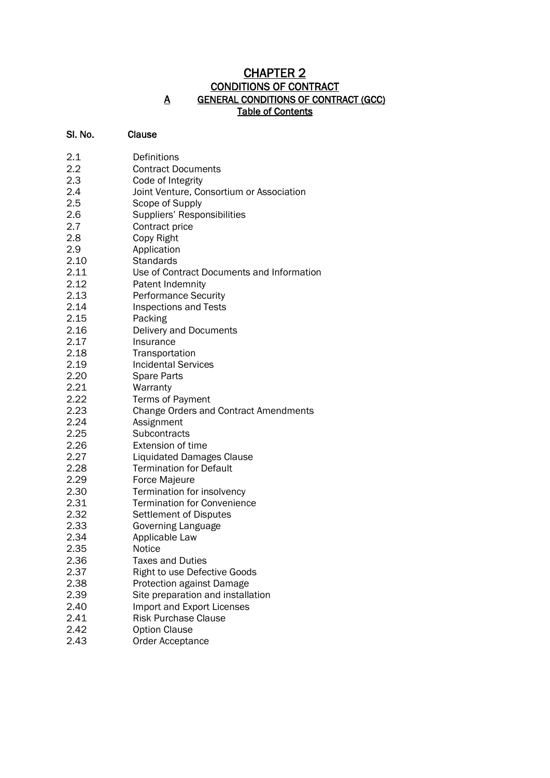### CHAPTER 2 CONDITIONS OF CONTRACT A GENERAL CONDITIONS OF CONTRACT (GCC) Table of Contents

#### Sl. No. Clause

| 2.1  | Definitions                                  |
|------|----------------------------------------------|
| 2.2  | <b>Contract Documents</b>                    |
| 2.3  | Code of Integrity                            |
| 2.4  | Joint Venture, Consortium or Association     |
| 2.5  | Scope of Supply                              |
| 2.6  | Suppliers' Responsibilities                  |
| 2.7  | Contract price                               |
| 2.8  | Copy Right                                   |
| 2.9  | Application                                  |
| 2.10 | <b>Standards</b>                             |
| 2.11 | Use of Contract Documents and Information    |
| 2.12 | Patent Indemnity                             |
| 2.13 | <b>Performance Security</b>                  |
| 2.14 | <b>Inspections and Tests</b>                 |
| 2.15 | Packing                                      |
| 2.16 | Delivery and Documents                       |
| 2.17 | Insurance                                    |
| 2.18 | Transportation                               |
| 2.19 | <b>Incidental Services</b>                   |
| 2.20 | Spare Parts                                  |
| 2.21 | Warranty                                     |
| 2.22 | Terms of Payment                             |
| 2.23 | <b>Change Orders and Contract Amendments</b> |
| 2.24 | Assignment                                   |
| 2.25 | Subcontracts                                 |
| 2.26 | <b>Extension of time</b>                     |
| 2.27 | <b>Liquidated Damages Clause</b>             |
| 2.28 | <b>Termination for Default</b>               |
| 2.29 | Force Majeure                                |
| 2.30 | Termination for insolvency                   |
| 2.31 | <b>Termination for Convenience</b>           |
| 2.32 | Settlement of Disputes                       |
| 2.33 | Governing Language                           |
| 2.34 | Applicable Law                               |
| 2.35 | Notice                                       |
| 2.36 | <b>Taxes and Duties</b>                      |
| 2.37 | <b>Right to use Defective Goods</b>          |
| 2.38 | <b>Protection against Damage</b>             |
| 2.39 | Site preparation and installation            |
| 2.40 | Import and Export Licenses                   |
| 2.41 | <b>Risk Purchase Clause</b>                  |
| 2.42 | <b>Option Clause</b>                         |
| 2.43 | Order Acceptance                             |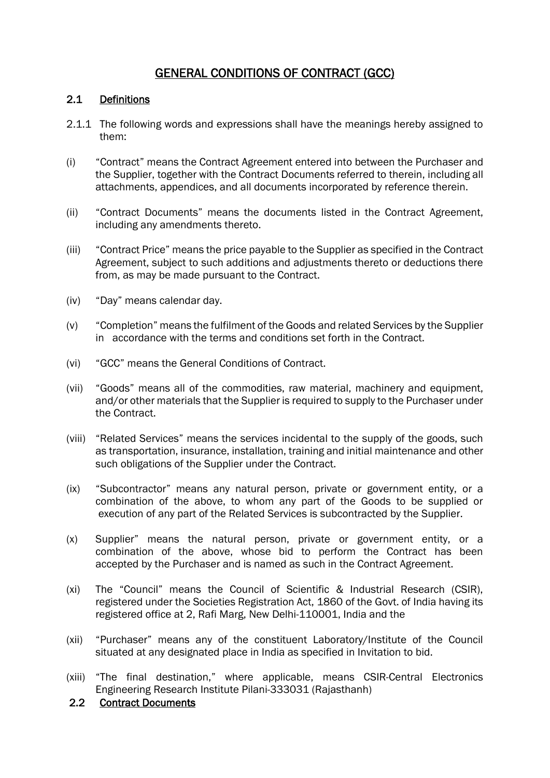## GENERAL CONDITIONS OF CONTRACT (GCC)

#### 2.1 Definitions

- 2.1.1 The following words and expressions shall have the meanings hereby assigned to them:
- (i) "Contract" means the Contract Agreement entered into between the Purchaser and the Supplier, together with the Contract Documents referred to therein, including all attachments, appendices, and all documents incorporated by reference therein.
- (ii) "Contract Documents" means the documents listed in the Contract Agreement, including any amendments thereto.
- (iii) "Contract Price" means the price payable to the Supplier as specified in the Contract Agreement, subject to such additions and adjustments thereto or deductions there from, as may be made pursuant to the Contract.
- (iv) "Day" means calendar day.
- (v) "Completion" means the fulfilment of the Goods and related Services by the Supplier in accordance with the terms and conditions set forth in the Contract.
- (vi) "GCC" means the General Conditions of Contract.
- (vii) "Goods" means all of the commodities, raw material, machinery and equipment, and/or other materials that the Supplier is required to supply to the Purchaser under the Contract.
- (viii) "Related Services" means the services incidental to the supply of the goods, such as transportation, insurance, installation, training and initial maintenance and other such obligations of the Supplier under the Contract.
- (ix) "Subcontractor" means any natural person, private or government entity, or a combination of the above, to whom any part of the Goods to be supplied or execution of any part of the Related Services is subcontracted by the Supplier.
- (x) Supplier" means the natural person, private or government entity, or a combination of the above, whose bid to perform the Contract has been accepted by the Purchaser and is named as such in the Contract Agreement.
- (xi) The "Council" means the Council of Scientific & Industrial Research (CSIR), registered under the Societies Registration Act, 1860 of the Govt. of India having its registered office at 2, Rafi Marg, New Delhi-110001, India and the
- (xii) "Purchaser" means any of the constituent Laboratory/Institute of the Council situated at any designated place in India as specified in Invitation to bid.
- (xiii) "The final destination," where applicable, means CSIR-Central Electronics Engineering Research Institute Pilani-333031 (Rajasthanh)

### 2.2 Contract Documents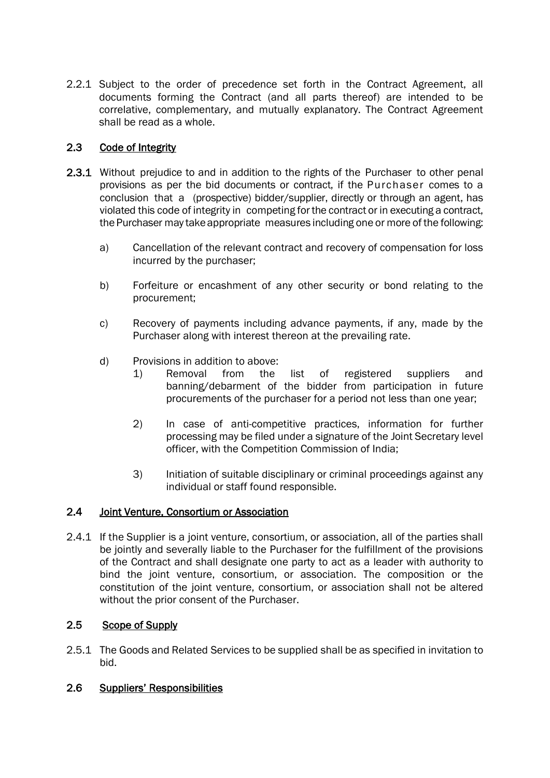2.2.1 Subject to the order of precedence set forth in the Contract Agreement, all documents forming the Contract (and all parts thereof) are intended to be correlative, complementary, and mutually explanatory. The Contract Agreement shall be read as a whole.

### 2.3 Code of Integrity

- 2.3.1 Without prejudice to and in addition to the rights of the Purchaser to other penal provisions as per the bid documents or contract, if the Purchaser comes to a conclusion that a (prospective) bidder/supplier, directly or through an agent, has violated this code of integrity in competing for the contract or in executing a contract, the Purchaser may take appropriate measures including one or more of the following:
	- a) Cancellation of the relevant contract and recovery of compensation for loss incurred by the purchaser;
	- b) Forfeiture or encashment of any other security or bond relating to the procurement;
	- c) Recovery of payments including advance payments, if any, made by the Purchaser along with interest thereon at the prevailing rate.
	- d) Provisions in addition to above:
		- 1) Removal from the list of registered suppliers and banning/debarment of the bidder from participation in future procurements of the purchaser for a period not less than one year;
		- 2) In case of anti-competitive practices, information for further processing may be filed under a signature of the Joint Secretary level officer, with the Competition Commission of India;
		- 3) Initiation of suitable disciplinary or criminal proceedings against any individual or staff found responsible.

#### 2.4 Joint Venture, Consortium or Association

2.4.1 If the Supplier is a joint venture, consortium, or association, all of the parties shall be jointly and severally liable to the Purchaser for the fulfillment of the provisions of the Contract and shall designate one party to act as a leader with authority to bind the joint venture, consortium, or association. The composition or the constitution of the joint venture, consortium, or association shall not be altered without the prior consent of the Purchaser.

#### 2.5 Scope of Supply

2.5.1 The Goods and Related Services to be supplied shall be as specified in invitation to bid.

#### 2.6 Suppliers' Responsibilities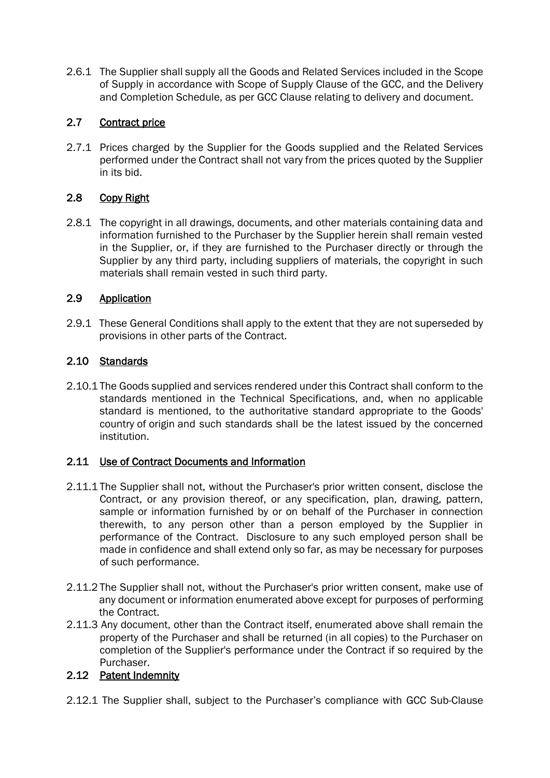2.6.1 The Supplier shall supply all the Goods and Related Services included in the Scope of Supply in accordance with Scope of Supply Clause of the GCC, and the Delivery and Completion Schedule, as per GCC Clause relating to delivery and document.

### 2.7 Contract price

2.7.1 Prices charged by the Supplier for the Goods supplied and the Related Services performed under the Contract shall not vary from the prices quoted by the Supplier in its bid.

### 2.8 Copy Right

2.8.1 The copyright in all drawings, documents, and other materials containing data and information furnished to the Purchaser by the Supplier herein shall remain vested in the Supplier, or, if they are furnished to the Purchaser directly or through the Supplier by any third party, including suppliers of materials, the copyright in such materials shall remain vested in such third party.

### 2.9 Application

2.9.1 These General Conditions shall apply to the extent that they are not superseded by provisions in other parts of the Contract.

### 2.10 Standards

2.10.1 The Goods supplied and services rendered under this Contract shall conform to the standards mentioned in the Technical Specifications, and, when no applicable standard is mentioned, to the authoritative standard appropriate to the Goods' country of origin and such standards shall be the latest issued by the concerned institution.

#### 2.11 Use of Contract Documents and Information

- 2.11.1 The Supplier shall not, without the Purchaser's prior written consent, disclose the Contract, or any provision thereof, or any specification, plan, drawing, pattern, sample or information furnished by or on behalf of the Purchaser in connection therewith, to any person other than a person employed by the Supplier in performance of the Contract. Disclosure to any such employed person shall be made in confidence and shall extend only so far, as may be necessary for purposes of such performance.
- 2.11.2 The Supplier shall not, without the Purchaser's prior written consent, make use of any document or information enumerated above except for purposes of performing the Contract.
- 2.11.3 Any document, other than the Contract itself, enumerated above shall remain the property of the Purchaser and shall be returned (in all copies) to the Purchaser on completion of the Supplier's performance under the Contract if so required by the Purchaser.

### 2.12 Patent Indemnity

2.12.1 The Supplier shall, subject to the Purchaser's compliance with GCC Sub-Clause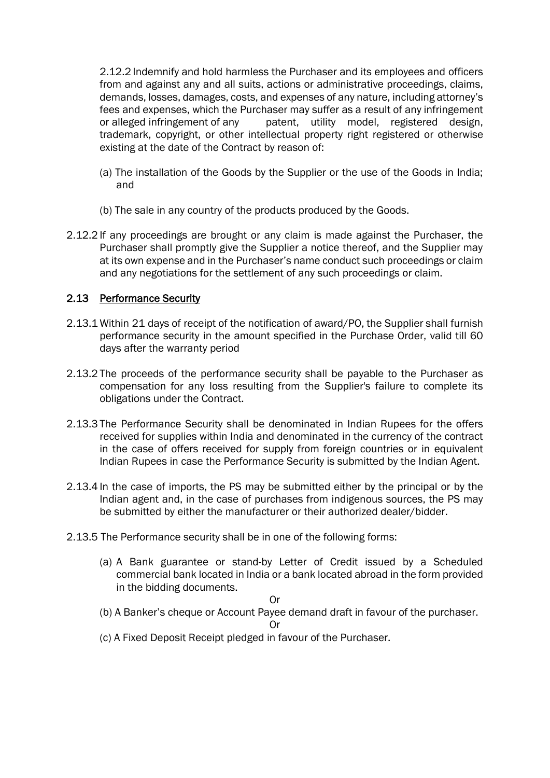2.12.2 Indemnify and hold harmless the Purchaser and its employees and officers from and against any and all suits, actions or administrative proceedings, claims, demands, losses, damages, costs, and expenses of any nature, including attorney's fees and expenses, which the Purchaser may suffer as a result of any infringement or alleged infringement of any patent, utility model, registered design, trademark, copyright, or other intellectual property right registered or otherwise existing at the date of the Contract by reason of:

- (a) The installation of the Goods by the Supplier or the use of the Goods in India; and
- (b) The sale in any country of the products produced by the Goods.
- 2.12.2 If any proceedings are brought or any claim is made against the Purchaser, the Purchaser shall promptly give the Supplier a notice thereof, and the Supplier may at its own expense and in the Purchaser's name conduct such proceedings or claim and any negotiations for the settlement of any such proceedings or claim.

### 2.13 Performance Security

- 2.13.1 Within 21 days of receipt of the notification of award/PO, the Supplier shall furnish performance security in the amount specified in the Purchase Order, valid till 60 days after the warranty period
- 2.13.2 The proceeds of the performance security shall be payable to the Purchaser as compensation for any loss resulting from the Supplier's failure to complete its obligations under the Contract.
- 2.13.3 The Performance Security shall be denominated in Indian Rupees for the offers received for supplies within India and denominated in the currency of the contract in the case of offers received for supply from foreign countries or in equivalent Indian Rupees in case the Performance Security is submitted by the Indian Agent.
- 2.13.4 In the case of imports, the PS may be submitted either by the principal or by the Indian agent and, in the case of purchases from indigenous sources, the PS may be submitted by either the manufacturer or their authorized dealer/bidder.
- 2.13.5 The Performance security shall be in one of the following forms:
	- (a) A Bank guarantee or stand-by Letter of Credit issued by a Scheduled commercial bank located in India or a bank located abroad in the form provided in the bidding documents.

#### Or

(b) A Banker's cheque or Account Payee demand draft in favour of the purchaser.

Or

(c) A Fixed Deposit Receipt pledged in favour of the Purchaser.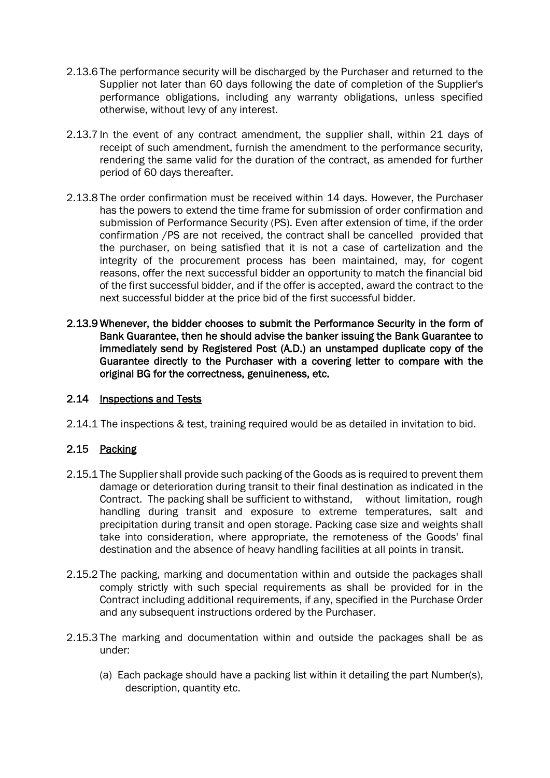- 2.13.6 The performance security will be discharged by the Purchaser and returned to the Supplier not later than 60 days following the date of completion of the Supplier's performance obligations, including any warranty obligations, unless specified otherwise, without levy of any interest.
- 2.13.7 In the event of any contract amendment, the supplier shall, within 21 days of receipt of such amendment, furnish the amendment to the performance security, rendering the same valid for the duration of the contract, as amended for further period of 60 days thereafter.
- 2.13.8 The order confirmation must be received within 14 days. However, the Purchaser has the powers to extend the time frame for submission of order confirmation and submission of Performance Security (PS). Even after extension of time, if the order confirmation /PS are not received, the contract shall be cancelled provided that the purchaser, on being satisfied that it is not a case of cartelization and the integrity of the procurement process has been maintained, may, for cogent reasons, offer the next successful bidder an opportunity to match the financial bid of the first successful bidder, and if the offer is accepted, award the contract to the next successful bidder at the price bid of the first successful bidder.
- 2.13.9 Whenever, the bidder chooses to submit the Performance Security in the form of Bank Guarantee, then he should advise the banker issuing the Bank Guarantee to immediately send by Registered Post (A.D.) an unstamped duplicate copy of the Guarantee directly to the Purchaser with a covering letter to compare with the original BG for the correctness, genuineness, etc.

#### 2.14 Inspections and Tests

2.14.1 The inspections & test, training required would be as detailed in invitation to bid.

#### 2.15 Packing

- 2.15.1 The Supplier shall provide such packing of the Goods as is required to prevent them damage or deterioration during transit to their final destination as indicated in the Contract. The packing shall be sufficient to withstand, without limitation, rough handling during transit and exposure to extreme temperatures, salt and precipitation during transit and open storage. Packing case size and weights shall take into consideration, where appropriate, the remoteness of the Goods' final destination and the absence of heavy handling facilities at all points in transit.
- 2.15.2 The packing, marking and documentation within and outside the packages shall comply strictly with such special requirements as shall be provided for in the Contract including additional requirements, if any, specified in the Purchase Order and any subsequent instructions ordered by the Purchaser.
- 2.15.3 The marking and documentation within and outside the packages shall be as under:
	- (a) Each package should have a packing list within it detailing the part Number(s), description, quantity etc.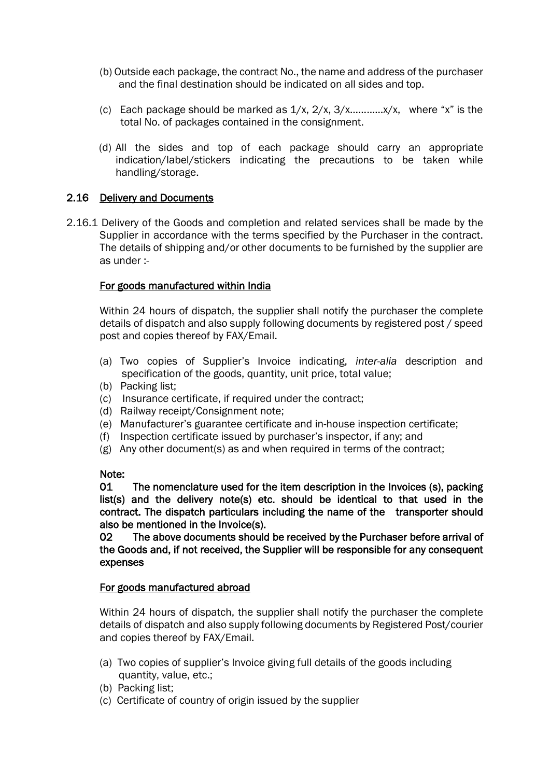- (b) Outside each package, the contract No., the name and address of the purchaser and the final destination should be indicated on all sides and top.
- (c) Each package should be marked as  $1/x$ ,  $2/x$ ,  $3/x$ ............ $x/x$ , where "x" is the total No. of packages contained in the consignment.
- (d) All the sides and top of each package should carry an appropriate indication/label/stickers indicating the precautions to be taken while handling/storage.

#### 2.16 Delivery and Documents

2.16.1 Delivery of the Goods and completion and related services shall be made by the Supplier in accordance with the terms specified by the Purchaser in the contract. The details of shipping and/or other documents to be furnished by the supplier are as under :-

#### For goods manufactured within India

Within 24 hours of dispatch, the supplier shall notify the purchaser the complete details of dispatch and also supply following documents by registered post / speed post and copies thereof by FAX/Email.

- (a) Two copies of Supplier's Invoice indicating, *inter-alia* description and specification of the goods, quantity, unit price, total value;
- (b) Packing list;
- (c) Insurance certificate, if required under the contract;
- (d) Railway receipt/Consignment note;
- (e) Manufacturer's guarantee certificate and in-house inspection certificate;
- (f) Inspection certificate issued by purchaser's inspector, if any; and
- (g) Any other document(s) as and when required in terms of the contract;

#### Note:

01 The nomenclature used for the item description in the Invoices (s), packing list(s) and the delivery note(s) etc. should be identical to that used in the contract. The dispatch particulars including the name of the transporter should also be mentioned in the Invoice(s).

02 The above documents should be received by the Purchaser before arrival of the Goods and, if not received, the Supplier will be responsible for any consequent expenses

#### For goods manufactured abroad

Within 24 hours of dispatch, the supplier shall notify the purchaser the complete details of dispatch and also supply following documents by Registered Post/courier and copies thereof by FAX/Email.

- (a) Two copies of supplier's Invoice giving full details of the goods including quantity, value, etc.;
- (b) Packing list;
- (c) Certificate of country of origin issued by the supplier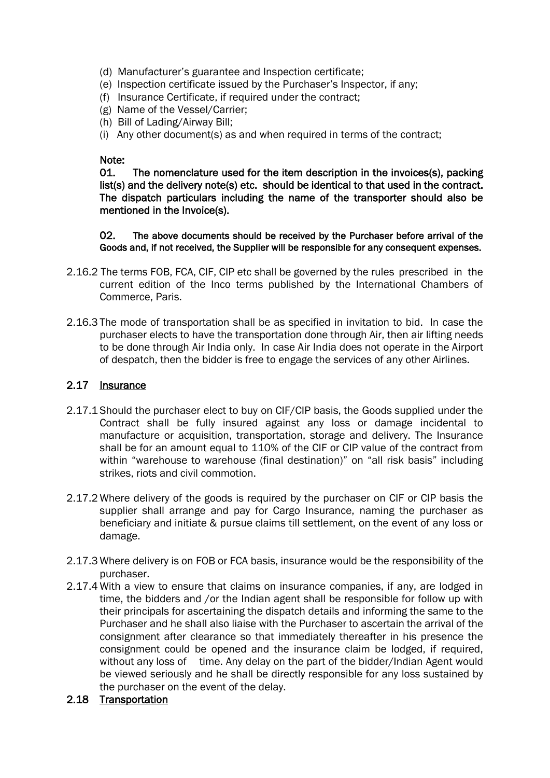- (d) Manufacturer's guarantee and Inspection certificate;
- (e) Inspection certificate issued by the Purchaser's Inspector, if any;
- (f) Insurance Certificate, if required under the contract;
- (g) Name of the Vessel/Carrier;
- (h) Bill of Lading/Airway Bill;
- (i) Any other document(s) as and when required in terms of the contract;

#### Note:

01. The nomenclature used for the item description in the invoices(s), packing list(s) and the delivery note(s) etc. should be identical to that used in the contract. The dispatch particulars including the name of the transporter should also be mentioned in the Invoice(s).

02. The above documents should be received by the Purchaser before arrival of the Goods and, if not received, the Supplier will be responsible for any consequent expenses.

- 2.16.2 The terms FOB, FCA, CIF, CIP etc shall be governed by the rules prescribed in the current edition of the Inco terms published by the International Chambers of Commerce, Paris.
- 2.16.3 The mode of transportation shall be as specified in invitation to bid. In case the purchaser elects to have the transportation done through Air, then air lifting needs to be done through Air India only. In case Air India does not operate in the Airport of despatch, then the bidder is free to engage the services of any other Airlines.

#### 2.17 Insurance

- 2.17.1 Should the purchaser elect to buy on CIF/CIP basis, the Goods supplied under the Contract shall be fully insured against any loss or damage incidental to manufacture or acquisition, transportation, storage and delivery. The Insurance shall be for an amount equal to 110% of the CIF or CIP value of the contract from within "warehouse to warehouse (final destination)" on "all risk basis" including strikes, riots and civil commotion.
- 2.17.2 Where delivery of the goods is required by the purchaser on CIF or CIP basis the supplier shall arrange and pay for Cargo Insurance, naming the purchaser as beneficiary and initiate & pursue claims till settlement, on the event of any loss or damage.
- 2.17.3 Where delivery is on FOB or FCA basis, insurance would be the responsibility of the purchaser.
- 2.17.4 With a view to ensure that claims on insurance companies, if any, are lodged in time, the bidders and /or the Indian agent shall be responsible for follow up with their principals for ascertaining the dispatch details and informing the same to the Purchaser and he shall also liaise with the Purchaser to ascertain the arrival of the consignment after clearance so that immediately thereafter in his presence the consignment could be opened and the insurance claim be lodged, if required, without any loss of time. Any delay on the part of the bidder/Indian Agent would be viewed seriously and he shall be directly responsible for any loss sustained by the purchaser on the event of the delay.
- 2.18 Transportation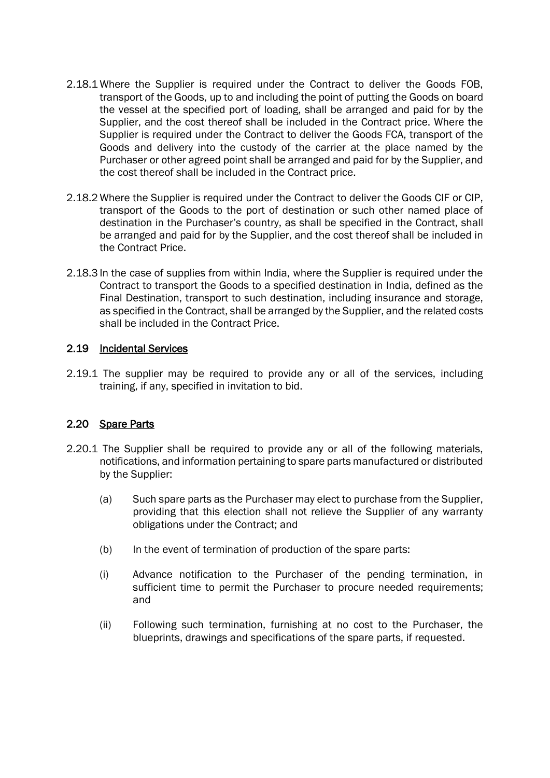- 2.18.1 Where the Supplier is required under the Contract to deliver the Goods FOB, transport of the Goods, up to and including the point of putting the Goods on board the vessel at the specified port of loading, shall be arranged and paid for by the Supplier, and the cost thereof shall be included in the Contract price. Where the Supplier is required under the Contract to deliver the Goods FCA, transport of the Goods and delivery into the custody of the carrier at the place named by the Purchaser or other agreed point shall be arranged and paid for by the Supplier, and the cost thereof shall be included in the Contract price.
- 2.18.2 Where the Supplier is required under the Contract to deliver the Goods CIF or CIP, transport of the Goods to the port of destination or such other named place of destination in the Purchaser's country, as shall be specified in the Contract, shall be arranged and paid for by the Supplier, and the cost thereof shall be included in the Contract Price.
- 2.18.3 In the case of supplies from within India, where the Supplier is required under the Contract to transport the Goods to a specified destination in India, defined as the Final Destination, transport to such destination, including insurance and storage, as specified in the Contract, shall be arranged by the Supplier, and the related costs shall be included in the Contract Price.

#### 2.19 Incidental Services

2.19.1 The supplier may be required to provide any or all of the services, including training, if any, specified in invitation to bid.

#### 2.20 Spare Parts

- 2.20.1 The Supplier shall be required to provide any or all of the following materials, notifications, and information pertaining to spare parts manufactured or distributed by the Supplier:
	- (a) Such spare parts as the Purchaser may elect to purchase from the Supplier, providing that this election shall not relieve the Supplier of any warranty obligations under the Contract; and
	- (b) In the event of termination of production of the spare parts:
	- (i) Advance notification to the Purchaser of the pending termination, in sufficient time to permit the Purchaser to procure needed requirements; and
	- (ii) Following such termination, furnishing at no cost to the Purchaser, the blueprints, drawings and specifications of the spare parts, if requested.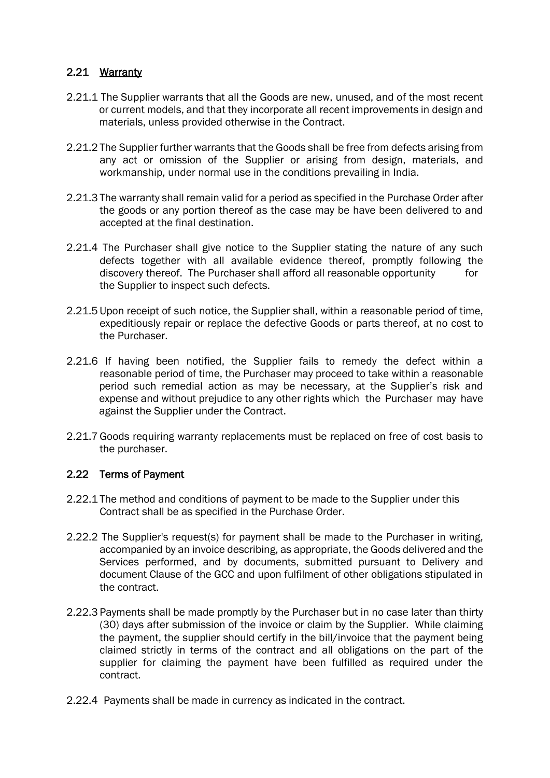#### 2.21 Warranty

- 2.21.1 The Supplier warrants that all the Goods are new, unused, and of the most recent or current models, and that they incorporate all recent improvements in design and materials, unless provided otherwise in the Contract.
- 2.21.2 The Supplier further warrants that the Goods shall be free from defects arising from any act or omission of the Supplier or arising from design, materials, and workmanship, under normal use in the conditions prevailing in India.
- 2.21.3 The warranty shall remain valid for a period as specified in the Purchase Order after the goods or any portion thereof as the case may be have been delivered to and accepted at the final destination.
- 2.21.4 The Purchaser shall give notice to the Supplier stating the nature of any such defects together with all available evidence thereof, promptly following the discovery thereof. The Purchaser shall afford all reasonable opportunity for the Supplier to inspect such defects.
- 2.21.5 Upon receipt of such notice, the Supplier shall, within a reasonable period of time, expeditiously repair or replace the defective Goods or parts thereof, at no cost to the Purchaser.
- 2.21.6 If having been notified, the Supplier fails to remedy the defect within a reasonable period of time, the Purchaser may proceed to take within a reasonable period such remedial action as may be necessary, at the Supplier's risk and expense and without prejudice to any other rights which the Purchaser may have against the Supplier under the Contract.
- 2.21.7 Goods requiring warranty replacements must be replaced on free of cost basis to the purchaser.

#### 2.22 Terms of Payment

- 2.22.1 The method and conditions of payment to be made to the Supplier under this Contract shall be as specified in the Purchase Order.
- 2.22.2 The Supplier's request(s) for payment shall be made to the Purchaser in writing, accompanied by an invoice describing, as appropriate, the Goods delivered and the Services performed, and by documents, submitted pursuant to Delivery and document Clause of the GCC and upon fulfilment of other obligations stipulated in the contract.
- 2.22.3 Payments shall be made promptly by the Purchaser but in no case later than thirty (30) days after submission of the invoice or claim by the Supplier. While claiming the payment, the supplier should certify in the bill/invoice that the payment being claimed strictly in terms of the contract and all obligations on the part of the supplier for claiming the payment have been fulfilled as required under the contract.
- 2.22.4 Payments shall be made in currency as indicated in the contract.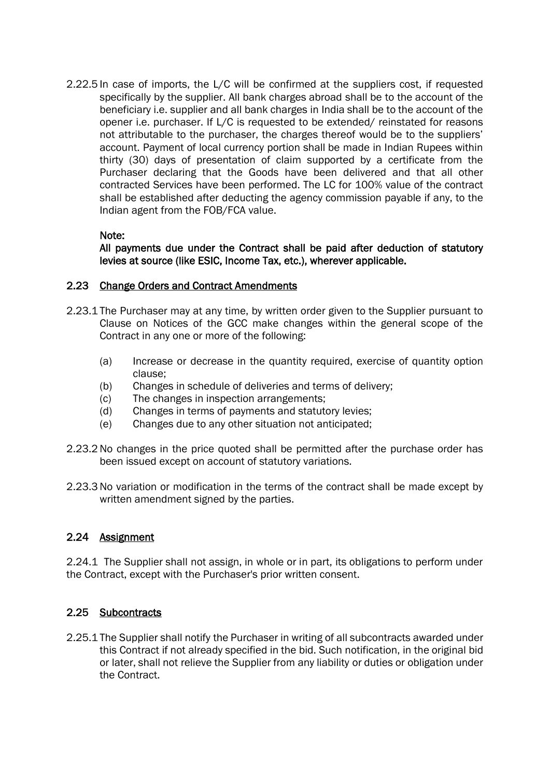2.22.5 In case of imports, the L/C will be confirmed at the suppliers cost, if requested specifically by the supplier. All bank charges abroad shall be to the account of the beneficiary i.e. supplier and all bank charges in India shall be to the account of the opener i.e. purchaser. If L/C is requested to be extended/ reinstated for reasons not attributable to the purchaser, the charges thereof would be to the suppliers' account. Payment of local currency portion shall be made in Indian Rupees within thirty (30) days of presentation of claim supported by a certificate from the Purchaser declaring that the Goods have been delivered and that all other contracted Services have been performed. The LC for 100% value of the contract shall be established after deducting the agency commission payable if any, to the Indian agent from the FOB/FCA value.

#### Note:

All payments due under the Contract shall be paid after deduction of statutory levies at source (like ESIC, Income Tax, etc.), wherever applicable.

#### 2.23 Change Orders and Contract Amendments

- 2.23.1 The Purchaser may at any time, by written order given to the Supplier pursuant to Clause on Notices of the GCC make changes within the general scope of the Contract in any one or more of the following:
	- (a) Increase or decrease in the quantity required, exercise of quantity option clause;
	- (b) Changes in schedule of deliveries and terms of delivery;
	- (c) The changes in inspection arrangements;
	- (d) Changes in terms of payments and statutory levies;
	- (e) Changes due to any other situation not anticipated;
- 2.23.2 No changes in the price quoted shall be permitted after the purchase order has been issued except on account of statutory variations.
- 2.23.3 No variation or modification in the terms of the contract shall be made except by written amendment signed by the parties.

#### 2.24 Assignment

2.24.1 The Supplier shall not assign, in whole or in part, its obligations to perform under the Contract, except with the Purchaser's prior written consent.

#### 2.25 Subcontracts

2.25.1 The Supplier shall notify the Purchaser in writing of all subcontracts awarded under this Contract if not already specified in the bid. Such notification, in the original bid or later, shall not relieve the Supplier from any liability or duties or obligation under the Contract.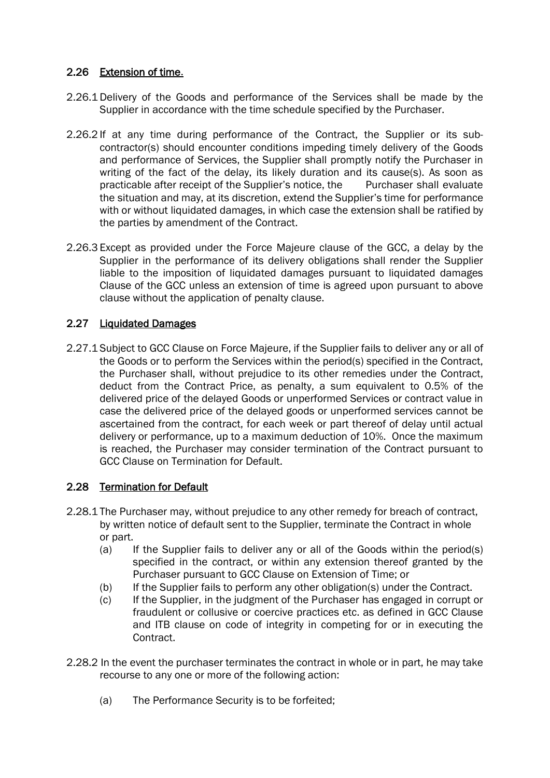### 2.26 Extension of time.

- 2.26.1 Delivery of the Goods and performance of the Services shall be made by the Supplier in accordance with the time schedule specified by the Purchaser.
- 2.26.2 If at any time during performance of the Contract, the Supplier or its subcontractor(s) should encounter conditions impeding timely delivery of the Goods and performance of Services, the Supplier shall promptly notify the Purchaser in writing of the fact of the delay, its likely duration and its cause(s). As soon as practicable after receipt of the Supplier's notice, the Purchaser shall evaluate the situation and may, at its discretion, extend the Supplier's time for performance with or without liquidated damages, in which case the extension shall be ratified by the parties by amendment of the Contract.
- 2.26.3 Except as provided under the Force Majeure clause of the GCC, a delay by the Supplier in the performance of its delivery obligations shall render the Supplier liable to the imposition of liquidated damages pursuant to liquidated damages Clause of the GCC unless an extension of time is agreed upon pursuant to above clause without the application of penalty clause.

### 2.27 Liquidated Damages

2.27.1 Subject to GCC Clause on Force Majeure, if the Supplier fails to deliver any or all of the Goods or to perform the Services within the period(s) specified in the Contract, the Purchaser shall, without prejudice to its other remedies under the Contract, deduct from the Contract Price, as penalty, a sum equivalent to 0.5% of the delivered price of the delayed Goods or unperformed Services or contract value in case the delivered price of the delayed goods or unperformed services cannot be ascertained from the contract, for each week or part thereof of delay until actual delivery or performance, up to a maximum deduction of 10%. Once the maximum is reached, the Purchaser may consider termination of the Contract pursuant to GCC Clause on Termination for Default.

#### 2.28 Termination for Default

- 2.28.1 The Purchaser may, without prejudice to any other remedy for breach of contract, by written notice of default sent to the Supplier, terminate the Contract in whole or part.
	- (a) If the Supplier fails to deliver any or all of the Goods within the period(s) specified in the contract, or within any extension thereof granted by the Purchaser pursuant to GCC Clause on Extension of Time; or
	- (b) If the Supplier fails to perform any other obligation(s) under the Contract.
	- (c) If the Supplier, in the judgment of the Purchaser has engaged in corrupt or fraudulent or collusive or coercive practices etc. as defined in GCC Clause and ITB clause on code of integrity in competing for or in executing the Contract.
- 2.28.2 In the event the purchaser terminates the contract in whole or in part, he may take recourse to any one or more of the following action:
	- (a) The Performance Security is to be forfeited;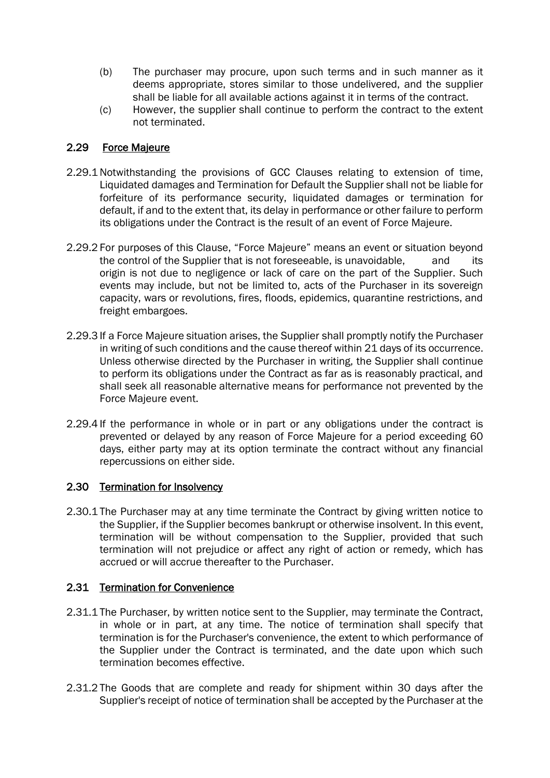- (b) The purchaser may procure, upon such terms and in such manner as it deems appropriate, stores similar to those undelivered, and the supplier shall be liable for all available actions against it in terms of the contract.
- (c) However, the supplier shall continue to perform the contract to the extent not terminated.

#### 2.29 Force Majeure

- 2.29.1 Notwithstanding the provisions of GCC Clauses relating to extension of time, Liquidated damages and Termination for Default the Supplier shall not be liable for forfeiture of its performance security, liquidated damages or termination for default, if and to the extent that, its delay in performance or other failure to perform its obligations under the Contract is the result of an event of Force Majeure.
- 2.29.2 For purposes of this Clause, "Force Majeure" means an event or situation beyond the control of the Supplier that is not foreseeable, is unavoidable, and its origin is not due to negligence or lack of care on the part of the Supplier. Such events may include, but not be limited to, acts of the Purchaser in its sovereign capacity, wars or revolutions, fires, floods, epidemics, quarantine restrictions, and freight embargoes.
- 2.29.3 If a Force Majeure situation arises, the Supplier shall promptly notify the Purchaser in writing of such conditions and the cause thereof within 21 days of its occurrence. Unless otherwise directed by the Purchaser in writing, the Supplier shall continue to perform its obligations under the Contract as far as is reasonably practical, and shall seek all reasonable alternative means for performance not prevented by the Force Majeure event.
- 2.29.4 If the performance in whole or in part or any obligations under the contract is prevented or delayed by any reason of Force Majeure for a period exceeding 60 days, either party may at its option terminate the contract without any financial repercussions on either side.

#### 2.30 Termination for Insolvency

2.30.1 The Purchaser may at any time terminate the Contract by giving written notice to the Supplier, if the Supplier becomes bankrupt or otherwise insolvent. In this event, termination will be without compensation to the Supplier, provided that such termination will not prejudice or affect any right of action or remedy, which has accrued or will accrue thereafter to the Purchaser.

#### 2.31 Termination for Convenience

- 2.31.1 The Purchaser, by written notice sent to the Supplier, may terminate the Contract, in whole or in part, at any time. The notice of termination shall specify that termination is for the Purchaser's convenience, the extent to which performance of the Supplier under the Contract is terminated, and the date upon which such termination becomes effective.
- 2.31.2 The Goods that are complete and ready for shipment within 30 days after the Supplier's receipt of notice of termination shall be accepted by the Purchaser at the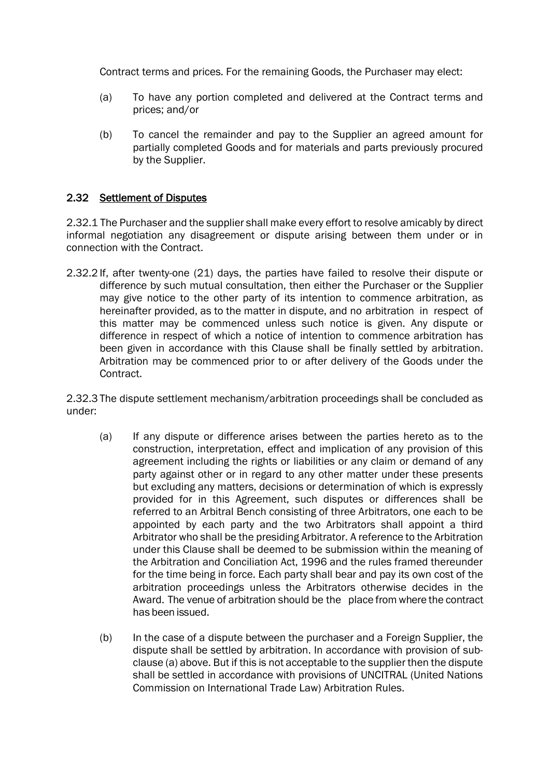Contract terms and prices. For the remaining Goods, the Purchaser may elect:

- (a) To have any portion completed and delivered at the Contract terms and prices; and/or
- (b) To cancel the remainder and pay to the Supplier an agreed amount for partially completed Goods and for materials and parts previously procured by the Supplier.

#### 2.32 Settlement of Disputes

2.32.1 The Purchaser and the supplier shall make every effort to resolve amicably by direct informal negotiation any disagreement or dispute arising between them under or in connection with the Contract.

2.32.2 If, after twenty-one (21) days, the parties have failed to resolve their dispute or difference by such mutual consultation, then either the Purchaser or the Supplier may give notice to the other party of its intention to commence arbitration, as hereinafter provided, as to the matter in dispute, and no arbitration in respect of this matter may be commenced unless such notice is given. Any dispute or difference in respect of which a notice of intention to commence arbitration has been given in accordance with this Clause shall be finally settled by arbitration. Arbitration may be commenced prior to or after delivery of the Goods under the Contract.

2.32.3 The dispute settlement mechanism/arbitration proceedings shall be concluded as under:

- (a) If any dispute or difference arises between the parties hereto as to the construction, interpretation, effect and implication of any provision of this agreement including the rights or liabilities or any claim or demand of any party against other or in regard to any other matter under these presents but excluding any matters, decisions or determination of which is expressly provided for in this Agreement, such disputes or differences shall be referred to an Arbitral Bench consisting of three Arbitrators, one each to be appointed by each party and the two Arbitrators shall appoint a third Arbitrator who shall be the presiding Arbitrator. A reference to the Arbitration under this Clause shall be deemed to be submission within the meaning of the Arbitration and Conciliation Act, 1996 and the rules framed thereunder for the time being in force. Each party shall bear and pay its own cost of the arbitration proceedings unless the Arbitrators otherwise decides in the Award. The venue of arbitration should be the place from where the contract has been issued.
- (b) In the case of a dispute between the purchaser and a Foreign Supplier, the dispute shall be settled by arbitration. In accordance with provision of subclause (a) above. But if this is not acceptable to the supplier then the dispute shall be settled in accordance with provisions of UNCITRAL (United Nations Commission on International Trade Law) Arbitration Rules.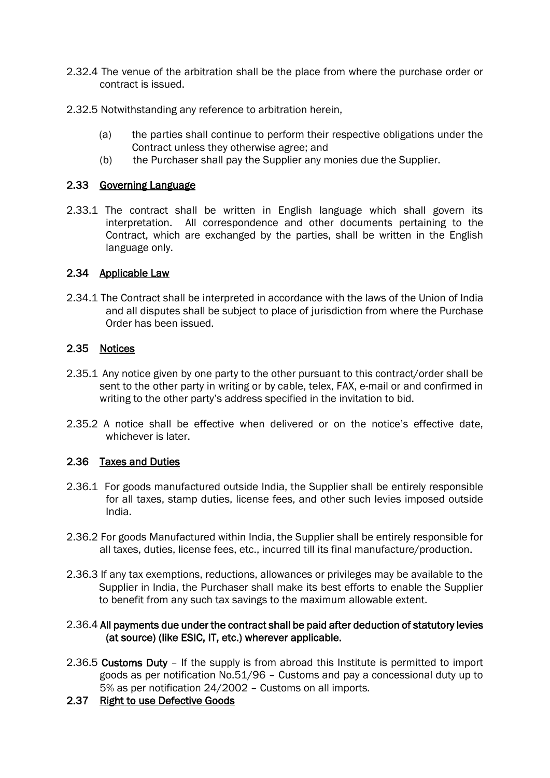- 2.32.4 The venue of the arbitration shall be the place from where the purchase order or contract is issued.
- 2.32.5 Notwithstanding any reference to arbitration herein,
	- (a) the parties shall continue to perform their respective obligations under the Contract unless they otherwise agree; and
	- (b) the Purchaser shall pay the Supplier any monies due the Supplier.

#### 2.33 Governing Language

2.33.1 The contract shall be written in English language which shall govern its interpretation. All correspondence and other documents pertaining to the Contract, which are exchanged by the parties, shall be written in the English language only.

#### 2.34 Applicable Law

2.34.1 The Contract shall be interpreted in accordance with the laws of the Union of India and all disputes shall be subject to place of jurisdiction from where the Purchase Order has been issued.

#### 2.35 Notices

- 2.35.1 Any notice given by one party to the other pursuant to this contract/order shall be sent to the other party in writing or by cable, telex, FAX, e-mail or and confirmed in writing to the other party's address specified in the invitation to bid.
- 2.35.2 A notice shall be effective when delivered or on the notice's effective date, whichever is later.

#### 2.36 Taxes and Duties

- 2.36.1 For goods manufactured outside India, the Supplier shall be entirely responsible for all taxes, stamp duties, license fees, and other such levies imposed outside India.
- 2.36.2 For goods Manufactured within India, the Supplier shall be entirely responsible for all taxes, duties, license fees, etc., incurred till its final manufacture/production.
- 2.36.3 If any tax exemptions, reductions, allowances or privileges may be available to the Supplier in India, the Purchaser shall make its best efforts to enable the Supplier to benefit from any such tax savings to the maximum allowable extent.

#### 2.36.4 All payments due under the contract shall be paid after deduction of statutory levies (at source) (like ESIC, IT, etc.) wherever applicable.

- 2.36.5 Customs Duty If the supply is from abroad this Institute is permitted to import goods as per notification No.51/96 – Customs and pay a concessional duty up to 5% as per notification 24/2002 – Customs on all imports.
- 2.37 Right to use Defective Goods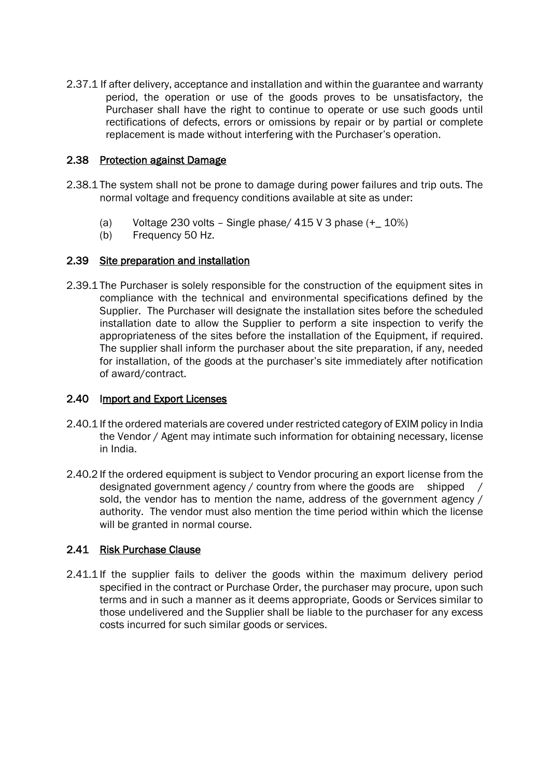2.37.1 If after delivery, acceptance and installation and within the guarantee and warranty period, the operation or use of the goods proves to be unsatisfactory, the Purchaser shall have the right to continue to operate or use such goods until rectifications of defects, errors or omissions by repair or by partial or complete replacement is made without interfering with the Purchaser's operation.

#### 2.38 Protection against Damage

- 2.38.1 The system shall not be prone to damage during power failures and trip outs. The normal voltage and frequency conditions available at site as under:
	- (a) Voltage 230 volts Single phase/  $415$  V 3 phase  $(+_ 10\%)$
	- (b) Frequency 50 Hz.

#### 2.39 Site preparation and installation

2.39.1 The Purchaser is solely responsible for the construction of the equipment sites in compliance with the technical and environmental specifications defined by the Supplier. The Purchaser will designate the installation sites before the scheduled installation date to allow the Supplier to perform a site inspection to verify the appropriateness of the sites before the installation of the Equipment, if required. The supplier shall inform the purchaser about the site preparation, if any, needed for installation, of the goods at the purchaser's site immediately after notification of award/contract.

#### 2.40 Import and Export Licenses

- 2.40.1 If the ordered materials are covered under restricted category of EXIM policy in India the Vendor / Agent may intimate such information for obtaining necessary, license in India.
- 2.40.2 If the ordered equipment is subject to Vendor procuring an export license from the designated government agency / country from where the goods are shipped / sold, the vendor has to mention the name, address of the government agency / authority. The vendor must also mention the time period within which the license will be granted in normal course.

### 2.41 Risk Purchase Clause

2.41.1 If the supplier fails to deliver the goods within the maximum delivery period specified in the contract or Purchase Order, the purchaser may procure, upon such terms and in such a manner as it deems appropriate, Goods or Services similar to those undelivered and the Supplier shall be liable to the purchaser for any excess costs incurred for such similar goods or services.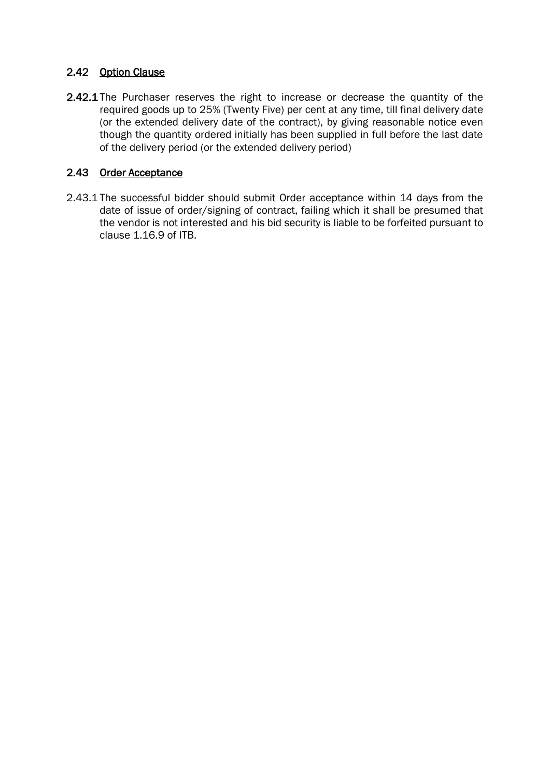### 2.42 Option Clause

2.42.1 The Purchaser reserves the right to increase or decrease the quantity of the required goods up to 25% (Twenty Five) per cent at any time, till final delivery date (or the extended delivery date of the contract), by giving reasonable notice even though the quantity ordered initially has been supplied in full before the last date of the delivery period (or the extended delivery period)

### 2.43 Order Acceptance

2.43.1 The successful bidder should submit Order acceptance within 14 days from the date of issue of order/signing of contract, failing which it shall be presumed that the vendor is not interested and his bid security is liable to be forfeited pursuant to clause 1.16.9 of ITB.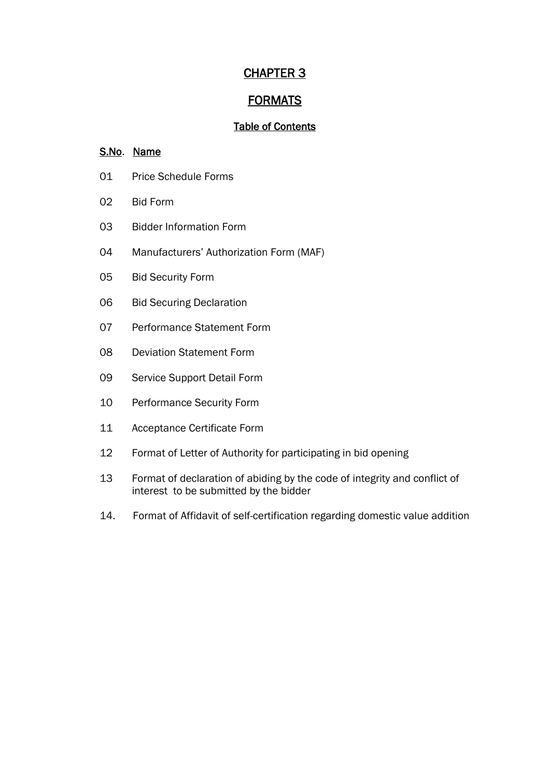## CHAPTER 3

## FORMATS

## Table of Contents

### S.No. Name

- Price Schedule Forms
- Bid Form
- Bidder Information Form
- Manufacturers' Authorization Form (MAF)
- Bid Security Form
- Bid Securing Declaration
- Performance Statement Form
- Deviation Statement Form
- Service Support Detail Form
- Performance Security Form
- Acceptance Certificate Form
- Format of Letter of Authority for participating in bid opening
- Format of declaration of abiding by the code of integrity and conflict of interest to be submitted by the bidder
- 14. Format of Affidavit of self-certification regarding domestic value addition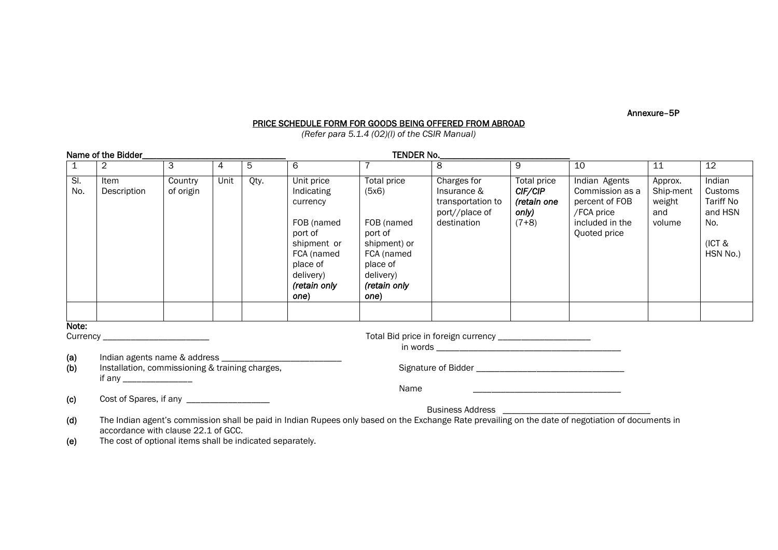Annexure–5P

#### PRICE SCHEDULE FORM FOR GOODS BEING OFFERED FROM ABROAD

*(Refer para 5.1.4 (02)(l) of the CSIR Manual)*

|                                   | Name of the Bidder_                                                                                                                                                                                                                                                                                                                                                                        |                      |      |      |                                                                                                                                             | TENDER No.                                                                                                                   |                                                                                  |                                                           |                                                                                                     |                                                 |                                                                               |
|-----------------------------------|--------------------------------------------------------------------------------------------------------------------------------------------------------------------------------------------------------------------------------------------------------------------------------------------------------------------------------------------------------------------------------------------|----------------------|------|------|---------------------------------------------------------------------------------------------------------------------------------------------|------------------------------------------------------------------------------------------------------------------------------|----------------------------------------------------------------------------------|-----------------------------------------------------------|-----------------------------------------------------------------------------------------------------|-------------------------------------------------|-------------------------------------------------------------------------------|
| $\boxed{1}$                       | $\overline{2}$                                                                                                                                                                                                                                                                                                                                                                             | $\overline{3}$       | 4    | 5    | 6                                                                                                                                           |                                                                                                                              | 8                                                                                | 9                                                         | 10                                                                                                  | 11                                              | $12 \overline{ }$                                                             |
| $\overline{\mathsf{S}}$ l.<br>No. | Item<br>Description                                                                                                                                                                                                                                                                                                                                                                        | Country<br>of origin | Unit | Qty. | Unit price<br>Indicating<br>currency<br>FOB (named<br>port of<br>shipment or<br>FCA (named<br>place of<br>delivery)<br>(retain only<br>one) | Total price<br>(5x6)<br>FOB (named<br>port of<br>shipment) or<br>FCA (named<br>place of<br>delivery)<br>(retain only<br>one) | Charges for<br>Insurance &<br>transportation to<br>port//place of<br>destination | Total price<br>CIF/CIP<br>(retain one<br>only)<br>$(7+8)$ | Indian Agents<br>Commission as a<br>percent of FOB<br>/FCA price<br>included in the<br>Quoted price | Approx.<br>Ship-ment<br>weight<br>and<br>volume | Indian<br>Customs<br><b>Tariff No</b><br>and HSN<br>No.<br>(ICT &<br>HSN No.) |
| Note:                             |                                                                                                                                                                                                                                                                                                                                                                                            |                      |      |      |                                                                                                                                             |                                                                                                                              |                                                                                  |                                                           |                                                                                                     |                                                 |                                                                               |
|                                   | Currency ___________________________                                                                                                                                                                                                                                                                                                                                                       |                      |      |      |                                                                                                                                             |                                                                                                                              | Total Bid price in foreign currency ______________________                       |                                                           |                                                                                                     |                                                 |                                                                               |
| (a)<br>(b)                        | Indian agents name & address _<br>Installation, commissioning & training charges,<br>if any ________________                                                                                                                                                                                                                                                                               |                      |      |      |                                                                                                                                             |                                                                                                                              |                                                                                  |                                                           |                                                                                                     |                                                 |                                                                               |
|                                   |                                                                                                                                                                                                                                                                                                                                                                                            |                      |      |      |                                                                                                                                             | Name                                                                                                                         |                                                                                  |                                                           |                                                                                                     |                                                 |                                                                               |
| (c)                               |                                                                                                                                                                                                                                                                                                                                                                                            |                      |      |      |                                                                                                                                             |                                                                                                                              |                                                                                  |                                                           |                                                                                                     |                                                 |                                                                               |
|                                   | Business Address <b>Contract Contract Contract Contract Contract Contract Contract Contract Contract Contract Contract Contract Contract Contract Contract Contract Contract Contract Contract Contract Contract Contract Contra</b><br>The Indian agent's commission shall be paid in Indian Rupees only based on the Exchange Rate prevailing on the date of negotiation of documents in |                      |      |      |                                                                                                                                             |                                                                                                                              |                                                                                  |                                                           |                                                                                                     |                                                 |                                                                               |
| (d)                               | accordance with clause 22.1 of GCC.                                                                                                                                                                                                                                                                                                                                                        |                      |      |      |                                                                                                                                             |                                                                                                                              |                                                                                  |                                                           |                                                                                                     |                                                 |                                                                               |
| (e)                               | The cost of optional items shall be indicated separately.                                                                                                                                                                                                                                                                                                                                  |                      |      |      |                                                                                                                                             |                                                                                                                              |                                                                                  |                                                           |                                                                                                     |                                                 |                                                                               |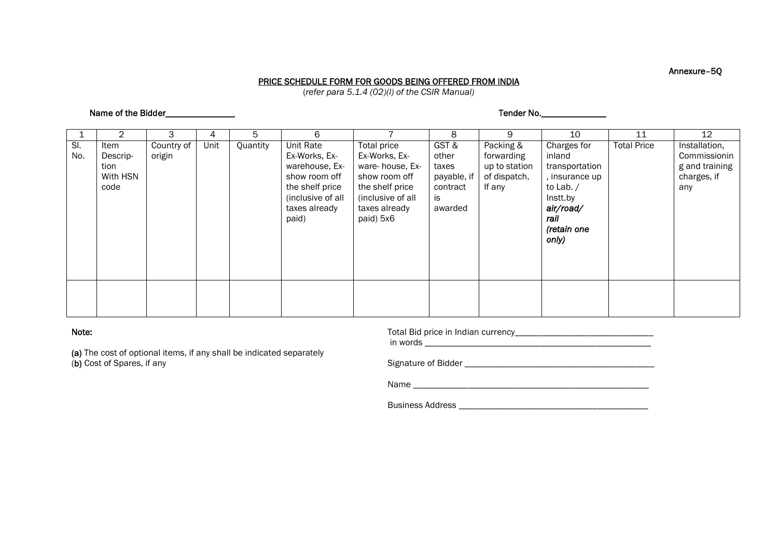#### Annexure–5Q

#### PRICE SCHEDULE FORM FOR GOODS BEING OFFERED FROM INDIA

(*refer para 5.1.4 (02)(l) of the CSIR Manual)*

#### Name of the Bidder\_\_\_\_\_\_\_\_\_\_\_\_\_\_\_ Tender No.\_\_\_\_\_\_\_\_\_\_\_\_\_\_

|            | 2                                            | 3                    | 4    | 5        | 6                                                                                                                                      |                                                                                                                                        | 8                                                                  | 9                                                                  | 10                                                                                                                                | 11                 | 12                                                                    |
|------------|----------------------------------------------|----------------------|------|----------|----------------------------------------------------------------------------------------------------------------------------------------|----------------------------------------------------------------------------------------------------------------------------------------|--------------------------------------------------------------------|--------------------------------------------------------------------|-----------------------------------------------------------------------------------------------------------------------------------|--------------------|-----------------------------------------------------------------------|
| SI.<br>No. | Item<br>Descrip-<br>tion<br>With HSN<br>code | Country of<br>origin | Unit | Quantity | <b>Unit Rate</b><br>Ex-Works, Ex-<br>warehouse, Ex-<br>show room off<br>the shelf price<br>(inclusive of all<br>taxes already<br>paid) | Total price<br>Ex-Works, Ex-<br>ware-house, Ex-<br>show room off<br>the shelf price<br>(inclusive of all<br>taxes already<br>paid) 5x6 | GST&<br>other<br>taxes<br>payable, if<br>contract<br>is<br>awarded | Packing &<br>forwarding<br>up to station<br>of dispatch,<br>If any | Charges for<br>inland<br>transportation<br>, insurance up<br>to Lab. $/$<br>Instt.by<br>air/road/<br>rail<br>(retain one<br>only) | <b>Total Price</b> | Installation,<br>Commissionin<br>g and training<br>charges, if<br>any |
|            |                                              |                      |      |          |                                                                                                                                        |                                                                                                                                        |                                                                    |                                                                    |                                                                                                                                   |                    |                                                                       |
|            |                                              |                      |      |          |                                                                                                                                        |                                                                                                                                        |                                                                    |                                                                    |                                                                                                                                   |                    |                                                                       |

#### Note:

(a) The cost of optional items, if any shall be indicated separately (b) Cost of Spares, if any

| Total Bid price in Indian currency |  |  |  |  |
|------------------------------------|--|--|--|--|
|                                    |  |  |  |  |

in words \_\_\_\_\_\_\_\_\_\_\_\_\_\_\_\_\_\_\_\_\_\_\_\_\_\_\_\_\_\_\_\_\_\_\_\_\_\_\_\_\_\_\_\_\_\_\_\_\_

Signature of Bidder \_\_\_\_\_\_\_\_\_\_\_\_\_\_\_\_\_\_\_\_\_\_\_\_\_\_\_\_\_\_\_\_\_\_\_\_\_\_\_\_\_

Name \_\_\_\_\_\_\_\_\_\_\_\_\_\_\_\_\_\_\_\_\_\_\_\_\_\_\_\_\_\_\_\_\_\_\_\_\_\_\_\_\_\_\_\_\_\_\_\_\_\_\_

Business Address \_\_\_\_\_\_\_\_\_\_\_\_\_\_\_\_\_\_\_\_\_\_\_\_\_\_\_\_\_\_\_\_\_\_\_\_\_\_\_\_\_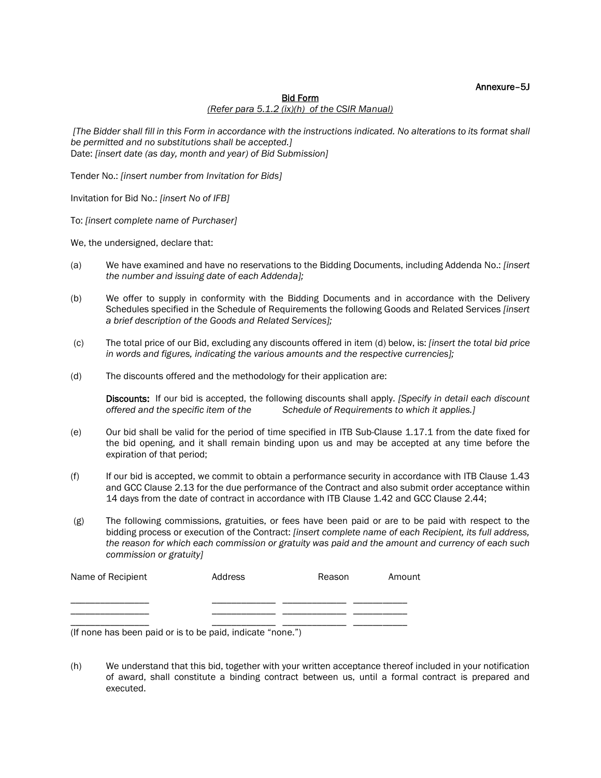#### Annexure–5J

#### Bid Form

#### *(Refer para 5.1.2 (ix)(h) of the CSIR Manual)*

*[The Bidder shall fill in this Form in accordance with the instructions indicated. No alterations to its format shall be permitted and no substitutions shall be accepted.]* Date: *[insert date (as day, month and year) of Bid Submission]*

Tender No.: *[insert number from Invitation for Bids]*

Invitation for Bid No.: *[insert No of IFB]*

To: *[insert complete name of Purchaser]*

We, the undersigned, declare that:

- (a) We have examined and have no reservations to the Bidding Documents, including Addenda No.: *[insert the number and issuing date of each Addenda];*
- (b) We offer to supply in conformity with the Bidding Documents and in accordance with the Delivery Schedules specified in the Schedule of Requirements the following Goods and Related Services *[insert a brief description of the Goods and Related Services];*
- (c) The total price of our Bid, excluding any discounts offered in item (d) below, is: *[insert the total bid price in words and figures, indicating the various amounts and the respective currencies];*
- (d) The discounts offered and the methodology for their application are:

Discounts: If our bid is accepted, the following discounts shall apply. *[Specify in detail each discount offered and the specific item of the Schedule of Requirements to which it applies.]*

- (e) Our bid shall be valid for the period of time specified in ITB Sub-Clause 1.17.1 from the date fixed for the bid opening, and it shall remain binding upon us and may be accepted at any time before the expiration of that period;
- (f) If our bid is accepted, we commit to obtain a performance security in accordance with ITB Clause 1.43 and GCC Clause 2.13 for the due performance of the Contract and also submit order acceptance within 14 days from the date of contract in accordance with ITB Clause 1.42 and GCC Clause 2.44;
- (g) The following commissions, gratuities, or fees have been paid or are to be paid with respect to the bidding process or execution of the Contract: *[insert complete name of each Recipient, its full address, the reason for which each commission or gratuity was paid and the amount and currency of each such commission or gratuity]*

| Name of Recipient | Address | Reason | Amount |
|-------------------|---------|--------|--------|
|                   |         |        |        |
|                   |         |        |        |
|                   |         |        |        |

(If none has been paid or is to be paid, indicate "none.")

(h) We understand that this bid, together with your written acceptance thereof included in your notification of award, shall constitute a binding contract between us, until a formal contract is prepared and executed.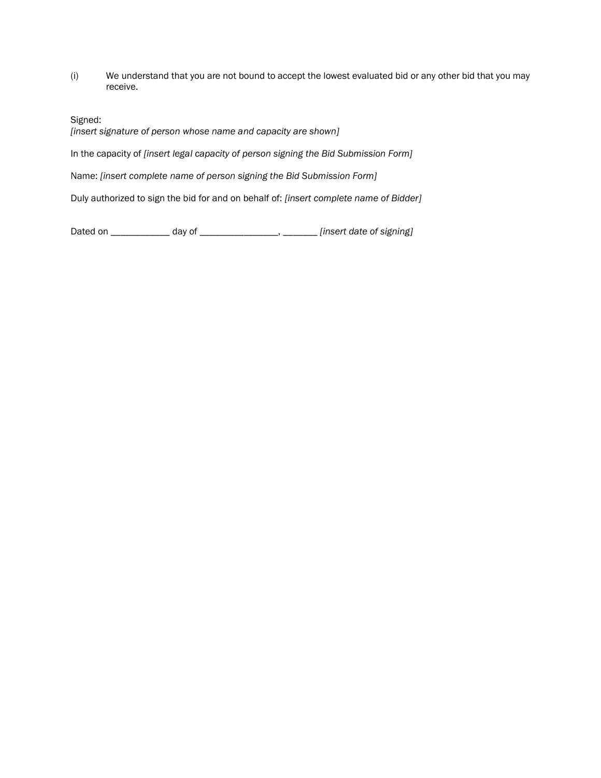(i) We understand that you are not bound to accept the lowest evaluated bid or any other bid that you may receive.

Signed:

*[insert signature of person whose name and capacity are shown]*

In the capacity of *[insert legal capacity of person signing the Bid Submission Form]*

Name: *[insert complete name of person signing the Bid Submission Form]*

Duly authorized to sign the bid for and on behalf of: *[insert complete name of Bidder]*

Dated on \_\_\_\_\_\_\_\_\_\_\_\_ day of \_\_\_\_\_\_\_\_\_\_\_\_\_\_\_\_, \_\_\_\_\_\_\_ *[insert date of signing]*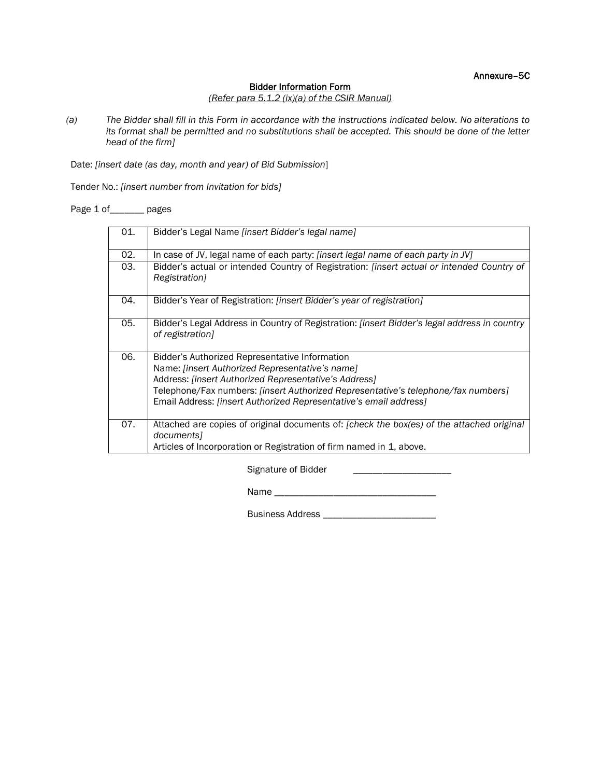Annexure–5C

#### Bidder Information Form

#### *(Refer para 5.1.2 (ix)(a) of the CSIR Manual)*

*(a) The Bidder shall fill in this Form in accordance with the instructions indicated below. No alterations to its format shall be permitted and no substitutions shall be accepted. This should be done of the letter head of the firm]*

Date: *[insert date (as day, month and year) of Bid Submission*]

Tender No.: *[insert number from Invitation for bids]*

Page 1 of\_\_\_\_\_\_ pages

| 01. | Bidder's Legal Name <i>[insert Bidder's legal name]</i>                                                                                                                                                                                                                                                                     |
|-----|-----------------------------------------------------------------------------------------------------------------------------------------------------------------------------------------------------------------------------------------------------------------------------------------------------------------------------|
| 02. | In case of JV, legal name of each party: <i>[insert legal name of each party in JV]</i>                                                                                                                                                                                                                                     |
| 03. | Bidder's actual or intended Country of Registration: [insert actual or intended Country of<br>Registration]                                                                                                                                                                                                                 |
| 04. | Bidder's Year of Registration: <i>[insert Bidder's year of registration]</i>                                                                                                                                                                                                                                                |
| 05. | Bidder's Legal Address in Country of Registration: <i>[insert Bidder's legal address in country</i><br>of registration]                                                                                                                                                                                                     |
| 06. | Bidder's Authorized Representative Information<br>Name: [insert Authorized Representative's name]<br>Address: [insert Authorized Representative's Address]<br>Telephone/Fax numbers: [insert Authorized Representative's telephone/fax numbers]<br>Email Address: <i>[insert Authorized Representative's email address]</i> |
| 07. | Attached are copies of original documents of: [check the box(es) of the attached original<br>documents1<br>Articles of Incorporation or Registration of firm named in 1, above.                                                                                                                                             |

Signature of Bidder \_\_\_\_\_\_\_\_\_\_\_\_\_\_\_\_\_\_\_\_

Name \_\_\_\_\_\_\_\_\_\_\_\_\_\_\_\_\_\_\_\_\_\_\_\_\_\_\_\_\_\_\_\_\_

Business Address \_\_\_\_\_\_\_\_\_\_\_\_\_\_\_\_\_\_\_\_\_\_\_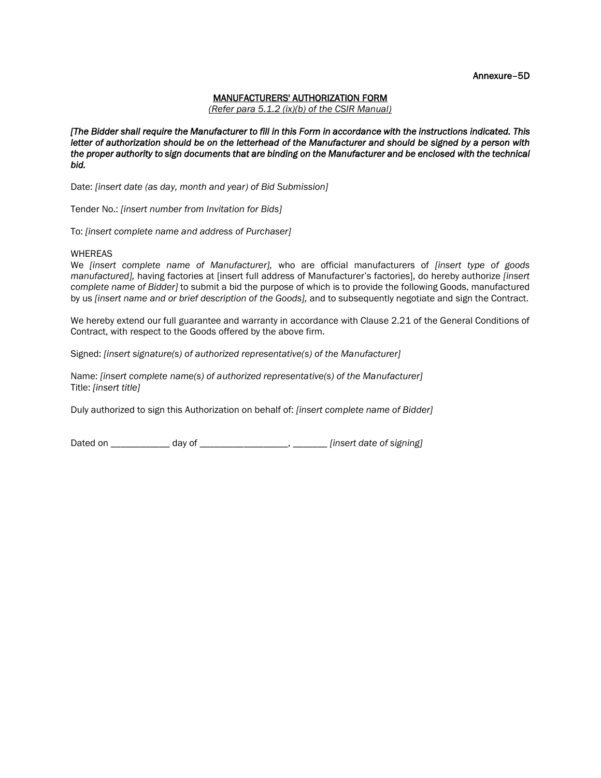Annexure–5D

#### MANUFACTURERS' AUTHORIZATION FORM

*(Refer para 5.1.2 (ix)(b) of the CSIR Manual)*

*[The Bidder shall require the Manufacturer to fill in this Form in accordance with the instructions indicated. This letter of authorization should be on the letterhead of the Manufacturer and should be signed by a person with*  the proper authority to sign documents that are binding on the Manufacturer and be enclosed with the technical *bid.*

Date: *[insert date (as day, month and year) of Bid Submission]*

Tender No.: *[insert number from Invitation for Bids]*

To: *[insert complete name and address of Purchaser]*

#### WHEREAS

We *[insert complete name of Manufacturer],* who are official manufacturers of *[insert type of goods manufactured],* having factories at [insert full address of Manufacturer's factories], do hereby authorize *[insert complete name of Bidder]* to submit a bid the purpose of which is to provide the following Goods, manufactured by us *[insert name and or brief description of the Goods],* and to subsequently negotiate and sign the Contract.

We hereby extend our full guarantee and warranty in accordance with Clause 2.21 of the General Conditions of Contract, with respect to the Goods offered by the above firm.

Signed: *[insert signature(s) of authorized representative(s) of the Manufacturer]*

Name: *[insert complete name(s) of authorized representative(s) of the Manufacturer]* Title: *[insert title]*

Duly authorized to sign this Authorization on behalf of: *[insert complete name of Bidder]*

Dated on \_\_\_\_\_\_\_\_\_\_\_\_ day of \_\_\_\_\_\_\_\_\_\_\_\_\_\_\_\_\_\_, \_\_\_\_\_\_\_ *[insert date of signing]*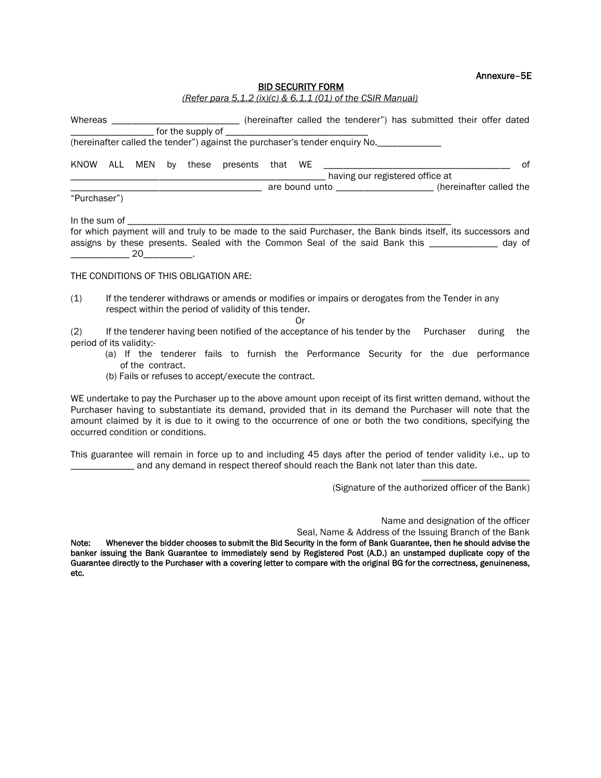#### Annexure–5E

#### BID SECURITY FORM

| Whereas      |  | <u> 1980 - Jan Barbarat, manazarta da kasas da kasas da kasas da kasas da kasas da kasas da kasas da kasas da kasa</u> |                                        |  |                                                                             | (hereinafter called the tenderer") has submitted their offer dated |
|--------------|--|------------------------------------------------------------------------------------------------------------------------|----------------------------------------|--|-----------------------------------------------------------------------------|--------------------------------------------------------------------|
|              |  |                                                                                                                        |                                        |  |                                                                             |                                                                    |
|              |  |                                                                                                                        |                                        |  | (hereinafter called the tender") against the purchaser's tender enquiry No. |                                                                    |
|              |  |                                                                                                                        | KNOW ALL MEN by these presents that WE |  |                                                                             | of                                                                 |
|              |  |                                                                                                                        |                                        |  | having our registered office at                                             |                                                                    |
|              |  |                                                                                                                        |                                        |  |                                                                             | are bound unto ______________________(hereinafter called the       |
| "Purchaser") |  |                                                                                                                        |                                        |  |                                                                             |                                                                    |

In the sum of \_\_\_\_\_\_\_\_\_\_\_\_\_\_\_\_\_\_\_\_\_\_\_\_\_\_\_\_\_\_\_\_\_\_\_\_\_\_\_\_\_\_\_\_\_\_\_\_\_\_\_\_\_\_\_\_\_\_\_\_\_\_\_\_\_\_ for which payment will and truly to be made to the said Purchaser, the Bank binds itself, its successors and assigns by these presents. Sealed with the Common Seal of the said Bank this \_\_\_\_\_\_\_\_\_\_\_\_\_\_ day of  $20$ 

#### THE CONDITIONS OF THIS OBLIGATION ARE:

(1) If the tenderer withdraws or amends or modifies or impairs or derogates from the Tender in any respect within the period of validity of this tender.

Or (2) If the tenderer having been notified of the acceptance of his tender by the Purchaser during the period of its validity:-

- (a) If the tenderer fails to furnish the Performance Security for the due performance of the contract.
- (b) Fails or refuses to accept/execute the contract.

WE undertake to pay the Purchaser up to the above amount upon receipt of its first written demand, without the Purchaser having to substantiate its demand, provided that in its demand the Purchaser will note that the amount claimed by it is due to it owing to the occurrence of one or both the two conditions, specifying the occurred condition or conditions.

This guarantee will remain in force up to and including 45 days after the period of tender validity i.e., up to and any demand in respect thereof should reach the Bank not later than this date.

(Signature of the authorized officer of the Bank)

Name and designation of the officer

\_\_\_\_\_\_\_\_\_\_\_\_\_\_\_\_\_\_\_\_\_\_

Seal, Name & Address of the Issuing Branch of the Bank

Note: Whenever the bidder chooses to submit the Bid Security in the form of Bank Guarantee, then he should advise the banker issuing the Bank Guarantee to immediately send by Registered Post (A.D.) an unstamped duplicate copy of the Guarantee directly to the Purchaser with a covering letter to compare with the original BG for the correctness, genuineness, etc.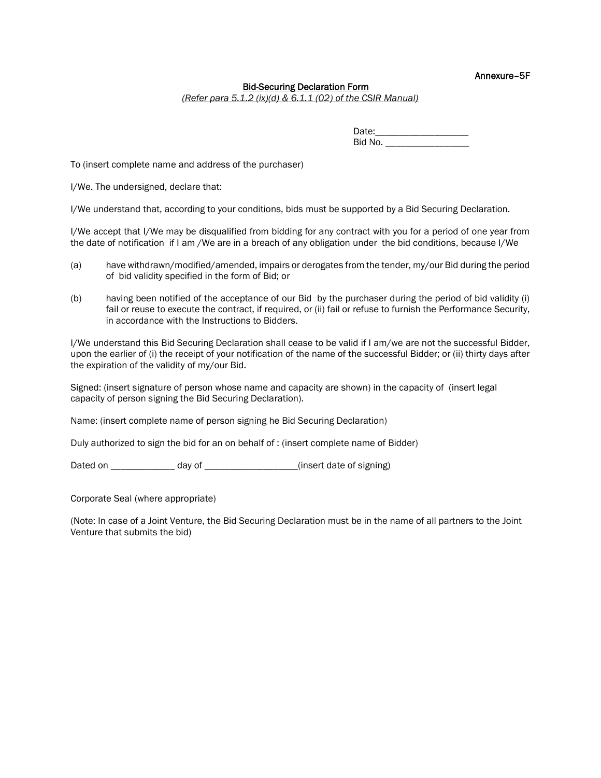Annexure–5F

#### Bid-Securing Declaration Form

*(Refer para 5.1.2 (ix)(d) & 6.1.1 (02) of the CSIR Manual)*

Date:\_\_\_\_\_\_\_\_\_\_\_\_\_\_\_\_\_\_\_ Bid No. \_\_\_\_\_\_\_\_\_\_\_\_\_\_\_\_\_\_\_\_

To (insert complete name and address of the purchaser)

I/We. The undersigned, declare that:

I/We understand that, according to your conditions, bids must be supported by a Bid Securing Declaration.

I/We accept that I/We may be disqualified from bidding for any contract with you for a period of one year from the date of notification if I am /We are in a breach of any obligation under the bid conditions, because I/We

- (a) have withdrawn/modified/amended, impairs or derogates from the tender, my/our Bid during the period of bid validity specified in the form of Bid; or
- (b) having been notified of the acceptance of our Bid by the purchaser during the period of bid validity (i) fail or reuse to execute the contract, if required, or (ii) fail or refuse to furnish the Performance Security, in accordance with the Instructions to Bidders.

I/We understand this Bid Securing Declaration shall cease to be valid if I am/we are not the successful Bidder, upon the earlier of (i) the receipt of your notification of the name of the successful Bidder; or (ii) thirty days after the expiration of the validity of my/our Bid.

Signed: (insert signature of person whose name and capacity are shown) in the capacity of (insert legal capacity of person signing the Bid Securing Declaration).

Name: (insert complete name of person signing he Bid Securing Declaration)

Duly authorized to sign the bid for an on behalf of : (insert complete name of Bidder)

Dated on \_\_\_\_\_\_\_\_\_\_\_\_\_\_\_ day of \_\_\_\_\_\_\_\_\_\_\_\_\_\_\_\_\_\_\_\_\_(insert date of signing)

Corporate Seal (where appropriate)

(Note: In case of a Joint Venture, the Bid Securing Declaration must be in the name of all partners to the Joint Venture that submits the bid)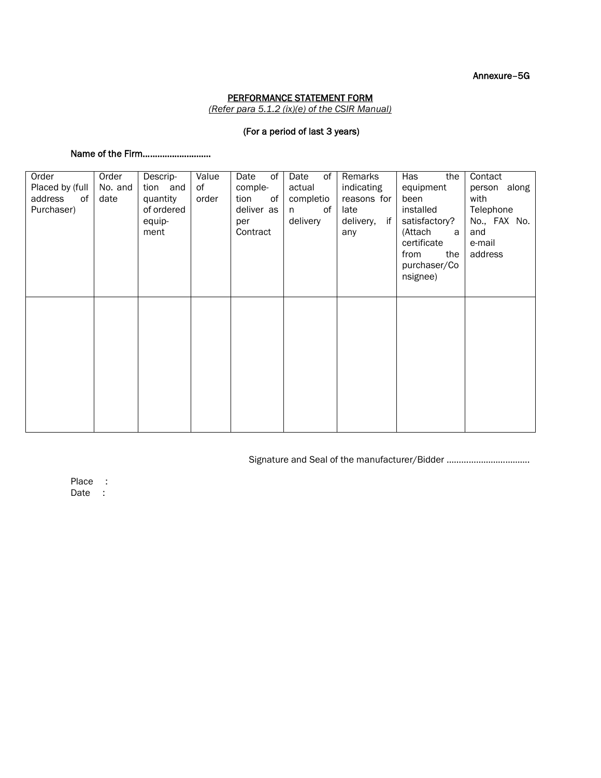Annexure–5G

#### PERFORMANCE STATEMENT FORM

*(Refer para 5.1.2 (ix)(e) of the CSIR Manual)*

#### (For a period of last 3 years)

#### Name of the Firm……………………….

| Order           | Order   | Descrip-   | Value | Date<br>of | Date<br>0f | Remarks         | Has<br>the    | Contact      |
|-----------------|---------|------------|-------|------------|------------|-----------------|---------------|--------------|
| Placed by (full | No. and | tion and   | of    | comple-    | actual     | indicating      | equipment     | person along |
| address<br>of   | date    | quantity   | order | tion<br>of | completio  | reasons for     | been          | with         |
| Purchaser)      |         | of ordered |       | deliver as | of<br>n.   | late            | installed     | Telephone    |
|                 |         | equip-     |       | per        | delivery   | if<br>delivery, | satisfactory? | No., FAX No. |
|                 |         | ment       |       | Contract   |            | any             | (Attach<br>a  | and          |
|                 |         |            |       |            |            |                 | certificate   | e-mail       |
|                 |         |            |       |            |            |                 | from<br>the   | address      |
|                 |         |            |       |            |            |                 | purchaser/Co  |              |
|                 |         |            |       |            |            |                 | nsignee)      |              |
|                 |         |            |       |            |            |                 |               |              |
|                 |         |            |       |            |            |                 |               |              |
|                 |         |            |       |            |            |                 |               |              |
|                 |         |            |       |            |            |                 |               |              |
|                 |         |            |       |            |            |                 |               |              |
|                 |         |            |       |            |            |                 |               |              |
|                 |         |            |       |            |            |                 |               |              |
|                 |         |            |       |            |            |                 |               |              |
|                 |         |            |       |            |            |                 |               |              |
|                 |         |            |       |            |            |                 |               |              |
|                 |         |            |       |            |            |                 |               |              |
|                 |         |            |       |            |            |                 |               |              |
|                 |         |            |       |            |            |                 |               |              |

Signature and Seal of the manufacturer/Bidder …………………………….

Place : Date :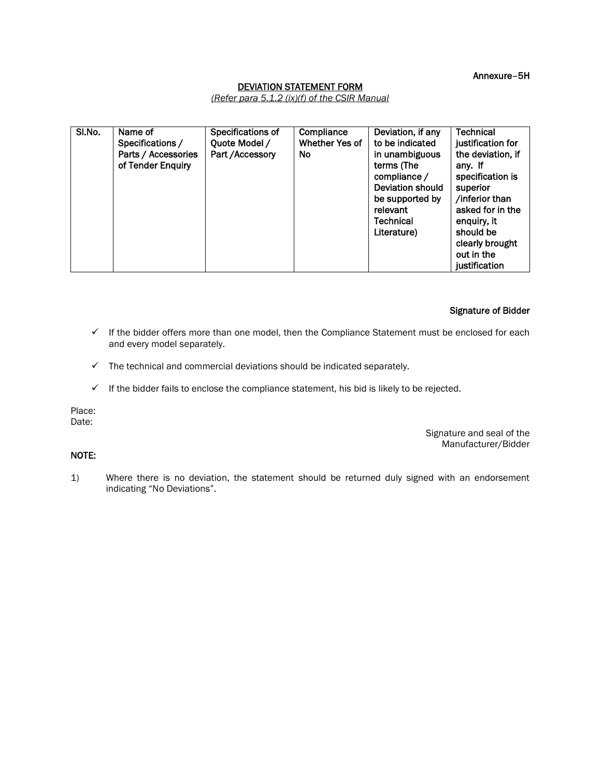Annexure–5H

#### DEVIATION STATEMENT FORM

*(Refer para 5.1.2 (ix)(f) of the CSIR Manual*

| SI.No. | Name of             | Specifications of | Compliance     | Deviation, if any | <b>Technical</b>     |
|--------|---------------------|-------------------|----------------|-------------------|----------------------|
|        |                     |                   |                |                   |                      |
|        | Specifications /    | Quote Model /     | Whether Yes of | to be indicated   | justification for    |
|        | Parts / Accessories | Part / Accessory  | <b>No</b>      | in unambiguous    | the deviation, if    |
|        | of Tender Enquiry   |                   |                | terms (The        | any. If              |
|        |                     |                   |                | compliance /      | specification is     |
|        |                     |                   |                | Deviation should  | superior             |
|        |                     |                   |                | be supported by   | /inferior than       |
|        |                     |                   |                | relevant          | asked for in the     |
|        |                     |                   |                | <b>Technical</b>  | enguiry, it          |
|        |                     |                   |                | Literature)       | should be            |
|        |                     |                   |                |                   | clearly brought      |
|        |                     |                   |                |                   | out in the           |
|        |                     |                   |                |                   | <b>justification</b> |

#### Signature of Bidder

- $\checkmark$  If the bidder offers more than one model, then the Compliance Statement must be enclosed for each and every model separately.
- $\checkmark$  The technical and commercial deviations should be indicated separately.
- $\checkmark$  If the bidder fails to enclose the compliance statement, his bid is likely to be rejected.

Place: Date:

NOTE:

Signature and seal of the Manufacturer/Bidder

1) Where there is no deviation, the statement should be returned duly signed with an endorsement indicating "No Deviations".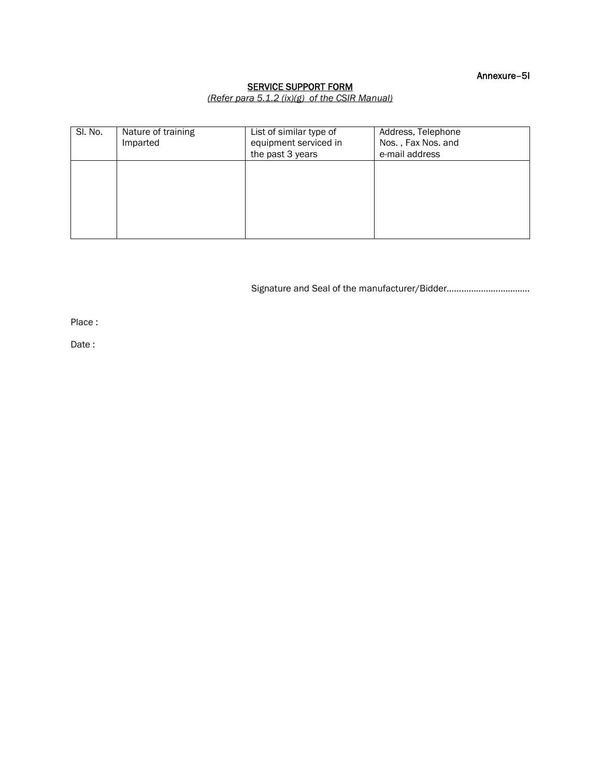Annexure–5I

#### SERVICE SUPPORT FORM

*(Refer para 5.1.2 (ix)(g) of the CSIR Manual)*

| SI. No. | Nature of training<br>Imparted | List of similar type of<br>equipment serviced in<br>the past 3 years | Address, Telephone<br>Nos., Fax Nos. and<br>e-mail address |
|---------|--------------------------------|----------------------------------------------------------------------|------------------------------------------------------------|
|         |                                |                                                                      |                                                            |
|         |                                |                                                                      |                                                            |

Signature and Seal of the manufacturer/Bidder…………………………….

Place :

Date :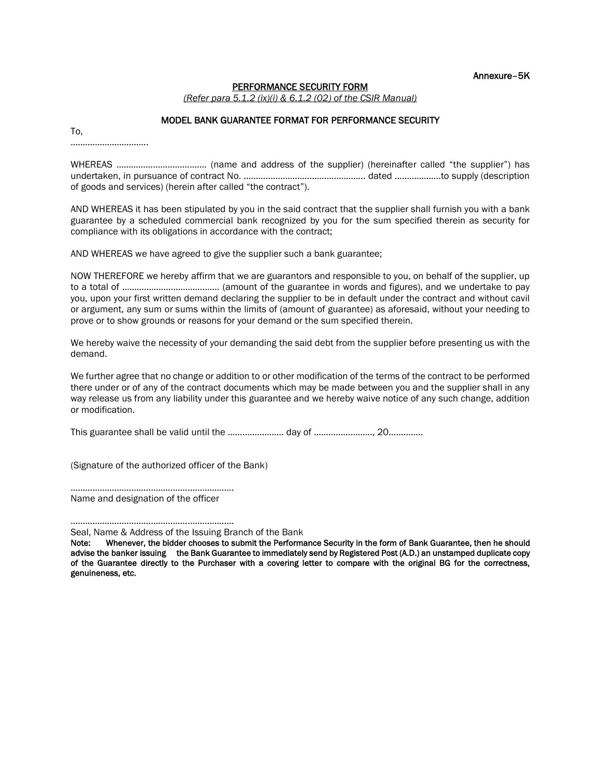Annexure–5K

#### PERFORMANCE SECURITY FORM

*(Refer para 5.1.2 (ix)(i) & 6.1.2 (02) of the CSIR Manual)*

#### MODEL BANK GUARANTEE FORMAT FOR PERFORMANCE SECURITY

To, ………………………………

WHEREAS ………………………………. (name and address of the supplier) (hereinafter called "the supplier") has undertaken, in pursuance of contract No. ……………………………………….…. dated ……………….to supply (description of goods and services) (herein after called "the contract").

AND WHEREAS it has been stipulated by you in the said contract that the supplier shall furnish you with a bank guarantee by a scheduled commercial bank recognized by you for the sum specified therein as security for compliance with its obligations in accordance with the contract;

AND WHEREAS we have agreed to give the supplier such a bank guarantee;

NOW THEREFORE we hereby affirm that we are guarantors and responsible to you, on behalf of the supplier, up to a total of …………………………………. (amount of the guarantee in words and figures), and we undertake to pay you, upon your first written demand declaring the supplier to be in default under the contract and without cavil or argument, any sum or sums within the limits of (amount of guarantee) as aforesaid, without your needing to prove or to show grounds or reasons for your demand or the sum specified therein.

We hereby waive the necessity of your demanding the said debt from the supplier before presenting us with the demand.

We further agree that no change or addition to or other modification of the terms of the contract to be performed there under or of any of the contract documents which may be made between you and the supplier shall in any way release us from any liability under this guarantee and we hereby waive notice of any such change, addition or modification.

This guarantee shall be valid until the ………………….. day of ……………………, 20…………..

(Signature of the authorized officer of the Bank)

…………………………………………………………. Name and designation of the officer

…………………………………………………………. Seal, Name & Address of the Issuing Branch of the Bank

Note: Whenever, the bidder chooses to submit the Performance Security in the form of Bank Guarantee, then he should advise the banker issuing the Bank Guarantee to immediately send by Registered Post (A.D.) an unstamped duplicate copy of the Guarantee directly to the Purchaser with a covering letter to compare with the original BG for the correctness, genuineness, etc.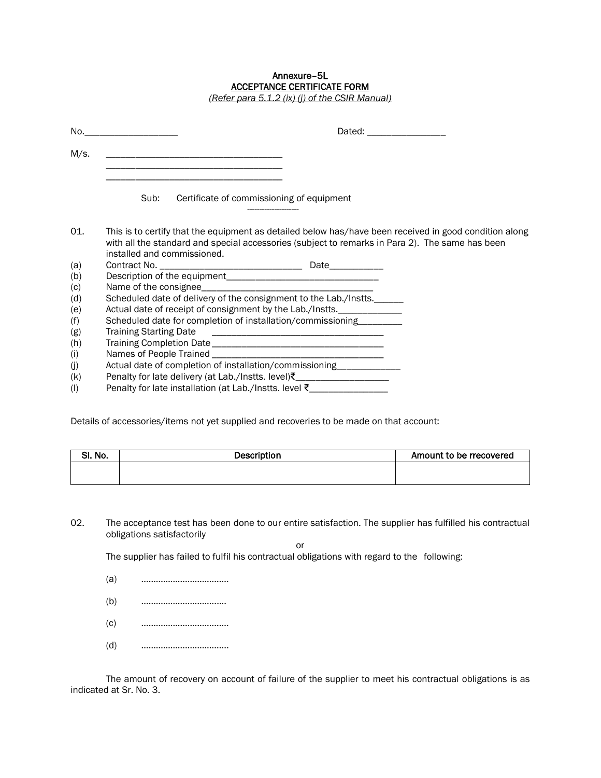#### Annexure–5L ACCEPTANCE CERTIFICATE FORM

*(Refer para 5.1.2 (ix) (j) of the CSIR Manual)*

| No.  | Dated: ____________________<br><u> 1990 - Johann Barn, mars ann an t-</u>                                                                                                                                                                |  |  |  |  |  |
|------|------------------------------------------------------------------------------------------------------------------------------------------------------------------------------------------------------------------------------------------|--|--|--|--|--|
| M/s. | <u> 1950 - Johann John Stoff, deutscher Stoffen und der Stoffen und der Stoffen und der Stoffen und der Stoffen u</u><br>the control of the control of the control of the control of the control of the control of                       |  |  |  |  |  |
|      | Sub:<br>Certificate of commissioning of equipment                                                                                                                                                                                        |  |  |  |  |  |
| 01.  | This is to certify that the equipment as detailed below has/have been received in good condition along<br>with all the standard and special accessories (subject to remarks in Para 2). The same has been<br>installed and commissioned. |  |  |  |  |  |
| (a)  |                                                                                                                                                                                                                                          |  |  |  |  |  |
| (b)  |                                                                                                                                                                                                                                          |  |  |  |  |  |
| (c)  |                                                                                                                                                                                                                                          |  |  |  |  |  |
| (d)  | Scheduled date of delivery of the consignment to the Lab./Instts.                                                                                                                                                                        |  |  |  |  |  |
| (e)  | Actual date of receipt of consignment by the Lab./Instts.                                                                                                                                                                                |  |  |  |  |  |
| (f)  | Scheduled date for completion of installation/commissioning________                                                                                                                                                                      |  |  |  |  |  |
| (g)  | <b>Training Starting Date</b>                                                                                                                                                                                                            |  |  |  |  |  |
| (h)  |                                                                                                                                                                                                                                          |  |  |  |  |  |
| (i)  |                                                                                                                                                                                                                                          |  |  |  |  |  |
| (j)  | Actual date of completion of installation/commissioning____________                                                                                                                                                                      |  |  |  |  |  |
| (k)  | Penalty for late delivery (at Lab./Instts. level) ₹_____________________________                                                                                                                                                         |  |  |  |  |  |
| (1)  | Penalty for late installation (at Lab./Instts. level ₹__________________________                                                                                                                                                         |  |  |  |  |  |

Details of accessories/items not yet supplied and recoveries to be made on that account:

| No.<br><b></b> | Description | Amount to be rrecovered |
|----------------|-------------|-------------------------|
|                |             |                         |
|                |             |                         |

02. The acceptance test has been done to our entire satisfaction. The supplier has fulfilled his contractual obligations satisfactorily

or

The supplier has failed to fulfil his contractual obligations with regard to the following:

- (a) ………………………………
- (b) ………………………….….
- (c) ………………………………
- (d) ……………………………...

The amount of recovery on account of failure of the supplier to meet his contractual obligations is as indicated at Sr. No. 3.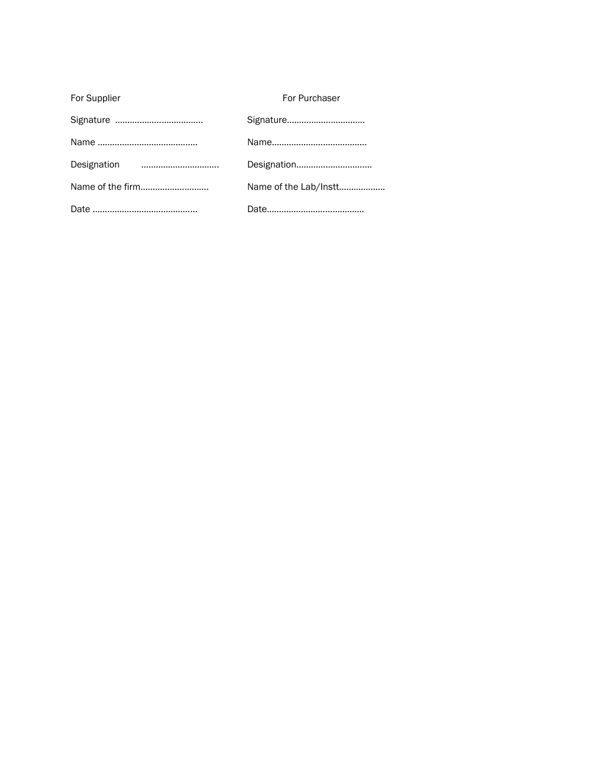| For Supplier     | For Purchaser         |
|------------------|-----------------------|
|                  | Signature             |
|                  |                       |
|                  | Designation           |
| Name of the firm | Name of the Lab/Instt |
|                  |                       |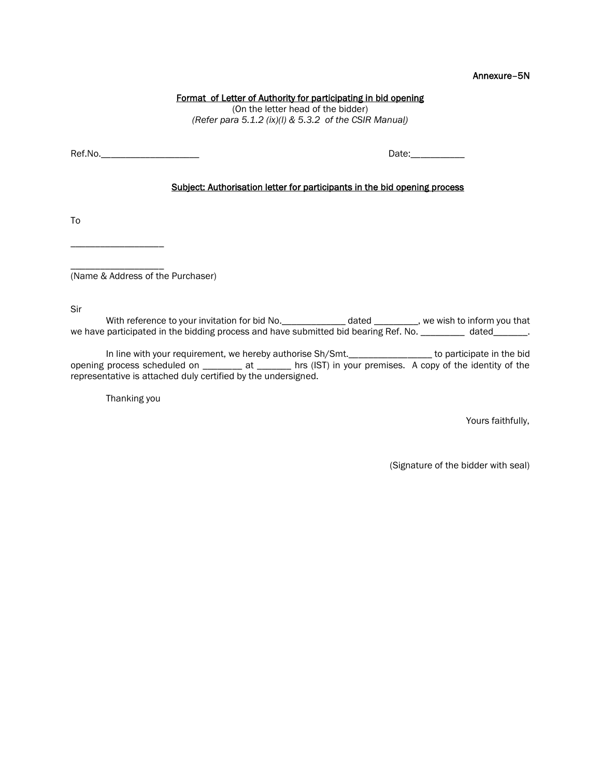#### Annexure–5N

#### Format of Letter of Authority for participating in bid opening

(On the letter head of the bidder) *(Refer para 5.1.2 (ix)(l) & 5.3.2 of the CSIR Manual)*

Ref.No.\_\_\_\_\_\_\_\_\_\_\_\_\_\_\_\_\_\_\_\_ Date:\_\_\_\_\_\_\_\_\_\_\_

#### Subject: Authorisation letter for participants in the bid opening process

To

\_\_\_\_\_\_\_\_\_\_\_\_\_\_\_\_\_\_\_

\_\_\_\_\_\_\_\_\_\_\_\_\_\_\_\_\_\_\_ (Name & Address of the Purchaser)

Sir

With reference to your invitation for bid No.\_\_\_\_\_\_\_\_\_\_\_\_\_\_\_ dated \_\_\_\_\_\_\_\_\_, we wish to inform you that we have participated in the bidding process and have submitted bid bearing Ref. No. \_\_\_\_\_\_\_\_\_ dated\_\_\_\_\_\_\_.

In line with your requirement, we hereby authorise Sh/Smt.\_\_\_\_\_\_\_\_\_\_\_\_\_\_\_\_\_\_\_\_ to participate in the bid opening process scheduled on \_\_\_\_\_\_\_\_ at \_\_\_\_\_\_\_ hrs (IST) in your premises. A copy of the identity of the representative is attached duly certified by the undersigned.

Thanking you

Yours faithfully,

(Signature of the bidder with seal)